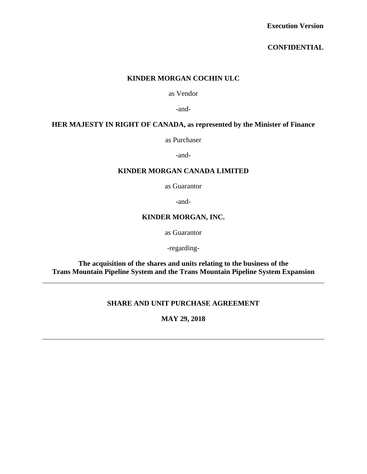### **CONFIDENTIAL**

### **KINDER MORGAN COCHIN ULC**

as Vendor

-and-

## **HER MAJESTY IN RIGHT OF CANADA, as represented by the Minister of Finance**

as Purchaser

-and-

#### **KINDER MORGAN CANADA LIMITED**

as Guarantor

-and-

### **KINDER MORGAN, INC.**

as Guarantor

-regarding-

**The acquisition of the shares and units relating to the business of the Trans Mountain Pipeline System and the Trans Mountain Pipeline System Expansion** 

## **SHARE AND UNIT PURCHASE AGREEMENT**

**MAY 29, 2018**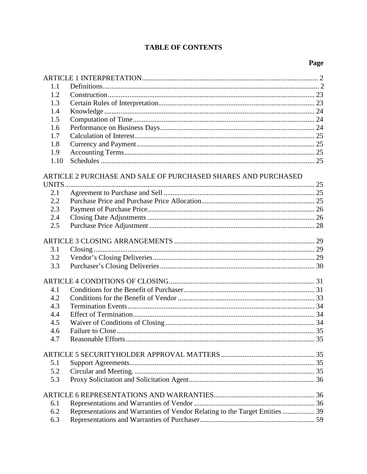# **TABLE OF CONTENTS**

# Page

| 1.1  |                                                                              |  |
|------|------------------------------------------------------------------------------|--|
| 1.2  |                                                                              |  |
| 1.3  |                                                                              |  |
| 1.4  |                                                                              |  |
| 1.5  |                                                                              |  |
| 1.6  |                                                                              |  |
| 1.7  |                                                                              |  |
| 1.8  |                                                                              |  |
| 1.9  |                                                                              |  |
| 1.10 |                                                                              |  |
|      |                                                                              |  |
|      | ARTICLE 2 PURCHASE AND SALE OF PURCHASED SHARES AND PURCHASED                |  |
|      |                                                                              |  |
| 2.1  |                                                                              |  |
| 2.2  |                                                                              |  |
| 2.3  |                                                                              |  |
| 2.4  |                                                                              |  |
| 2.5  |                                                                              |  |
|      |                                                                              |  |
|      |                                                                              |  |
| 3.1  |                                                                              |  |
| 3.2  |                                                                              |  |
| 3.3  |                                                                              |  |
|      |                                                                              |  |
| 4.1  |                                                                              |  |
| 4.2  |                                                                              |  |
| 4.3  |                                                                              |  |
| 4.4  |                                                                              |  |
| 4.5  |                                                                              |  |
| 4.6  |                                                                              |  |
| 4.7  |                                                                              |  |
|      |                                                                              |  |
|      |                                                                              |  |
| 5.1  |                                                                              |  |
| 5.2  |                                                                              |  |
| 5.3  |                                                                              |  |
|      |                                                                              |  |
|      |                                                                              |  |
| 6.1  |                                                                              |  |
| 6.2  | Representations and Warranties of Vendor Relating to the Target Entities  39 |  |
| 6.3  |                                                                              |  |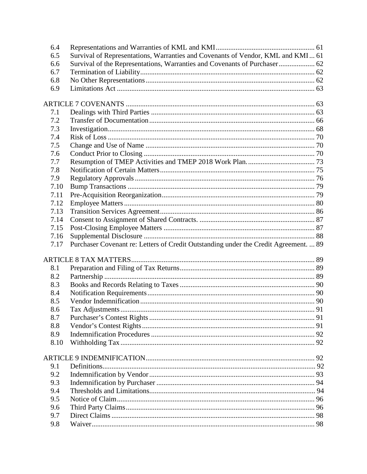| 6.4        |                                                                                      |  |
|------------|--------------------------------------------------------------------------------------|--|
| 6.5        | Survival of Representations, Warranties and Covenants of Vendor, KML and KMI 61      |  |
| 6.6        | Survival of the Representations, Warranties and Covenants of Purchaser 62            |  |
| 6.7        |                                                                                      |  |
| 6.8        |                                                                                      |  |
| 6.9        |                                                                                      |  |
|            |                                                                                      |  |
|            |                                                                                      |  |
| 7.1        |                                                                                      |  |
| 7.2        |                                                                                      |  |
| 7.3        |                                                                                      |  |
| 7.4        |                                                                                      |  |
| 7.5        |                                                                                      |  |
| 7.6        |                                                                                      |  |
| 7.7        |                                                                                      |  |
| 7.8        |                                                                                      |  |
| 7.9        |                                                                                      |  |
| 7.10       |                                                                                      |  |
| 7.11       |                                                                                      |  |
| 7.12       |                                                                                      |  |
| 7.13       |                                                                                      |  |
| 7.14       |                                                                                      |  |
| 7.15       |                                                                                      |  |
| 7.16       |                                                                                      |  |
| 7.17       | Purchaser Covenant re: Letters of Credit Outstanding under the Credit Agreement.  89 |  |
|            |                                                                                      |  |
| 8.1        |                                                                                      |  |
| 8.2        |                                                                                      |  |
| 8.3        |                                                                                      |  |
|            |                                                                                      |  |
| 8.4<br>8.5 |                                                                                      |  |
|            |                                                                                      |  |
| 8.6        |                                                                                      |  |
| 8.7        |                                                                                      |  |
| 8.8        |                                                                                      |  |
| 8.9        |                                                                                      |  |
| 8.10       |                                                                                      |  |
|            |                                                                                      |  |
| 9.1        |                                                                                      |  |
| 9.2        |                                                                                      |  |
| 9.3        |                                                                                      |  |
| 9.4        |                                                                                      |  |
| 9.5        |                                                                                      |  |
| 9.6        |                                                                                      |  |
| 9.7        |                                                                                      |  |
|            |                                                                                      |  |
| 9.8        |                                                                                      |  |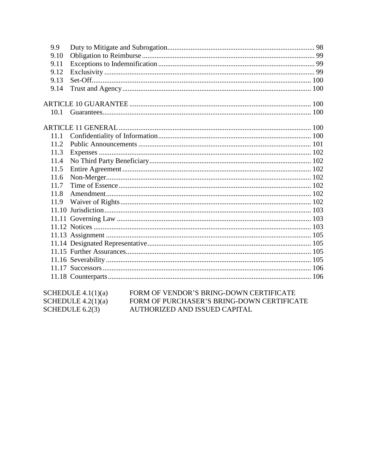| 9.9  |                                   |  |
|------|-----------------------------------|--|
| 9.10 |                                   |  |
| 9.11 |                                   |  |
| 9.12 |                                   |  |
| 9.13 |                                   |  |
| 9.14 |                                   |  |
|      |                                   |  |
| 10.1 |                                   |  |
|      |                                   |  |
| 11.1 |                                   |  |
| 11.2 |                                   |  |
| 11.3 |                                   |  |
| 11.4 |                                   |  |
| 11.5 |                                   |  |
| 11.6 |                                   |  |
| 11.7 |                                   |  |
| 11.8 |                                   |  |
| 11.9 |                                   |  |
|      |                                   |  |
|      |                                   |  |
|      |                                   |  |
|      |                                   |  |
|      |                                   |  |
|      |                                   |  |
|      |                                   |  |
|      |                                   |  |
|      |                                   |  |
|      | $G(\text{IPDUM F}, \text{11111})$ |  |

| SCHEDULE $4.1(1)(a)$ | FORM OF VENDOR'S BRING-DOWN CERTIFICATE    |
|----------------------|--------------------------------------------|
| SCHEDULE $4.2(1)(a)$ | FORM OF PURCHASER'S BRING-DOWN CERTIFICATE |
| SCHEDULE $6.2(3)$    | AUTHORIZED AND ISSUED CAPITAL              |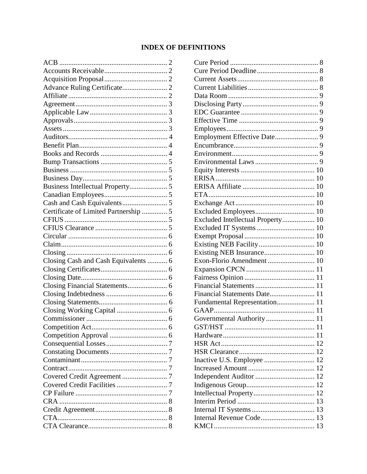# **INDEX OF DEFINITIONS**

| Certificate of Limited Partnership  5 |  |
|---------------------------------------|--|
|                                       |  |
|                                       |  |
|                                       |  |
|                                       |  |
|                                       |  |
| Closing Cash and Cash Equivalents  6  |  |
|                                       |  |
|                                       |  |
|                                       |  |
|                                       |  |
|                                       |  |
|                                       |  |
|                                       |  |
|                                       |  |
|                                       |  |
|                                       |  |
|                                       |  |
|                                       |  |
| Contract                              |  |
|                                       |  |
|                                       |  |
|                                       |  |
|                                       |  |
|                                       |  |
| CTA                                   |  |
|                                       |  |

| Excluded Intellectual Property 10 |  |
|-----------------------------------|--|
|                                   |  |
|                                   |  |
| Existing NEB Facility 10          |  |
|                                   |  |
| Exon-Florio Amendment  10         |  |
|                                   |  |
|                                   |  |
|                                   |  |
| Financial Statements Date 11      |  |
| Fundamental Representation 11     |  |
|                                   |  |
|                                   |  |
|                                   |  |
|                                   |  |
|                                   |  |
|                                   |  |
|                                   |  |
|                                   |  |
|                                   |  |
|                                   |  |
|                                   |  |
|                                   |  |
|                                   |  |
| Internal Revenue Code 13          |  |
|                                   |  |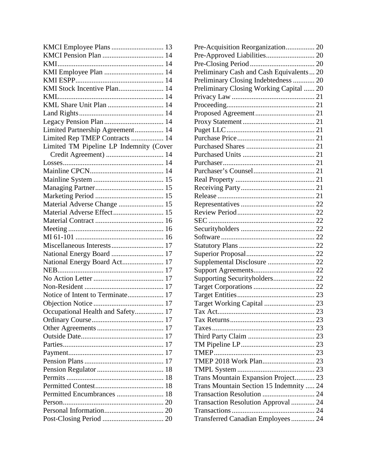| KMI Stock Incentive Plan 14             |    |
|-----------------------------------------|----|
|                                         |    |
| KML Share Unit Plan  14                 |    |
|                                         |    |
|                                         |    |
| Limited Partnership Agreement 14        |    |
| Limited Rep TMEP Contracts  14          |    |
| Limited TM Pipeline LP Indemnity (Cover |    |
| Credit Agreement)  14                   |    |
|                                         |    |
|                                         |    |
|                                         |    |
|                                         |    |
|                                         |    |
| Material Adverse Change  15             |    |
| Material Adverse Effect 15              |    |
|                                         |    |
|                                         |    |
|                                         |    |
| Miscellaneous Interests 17              |    |
|                                         |    |
| National Energy Board Act 17            |    |
|                                         |    |
|                                         |    |
|                                         |    |
| Notice of Intent to Terminate 17        |    |
|                                         |    |
| Occupational Health and Safety 17       |    |
|                                         |    |
|                                         |    |
|                                         |    |
|                                         |    |
|                                         | 17 |
|                                         |    |
|                                         |    |
|                                         |    |
|                                         |    |
| Permitted Encumbrances  18              |    |
|                                         |    |
|                                         |    |
|                                         |    |
|                                         |    |

| Pre-Acquisition Reorganization 20        |  |
|------------------------------------------|--|
|                                          |  |
|                                          |  |
| Preliminary Cash and Cash Equivalents 20 |  |
| Preliminary Closing Indebtedness  20     |  |
| Preliminary Closing Working Capital  20  |  |
|                                          |  |
|                                          |  |
|                                          |  |
|                                          |  |
|                                          |  |
|                                          |  |
|                                          |  |
|                                          |  |
|                                          |  |
|                                          |  |
|                                          |  |
|                                          |  |
|                                          |  |
|                                          |  |
|                                          |  |
|                                          |  |
|                                          |  |
|                                          |  |
|                                          |  |
|                                          |  |
| Supplemental Disclosure  22              |  |
|                                          |  |
|                                          |  |
|                                          |  |
|                                          |  |
|                                          |  |
| . 23<br>Tax Act.                         |  |
|                                          |  |
|                                          |  |
|                                          |  |
|                                          |  |
|                                          |  |
| TMEP 2018 Work Plan 23                   |  |
|                                          |  |
| Trans Mountain Expansion Project 23      |  |
| Trans Mountain Section 15 Indemnity  24  |  |
| Transaction Resolution  24               |  |
| Transaction Resolution Approval  24      |  |
|                                          |  |
|                                          |  |
| Transferred Canadian Employees 24        |  |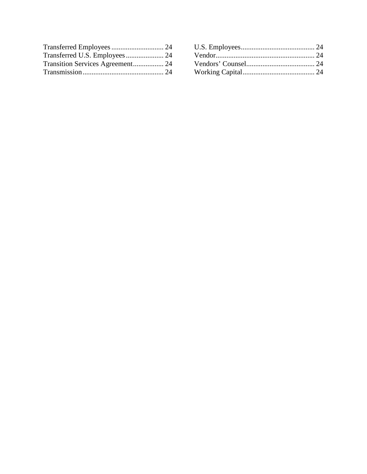| Transition Services Agreement 24 |  |
|----------------------------------|--|
|                                  |  |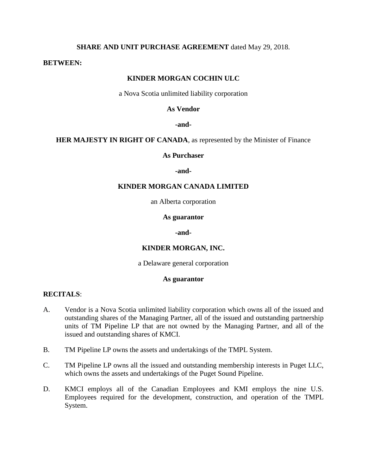### **SHARE AND UNIT PURCHASE AGREEMENT** dated May 29, 2018.

#### **BETWEEN:**

### **KINDER MORGAN COCHIN ULC**

a Nova Scotia unlimited liability corporation

### **As Vendor**

#### **-and-**

**HER MAJESTY IN RIGHT OF CANADA**, as represented by the Minister of Finance

#### **As Purchaser**

**-and-**

### **KINDER MORGAN CANADA LIMITED**

an Alberta corporation

#### **As guarantor**

**-and-**

#### **KINDER MORGAN, INC.**

a Delaware general corporation

### **As guarantor**

### **RECITALS**:

- A. Vendor is a Nova Scotia unlimited liability corporation which owns all of the issued and outstanding shares of the Managing Partner, all of the issued and outstanding partnership units of TM Pipeline LP that are not owned by the Managing Partner, and all of the issued and outstanding shares of KMCI.
- B. TM Pipeline LP owns the assets and undertakings of the TMPL System.
- C. TM Pipeline LP owns all the issued and outstanding membership interests in Puget LLC, which owns the assets and undertakings of the Puget Sound Pipeline.
- D. KMCI employs all of the Canadian Employees and KMI employs the nine U.S. Employees required for the development, construction, and operation of the TMPL System.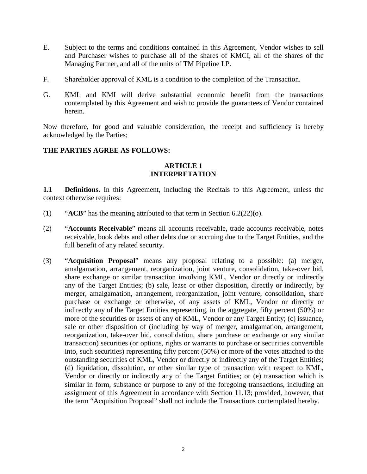- E. Subject to the terms and conditions contained in this Agreement, Vendor wishes to sell and Purchaser wishes to purchase all of the shares of KMCI, all of the shares of the Managing Partner, and all of the units of TM Pipeline LP.
- F. Shareholder approval of KML is a condition to the completion of the Transaction.
- G. KML and KMI will derive substantial economic benefit from the transactions contemplated by this Agreement and wish to provide the guarantees of Vendor contained herein.

Now therefore, for good and valuable consideration, the receipt and sufficiency is hereby acknowledged by the Parties;

### **THE PARTIES AGREE AS FOLLOWS:**

### **ARTICLE 1 INTERPRETATION**

**1.1 Definitions.** In this Agreement, including the Recitals to this Agreement, unless the context otherwise requires:

- (1) "**ACB**" has the meaning attributed to that term in Section 6.2(22)(o).
- (2) "**Accounts Receivable**" means all accounts receivable, trade accounts receivable, notes receivable, book debts and other debts due or accruing due to the Target Entities, and the full benefit of any related security.
- (3) "**Acquisition Proposal**" means any proposal relating to a possible: (a) merger, amalgamation, arrangement, reorganization, joint venture, consolidation, take-over bid, share exchange or similar transaction involving KML, Vendor or directly or indirectly any of the Target Entities; (b) sale, lease or other disposition, directly or indirectly, by merger, amalgamation, arrangement, reorganization, joint venture, consolidation, share purchase or exchange or otherwise, of any assets of KML, Vendor or directly or indirectly any of the Target Entities representing, in the aggregate, fifty percent (50%) or more of the securities or assets of any of KML, Vendor or any Target Entity; (c) issuance, sale or other disposition of (including by way of merger, amalgamation, arrangement, reorganization, take-over bid, consolidation, share purchase or exchange or any similar transaction) securities (or options, rights or warrants to purchase or securities convertible into, such securities) representing fifty percent (50%) or more of the votes attached to the outstanding securities of KML, Vendor or directly or indirectly any of the Target Entities; (d) liquidation, dissolution, or other similar type of transaction with respect to KML, Vendor or directly or indirectly any of the Target Entities; or (e) transaction which is similar in form, substance or purpose to any of the foregoing transactions, including an assignment of this Agreement in accordance with Section 11.13; provided, however, that the term "Acquisition Proposal" shall not include the Transactions contemplated hereby.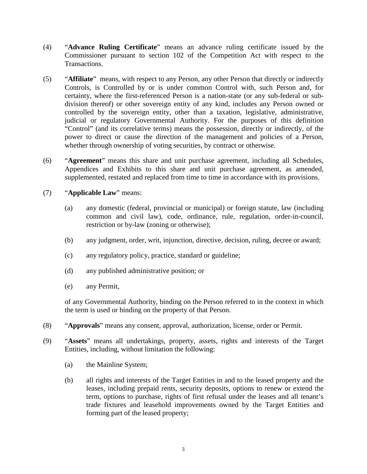- (4) "**Advance Ruling Certificate**" means an advance ruling certificate issued by the Commissioner pursuant to section 102 of the Competition Act with respect to the Transactions.
- (5) "**Affiliate**" means, with respect to any Person, any other Person that directly or indirectly Controls, is Controlled by or is under common Control with, such Person and, for certainty, where the first-referenced Person is a nation-state (or any sub-federal or subdivision thereof) or other sovereign entity of any kind, includes any Person owned or controlled by the sovereign entity, other than a taxation, legislative, administrative, judicial or regulatory Governmental Authority. For the purposes of this definition "Control" (and its correlative terms) means the possession, directly or indirectly, of the power to direct or cause the direction of the management and policies of a Person, whether through ownership of voting securities, by contract or otherwise.
- (6) "**Agreement**" means this share and unit purchase agreement, including all Schedules, Appendices and Exhibits to this share and unit purchase agreement, as amended, supplemented, restated and replaced from time to time in accordance with its provisions.
- (7) "**Applicable Law**" means:
	- (a) any domestic (federal, provincial or municipal) or foreign statute, law (including common and civil law), code, ordinance, rule, regulation, order-in-council, restriction or by-law (zoning or otherwise);
	- (b) any judgment, order, writ, injunction, directive, decision, ruling, decree or award;
	- (c) any regulatory policy, practice, standard or guideline;
	- (d) any published administrative position; or
	- (e) any Permit,

of any Governmental Authority, binding on the Person referred to in the context in which the term is used or binding on the property of that Person.

- (8) "**Approvals**" means any consent, approval, authorization, license, order or Permit.
- (9) "**Assets**" means all undertakings, property, assets, rights and interests of the Target Entities, including, without limitation the following:
	- (a) the Mainline System;
	- (b) all rights and interests of the Target Entities in and to the leased property and the leases, including prepaid rents, security deposits, options to renew or extend the term, options to purchase, rights of first refusal under the leases and all tenant's trade fixtures and leasehold improvements owned by the Target Entities and forming part of the leased property;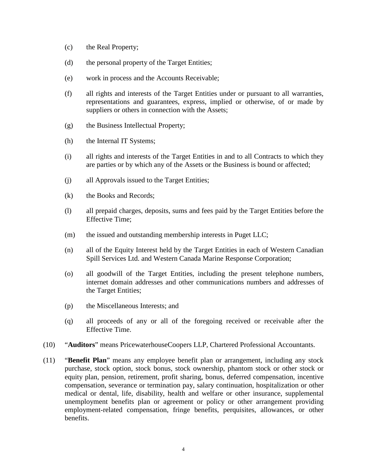- (c) the Real Property;
- (d) the personal property of the Target Entities;
- (e) work in process and the Accounts Receivable;
- (f) all rights and interests of the Target Entities under or pursuant to all warranties, representations and guarantees, express, implied or otherwise, of or made by suppliers or others in connection with the Assets;
- (g) the Business Intellectual Property;
- (h) the Internal IT Systems;
- (i) all rights and interests of the Target Entities in and to all Contracts to which they are parties or by which any of the Assets or the Business is bound or affected;
- (j) all Approvals issued to the Target Entities;
- (k) the Books and Records;
- (l) all prepaid charges, deposits, sums and fees paid by the Target Entities before the Effective Time;
- (m) the issued and outstanding membership interests in Puget LLC;
- (n) all of the Equity Interest held by the Target Entities in each of Western Canadian Spill Services Ltd. and Western Canada Marine Response Corporation;
- (o) all goodwill of the Target Entities, including the present telephone numbers, internet domain addresses and other communications numbers and addresses of the Target Entities;
- (p) the Miscellaneous Interests; and
- (q) all proceeds of any or all of the foregoing received or receivable after the Effective Time.
- (10) "**Auditors**" means PricewaterhouseCoopers LLP, Chartered Professional Accountants.
- (11) "**Benefit Plan**" means any employee benefit plan or arrangement, including any stock purchase, stock option, stock bonus, stock ownership, phantom stock or other stock or equity plan, pension, retirement, profit sharing, bonus, deferred compensation, incentive compensation, severance or termination pay, salary continuation, hospitalization or other medical or dental, life, disability, health and welfare or other insurance, supplemental unemployment benefits plan or agreement or policy or other arrangement providing employment-related compensation, fringe benefits, perquisites, allowances, or other benefits.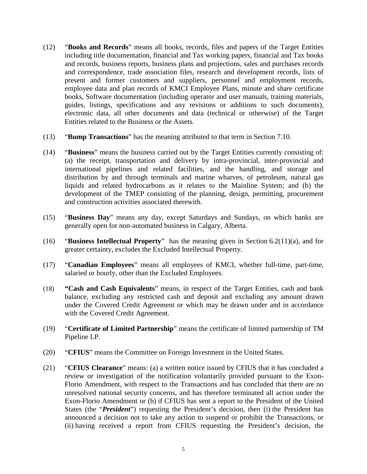- (12) "**Books and Records**" means all books, records, files and papers of the Target Entities including title documentation, financial and Tax working papers, financial and Tax books and records, business reports, business plans and projections, sales and purchases records and correspondence, trade association files, research and development records, lists of present and former customers and suppliers, personnel and employment records, employee data and plan records of KMCI Employee Plans, minute and share certificate books, Software documentation (including operator and user manuals, training materials, guides, listings, specifications and any revisions or additions to such documents), electronic data, all other documents and data (technical or otherwise) of the Target Entities related to the Business or the Assets.
- (13) "**Bump Transactions**" has the meaning attributed to that term in Section 7.10.
- (14) "**Business**" means the business carried out by the Target Entities currently consisting of: (a) the receipt, transportation and delivery by intra-provincial, inter-provincial and international pipelines and related facilities, and the handling, and storage and distribution by and through terminals and marine wharves, of petroleum, natural gas liquids and related hydrocarbons as it relates to the Mainline System; and (b) the development of the TMEP consisting of the planning, design, permitting, procurement and construction activities associated therewith.
- (15) "**Business Day**" means any day, except Saturdays and Sundays, on which banks are generally open for non-automated business in Calgary, Alberta.
- (16) "**Business Intellectual Property**" has the meaning given in Section 6.2(11)(a), and for greater certainty, excludes the Excluded Intellectual Property.
- (17) "**Canadian Employees**" means all employees of KMCI, whether full-time, part-time, salaried or hourly, other than the Excluded Employees.
- (18) **"Cash and Cash Equivalents**" means, in respect of the Target Entities, cash and bank balance, excluding any restricted cash and deposit and excluding any amount drawn under the Covered Credit Agreement or which may be drawn under and in accordance with the Covered Credit Agreement.
- (19) "**Certificate of Limited Partnership**" means the certificate of limited partnership of TM Pipeline LP.
- (20) "**CFIUS**" means the Committee on Foreign Investment in the United States.
- (21) "**CFIUS Clearance**" means: (a) a written notice issued by CFIUS that it has concluded a review or investigation of the notification voluntarily provided pursuant to the Exon-Florio Amendment, with respect to the Transactions and has concluded that there are no unresolved national security concerns, and has therefore terminated all action under the Exon-Florio Amendment or (b) if CFIUS has sent a report to the President of the United States (the "*President*") requesting the President's decision, then (i) the President has announced a decision not to take any action to suspend or prohibit the Transactions, or (ii) having received a report from CFIUS requesting the President's decision, the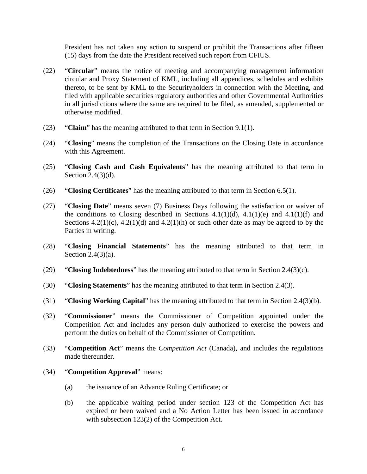President has not taken any action to suspend or prohibit the Transactions after fifteen (15) days from the date the President received such report from CFIUS.

- (22) "**Circular**" means the notice of meeting and accompanying management information circular and Proxy Statement of KML, including all appendices, schedules and exhibits thereto, to be sent by KML to the Securityholders in connection with the Meeting, and filed with applicable securities regulatory authorities and other Governmental Authorities in all jurisdictions where the same are required to be filed, as amended, supplemented or otherwise modified.
- (23) "**Claim**" has the meaning attributed to that term in Section 9.1(1).
- (24) "**Closing**" means the completion of the Transactions on the Closing Date in accordance with this Agreement.
- (25) "**Closing Cash and Cash Equivalents**" has the meaning attributed to that term in Section 2.4(3)(d).
- (26) "**Closing Certificates**" has the meaning attributed to that term in Section 6.5(1).
- (27) "**Closing Date**" means seven (7) Business Days following the satisfaction or waiver of the conditions to Closing described in Sections  $4.1(1)(d)$ ,  $4.1(1)(e)$  and  $4.1(1)(f)$  and Sections  $4.2(1)(c)$ ,  $4.2(1)(d)$  and  $4.2(1)(h)$  or such other date as may be agreed to by the Parties in writing.
- (28) "**Closing Financial Statements**" has the meaning attributed to that term in Section 2.4(3)(a).
- (29) "**Closing Indebtedness**" has the meaning attributed to that term in Section 2.4(3)(c).
- (30) "**Closing Statements**" has the meaning attributed to that term in Section 2.4(3).
- (31) "**Closing Working Capital**" has the meaning attributed to that term in Section 2.4(3)(b).
- (32) "**Commissioner**" means the Commissioner of Competition appointed under the Competition Act and includes any person duly authorized to exercise the powers and perform the duties on behalf of the Commissioner of Competition.
- (33) "**Competition Act**" means the *Competition Act* (Canada), and includes the regulations made thereunder.
- (34) "**Competition Approval**" means:
	- (a) the issuance of an Advance Ruling Certificate; or
	- (b) the applicable waiting period under section 123 of the Competition Act has expired or been waived and a No Action Letter has been issued in accordance with subsection 123(2) of the Competition Act.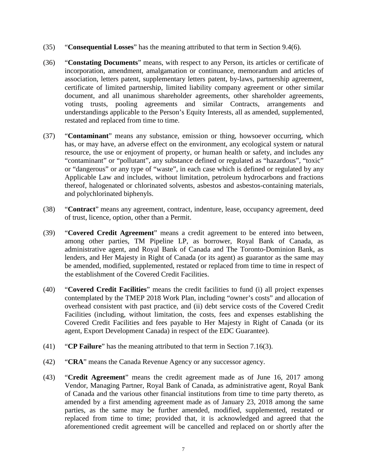- (35) "**Consequential Losses**" has the meaning attributed to that term in Section 9.4(6).
- (36) "**Constating Documents**" means, with respect to any Person, its articles or certificate of incorporation, amendment, amalgamation or continuance, memorandum and articles of association, letters patent, supplementary letters patent, by-laws, partnership agreement, certificate of limited partnership, limited liability company agreement or other similar document, and all unanimous shareholder agreements, other shareholder agreements, voting trusts, pooling agreements and similar Contracts, arrangements and understandings applicable to the Person's Equity Interests, all as amended, supplemented, restated and replaced from time to time.
- (37) "**Contaminant**" means any substance, emission or thing, howsoever occurring, which has, or may have, an adverse effect on the environment, any ecological system or natural resource, the use or enjoyment of property, or human health or safety, and includes any "contaminant" or "pollutant", any substance defined or regulated as "hazardous", "toxic" or "dangerous" or any type of "waste", in each case which is defined or regulated by any Applicable Law and includes, without limitation, petroleum hydrocarbons and fractions thereof, halogenated or chlorinated solvents, asbestos and asbestos-containing materials, and polychlorinated biphenyls.
- (38) "**Contract**" means any agreement, contract, indenture, lease, occupancy agreement, deed of trust, licence, option, other than a Permit.
- (39) "**Covered Credit Agreement**" means a credit agreement to be entered into between, among other parties, TM Pipeline LP, as borrower, Royal Bank of Canada, as administrative agent, and Royal Bank of Canada and The Toronto-Dominion Bank, as lenders, and Her Majesty in Right of Canada (or its agent) as guarantor as the same may be amended, modified, supplemented, restated or replaced from time to time in respect of the establishment of the Covered Credit Facilities.
- (40) "**Covered Credit Facilities**" means the credit facilities to fund (i) all project expenses contemplated by the TMEP 2018 Work Plan, including "owner's costs" and allocation of overhead consistent with past practice, and (ii) debt service costs of the Covered Credit Facilities (including, without limitation, the costs, fees and expenses establishing the Covered Credit Facilities and fees payable to Her Majesty in Right of Canada (or its agent, Export Development Canada) in respect of the EDC Guarantee).
- (41) "**CP Failure**" has the meaning attributed to that term in Section 7.16(3).
- (42) "**CRA**" means the Canada Revenue Agency or any successor agency.
- (43) "**Credit Agreement**" means the credit agreement made as of June 16, 2017 among Vendor, Managing Partner, Royal Bank of Canada, as administrative agent, Royal Bank of Canada and the various other financial institutions from time to time party thereto, as amended by a first amending agreement made as of January 23, 2018 among the same parties, as the same may be further amended, modified, supplemented, restated or replaced from time to time; provided that, it is acknowledged and agreed that the aforementioned credit agreement will be cancelled and replaced on or shortly after the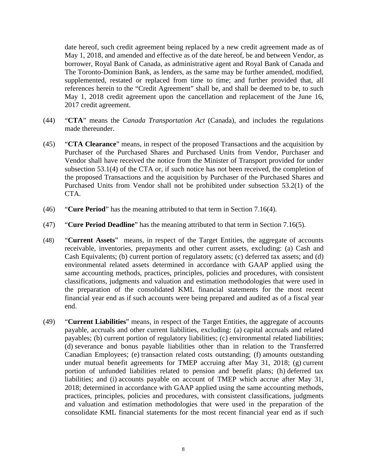date hereof, such credit agreement being replaced by a new credit agreement made as of May 1, 2018, and amended and effective as of the date hereof, be and between Vendor, as borrower, Royal Bank of Canada, as administrative agent and Royal Bank of Canada and The Toronto-Dominion Bank, as lenders, as the same may be further amended, modified, supplemented, restated or replaced from time to time; and further provided that, all references herein to the "Credit Agreement" shall be, and shall be deemed to be, to such May 1, 2018 credit agreement upon the cancellation and replacement of the June 16, 2017 credit agreement.

- (44) "**CTA**" means the *Canada Transportation Act* (Canada), and includes the regulations made thereunder.
- (45) "**CTA Clearance**" means, in respect of the proposed Transactions and the acquisition by Purchaser of the Purchased Shares and Purchased Units from Vendor, Purchaser and Vendor shall have received the notice from the Minister of Transport provided for under subsection 53.1(4) of the CTA or, if such notice has not been received, the completion of the proposed Transactions and the acquisition by Purchaser of the Purchased Shares and Purchased Units from Vendor shall not be prohibited under subsection 53.2(1) of the CTA.
- (46) "**Cure Period**" has the meaning attributed to that term in Section 7.16(4).
- (47) "**Cure Period Deadline**" has the meaning attributed to that term in Section 7.16(5).
- (48) "**Current Assets**" means, in respect of the Target Entities, the aggregate of accounts receivable, inventories, prepayments and other current assets, excluding: (a) Cash and Cash Equivalents; (b) current portion of regulatory assets; (c) deferred tax assets; and (d) environmental related assets determined in accordance with GAAP applied using the same accounting methods, practices, principles, policies and procedures, with consistent classifications, judgments and valuation and estimation methodologies that were used in the preparation of the consolidated KML financial statements for the most recent financial year end as if such accounts were being prepared and audited as of a fiscal year end.
- (49) "**Current Liabilities**" means, in respect of the Target Entities, the aggregate of accounts payable, accruals and other current liabilities, excluding: (a) capital accruals and related payables; (b) current portion of regulatory liabilities; (c) environmental related liabilities; (d) severance and bonus payable liabilities other than in relation to the Transferred Canadian Employees; (e) transaction related costs outstanding; (f) amounts outstanding under mutual benefit agreements for TMEP accruing after May 31, 2018; (g) current portion of unfunded liabilities related to pension and benefit plans; (h) deferred tax liabilities; and (i) accounts payable on account of TMEP which accrue after May 31, 2018; determined in accordance with GAAP applied using the same accounting methods, practices, principles, policies and procedures, with consistent classifications, judgments and valuation and estimation methodologies that were used in the preparation of the consolidate KML financial statements for the most recent financial year end as if such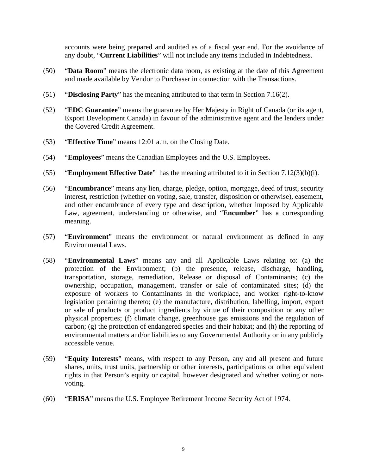accounts were being prepared and audited as of a fiscal year end. For the avoidance of any doubt, "**Current Liabilities**" will not include any items included in Indebtedness.

- (50) "**Data Room**" means the electronic data room, as existing at the date of this Agreement and made available by Vendor to Purchaser in connection with the Transactions.
- (51) "**Disclosing Party**" has the meaning attributed to that term in Section 7.16(2).
- (52) "**EDC Guarantee**" means the guarantee by Her Majesty in Right of Canada (or its agent, Export Development Canada) in favour of the administrative agent and the lenders under the Covered Credit Agreement.
- (53) "**Effective Time**" means 12:01 a.m. on the Closing Date.
- (54) "**Employees**" means the Canadian Employees and the U.S. Employees.
- (55) "**Employment Effective Date**" has the meaning attributed to it in Section 7.12(3)(b)(i).
- (56) "**Encumbrance**" means any lien, charge, pledge, option, mortgage, deed of trust, security interest, restriction (whether on voting, sale, transfer, disposition or otherwise), easement, and other encumbrance of every type and description, whether imposed by Applicable Law, agreement, understanding or otherwise, and "**Encumber**" has a corresponding meaning.
- (57) "**Environment**" means the environment or natural environment as defined in any Environmental Laws.
- (58) "**Environmental Laws**" means any and all Applicable Laws relating to: (a) the protection of the Environment; (b) the presence, release, discharge, handling, transportation, storage, remediation, Release or disposal of Contaminants; (c) the ownership, occupation, management, transfer or sale of contaminated sites; (d) the exposure of workers to Contaminants in the workplace, and worker right-to-know legislation pertaining thereto; (e) the manufacture, distribution, labelling, import, export or sale of products or product ingredients by virtue of their composition or any other physical properties; (f) climate change, greenhouse gas emissions and the regulation of carbon; (g) the protection of endangered species and their habitat; and (h) the reporting of environmental matters and/or liabilities to any Governmental Authority or in any publicly accessible venue.
- (59) "**Equity Interests**" means, with respect to any Person, any and all present and future shares, units, trust units, partnership or other interests, participations or other equivalent rights in that Person's equity or capital, however designated and whether voting or nonvoting.
- (60) "**ERISA**" means the U.S. Employee Retirement Income Security Act of 1974.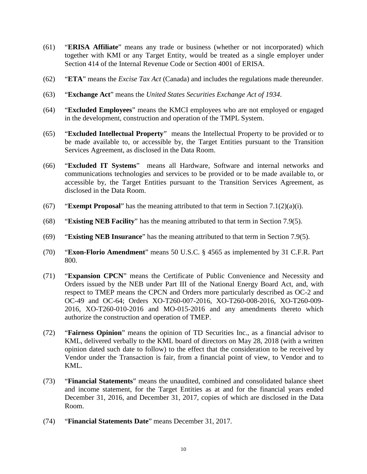- (61) "**ERISA Affiliate**" means any trade or business (whether or not incorporated) which together with KMI or any Target Entity, would be treated as a single employer under Section 414 of the Internal Revenue Code or Section 4001 of ERISA.
- (62) "**ETA**" means the *Excise Tax Act* (Canada) and includes the regulations made thereunder.
- (63) "**Exchange Act**" means the *United States Securities Exchange Act of 1934*.
- (64) "**Excluded Employees**" means the KMCI employees who are not employed or engaged in the development, construction and operation of the TMPL System.
- (65) "**Excluded Intellectual Property**" means the Intellectual Property to be provided or to be made available to, or accessible by, the Target Entities pursuant to the Transition Services Agreement, as disclosed in the Data Room.
- (66) "**Excluded IT Systems**" means all Hardware, Software and internal networks and communications technologies and services to be provided or to be made available to, or accessible by, the Target Entities pursuant to the Transition Services Agreement, as disclosed in the Data Room.
- (67) "**Exempt Proposal**" has the meaning attributed to that term in Section 7.1(2)(a)(i).
- (68) "**Existing NEB Facility**" has the meaning attributed to that term in Section 7.9(5).
- (69) "**Existing NEB Insurance**" has the meaning attributed to that term in Section 7.9(5).
- (70) "**Exon-Florio Amendment**" means 50 U.S.C. § 4565 as implemented by 31 C.F.R. Part 800.
- (71) "**Expansion CPCN**" means the Certificate of Public Convenience and Necessity and Orders issued by the NEB under Part III of the National Energy Board Act, and, with respect to TMEP means the CPCN and Orders more particularly described as OC-2 and OC-49 and OC-64; Orders XO-T260-007-2016, XO-T260-008-2016, XO-T260-009- 2016, XO-T260-010-2016 and MO-015-2016 and any amendments thereto which authorize the construction and operation of TMEP.
- (72) "**Fairness Opinion**" means the opinion of TD Securities Inc., as a financial advisor to KML, delivered verbally to the KML board of directors on May 28, 2018 (with a written opinion dated such date to follow) to the effect that the consideration to be received by Vendor under the Transaction is fair, from a financial point of view, to Vendor and to KML.
- (73) "**Financial Statements**" means the unaudited, combined and consolidated balance sheet and income statement, for the Target Entities as at and for the financial years ended December 31, 2016, and December 31, 2017, copies of which are disclosed in the Data Room.
- (74) "**Financial Statements Date**" means December 31, 2017.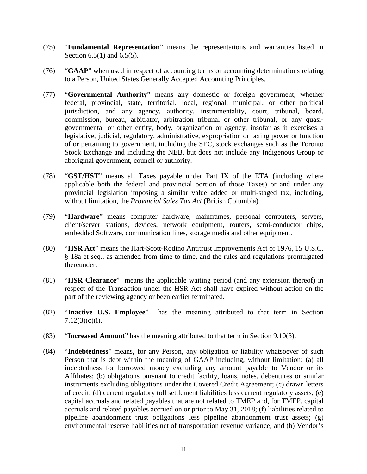- (75) "**Fundamental Representation**" means the representations and warranties listed in Section 6.5(1) and 6.5(5).
- (76) "**GAAP**" when used in respect of accounting terms or accounting determinations relating to a Person, United States Generally Accepted Accounting Principles.
- (77) "**Governmental Authority**" means any domestic or foreign government, whether federal, provincial, state, territorial, local, regional, municipal, or other political jurisdiction, and any agency, authority, instrumentality, court, tribunal, board, commission, bureau, arbitrator, arbitration tribunal or other tribunal, or any quasigovernmental or other entity, body, organization or agency, insofar as it exercises a legislative, judicial, regulatory, administrative, expropriation or taxing power or function of or pertaining to government, including the SEC, stock exchanges such as the Toronto Stock Exchange and including the NEB, but does not include any Indigenous Group or aboriginal government, council or authority.
- (78) "**GST/HST**" means all Taxes payable under Part IX of the ETA (including where applicable both the federal and provincial portion of those Taxes) or and under any provincial legislation imposing a similar value added or multi-staged tax, including, without limitation, the *Provincial Sales Tax Act* (British Columbia).
- (79) "**Hardware**" means computer hardware, mainframes, personal computers, servers, client/server stations, devices, network equipment, routers, semi-conductor chips, embedded Software, communication lines, storage media and other equipment.
- (80) "**HSR Act**" means the Hart-Scott-Rodino Antitrust Improvements Act of 1976, 15 U.S.C. § 18a et seq., as amended from time to time, and the rules and regulations promulgated thereunder.
- (81) "**HSR Clearance**" means the applicable waiting period (and any extension thereof) in respect of the Transaction under the HSR Act shall have expired without action on the part of the reviewing agency or been earlier terminated.
- (82) "**Inactive U.S. Employee**" has the meaning attributed to that term in Section  $7.12(3)(c)(i)$ .
- (83) "**Increased Amount**" has the meaning attributed to that term in Section 9.10(3).
- (84) "**Indebtedness**" means, for any Person, any obligation or liability whatsoever of such Person that is debt within the meaning of GAAP including, without limitation: (a) all indebtedness for borrowed money excluding any amount payable to Vendor or its Affiliates; (b) obligations pursuant to credit facility, loans, notes, debentures or similar instruments excluding obligations under the Covered Credit Agreement; (c) drawn letters of credit; (d) current regulatory toll settlement liabilities less current regulatory assets; (e) capital accruals and related payables that are not related to TMEP and, for TMEP, capital accruals and related payables accrued on or prior to May 31, 2018; (f) liabilities related to pipeline abandonment trust obligations less pipeline abandonment trust assets; (g) environmental reserve liabilities net of transportation revenue variance; and (h) Vendor's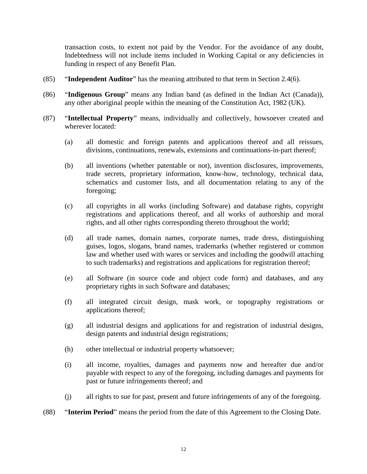transaction costs, to extent not paid by the Vendor. For the avoidance of any doubt, Indebtedness will not include items included in Working Capital or any deficiencies in funding in respect of any Benefit Plan.

- (85) "**Independent Auditor**" has the meaning attributed to that term in Section 2.4(6).
- (86) "**Indigenous Group**" means any Indian band (as defined in the Indian Act (Canada)), any other aboriginal people within the meaning of the Constitution Act, 1982 (UK).
- (87) "**Intellectual Property**" means, individually and collectively, howsoever created and wherever located:
	- (a) all domestic and foreign patents and applications thereof and all reissues, divisions, continuations, renewals, extensions and continuations-in-part thereof;
	- (b) all inventions (whether patentable or not), invention disclosures, improvements, trade secrets, proprietary information, know-how, technology, technical data, schematics and customer lists, and all documentation relating to any of the foregoing;
	- (c) all copyrights in all works (including Software) and database rights, copyright registrations and applications thereof, and all works of authorship and moral rights, and all other rights corresponding thereto throughout the world;
	- (d) all trade names, domain names, corporate names, trade dress, distinguishing guises, logos, slogans, brand names, trademarks (whether registered or common law and whether used with wares or services and including the goodwill attaching to such trademarks) and registrations and applications for registration thereof;
	- (e) all Software (in source code and object code form) and databases, and any proprietary rights in such Software and databases;
	- (f) all integrated circuit design, mask work, or topography registrations or applications thereof;
	- (g) all industrial designs and applications for and registration of industrial designs, design patents and industrial design registrations;
	- (h) other intellectual or industrial property whatsoever;
	- (i) all income, royalties, damages and payments now and hereafter due and/or payable with respect to any of the foregoing, including damages and payments for past or future infringements thereof; and
	- (j) all rights to sue for past, present and future infringements of any of the foregoing.

### (88) "**Interim Period**" means the period from the date of this Agreement to the Closing Date.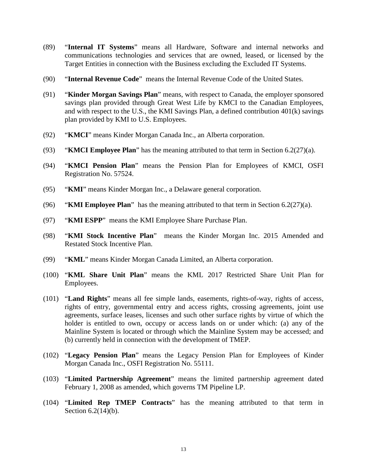- (89) "**Internal IT Systems**" means all Hardware, Software and internal networks and communications technologies and services that are owned, leased, or licensed by the Target Entities in connection with the Business excluding the Excluded IT Systems.
- (90) "**Internal Revenue Code**" means the Internal Revenue Code of the United States.
- (91) "**Kinder Morgan Savings Plan**" means, with respect to Canada, the employer sponsored savings plan provided through Great West Life by KMCI to the Canadian Employees, and with respect to the U.S., the KMI Savings Plan, a defined contribution 401(k) savings plan provided by KMI to U.S. Employees.
- (92) "**KMCI**" means Kinder Morgan Canada Inc., an Alberta corporation.
- (93) "**KMCI Employee Plan**" has the meaning attributed to that term in Section 6.2(27)(a).
- (94) "**KMCI Pension Plan**" means the Pension Plan for Employees of KMCI, OSFI Registration No. 57524.
- (95) "**KMI**" means Kinder Morgan Inc., a Delaware general corporation.
- (96) "**KMI Employee Plan**" has the meaning attributed to that term in Section 6.2(27)(a).
- (97) "**KMI ESPP**" means the KMI Employee Share Purchase Plan.
- (98) "**KMI Stock Incentive Plan**" means the Kinder Morgan Inc. 2015 Amended and Restated Stock Incentive Plan.
- (99) "**KML**" means Kinder Morgan Canada Limited, an Alberta corporation.
- (100) "**KML Share Unit Plan**" means the KML 2017 Restricted Share Unit Plan for Employees.
- (101) "**Land Rights**" means all fee simple lands, easements, rights-of-way, rights of access, rights of entry, governmental entry and access rights, crossing agreements, joint use agreements, surface leases, licenses and such other surface rights by virtue of which the holder is entitled to own, occupy or access lands on or under which: (a) any of the Mainline System is located or through which the Mainline System may be accessed; and (b) currently held in connection with the development of TMEP.
- (102) "**Legacy Pension Plan**" means the Legacy Pension Plan for Employees of Kinder Morgan Canada Inc., OSFI Registration No. 55111.
- (103) "**Limited Partnership Agreement**" means the limited partnership agreement dated February 1, 2008 as amended, which governs TM Pipeline LP.
- (104) "**Limited Rep TMEP Contracts**" has the meaning attributed to that term in Section 6.2(14)(b).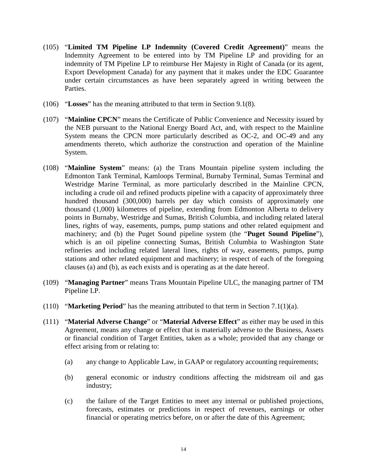- (105) "**Limited TM Pipeline LP Indemnity (Covered Credit Agreement)**" means the Indemnity Agreement to be entered into by TM Pipeline LP and providing for an indemnity of TM Pipeline LP to reimburse Her Majesty in Right of Canada (or its agent, Export Development Canada) for any payment that it makes under the EDC Guarantee under certain circumstances as have been separately agreed in writing between the Parties.
- (106) "**Losses**" has the meaning attributed to that term in Section 9.1(8).
- (107) "**Mainline CPCN**" means the Certificate of Public Convenience and Necessity issued by the NEB pursuant to the National Energy Board Act, and, with respect to the Mainline System means the CPCN more particularly described as OC-2, and OC-49 and any amendments thereto, which authorize the construction and operation of the Mainline System.
- (108) "**Mainline System**" means: (a) the Trans Mountain pipeline system including the Edmonton Tank Terminal, Kamloops Terminal, Burnaby Terminal, Sumas Terminal and Westridge Marine Terminal, as more particularly described in the Mainline CPCN, including a crude oil and refined products pipeline with a capacity of approximately three hundred thousand (300,000) barrels per day which consists of approximately one thousand (1,000) kilometres of pipeline, extending from Edmonton Alberta to delivery points in Burnaby, Westridge and Sumas, British Columbia, and including related lateral lines, rights of way, easements, pumps, pump stations and other related equipment and machinery; and (b) the Puget Sound pipeline system (the "**Puget Sound Pipeline**"), which is an oil pipeline connecting Sumas, British Columbia to Washington State refineries and including related lateral lines, rights of way, easements, pumps, pump stations and other related equipment and machinery; in respect of each of the foregoing clauses (a) and (b), as each exists and is operating as at the date hereof.
- (109) "**Managing Partner**" means Trans Mountain Pipeline ULC, the managing partner of TM Pipeline LP.
- (110) "**Marketing Period**" has the meaning attributed to that term in Section 7.1(1)(a).
- (111) "**Material Adverse Change**" or "**Material Adverse Effect**" as either may be used in this Agreement, means any change or effect that is materially adverse to the Business, Assets or financial condition of Target Entities, taken as a whole; provided that any change or effect arising from or relating to:
	- (a) any change to Applicable Law, in GAAP or regulatory accounting requirements;
	- (b) general economic or industry conditions affecting the midstream oil and gas industry;
	- (c) the failure of the Target Entities to meet any internal or published projections, forecasts, estimates or predictions in respect of revenues, earnings or other financial or operating metrics before, on or after the date of this Agreement;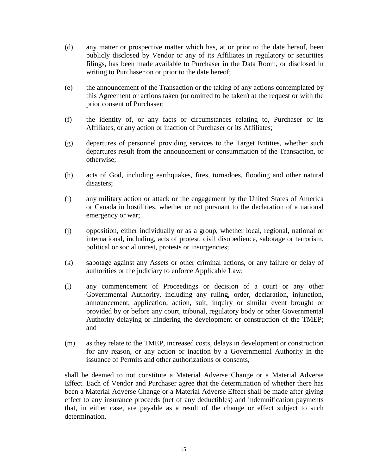- (d) any matter or prospective matter which has, at or prior to the date hereof, been publicly disclosed by Vendor or any of its Affiliates in regulatory or securities filings, has been made available to Purchaser in the Data Room, or disclosed in writing to Purchaser on or prior to the date hereof;
- (e) the announcement of the Transaction or the taking of any actions contemplated by this Agreement or actions taken (or omitted to be taken) at the request or with the prior consent of Purchaser;
- (f) the identity of, or any facts or circumstances relating to, Purchaser or its Affiliates, or any action or inaction of Purchaser or its Affiliates;
- (g) departures of personnel providing services to the Target Entities, whether such departures result from the announcement or consummation of the Transaction, or otherwise;
- (h) acts of God, including earthquakes, fires, tornadoes, flooding and other natural disasters;
- (i) any military action or attack or the engagement by the United States of America or Canada in hostilities, whether or not pursuant to the declaration of a national emergency or war;
- (j) opposition, either individually or as a group, whether local, regional, national or international, including, acts of protest, civil disobedience, sabotage or terrorism, political or social unrest, protests or insurgencies;
- (k) sabotage against any Assets or other criminal actions, or any failure or delay of authorities or the judiciary to enforce Applicable Law;
- (l) any commencement of Proceedings or decision of a court or any other Governmental Authority, including any ruling, order, declaration, injunction, announcement, application, action, suit, inquiry or similar event brought or provided by or before any court, tribunal, regulatory body or other Governmental Authority delaying or hindering the development or construction of the TMEP; and
- (m) as they relate to the TMEP, increased costs, delays in development or construction for any reason, or any action or inaction by a Governmental Authority in the issuance of Permits and other authorizations or consents,

shall be deemed to not constitute a Material Adverse Change or a Material Adverse Effect. Each of Vendor and Purchaser agree that the determination of whether there has been a Material Adverse Change or a Material Adverse Effect shall be made after giving effect to any insurance proceeds (net of any deductibles) and indemnification payments that, in either case, are payable as a result of the change or effect subject to such determination.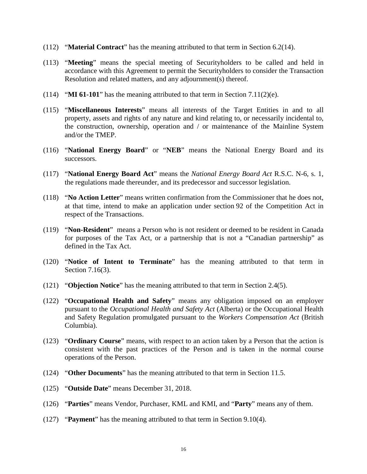- (112) "**Material Contract**" has the meaning attributed to that term in Section 6.2(14).
- (113) "**Meeting**" means the special meeting of Securityholders to be called and held in accordance with this Agreement to permit the Securityholders to consider the Transaction Resolution and related matters, and any adjournment(s) thereof.
- (114) "**MI 61-101**" has the meaning attributed to that term in Section 7.11(2)(e).
- (115) "**Miscellaneous Interests**" means all interests of the Target Entities in and to all property, assets and rights of any nature and kind relating to, or necessarily incidental to, the construction, ownership, operation and / or maintenance of the Mainline System and/or the TMEP.
- (116) "**National Energy Board**" or "**NEB**" means the National Energy Board and its successors.
- (117) "**National Energy Board Act**" means the *National Energy Board Act* R.S.C. N-6, s. 1, the regulations made thereunder, and its predecessor and successor legislation.
- (118) "**No Action Letter**" means written confirmation from the Commissioner that he does not, at that time, intend to make an application under section 92 of the Competition Act in respect of the Transactions.
- (119) "**Non-Resident**" means a Person who is not resident or deemed to be resident in Canada for purposes of the Tax Act, or a partnership that is not a "Canadian partnership" as defined in the Tax Act.
- (120) "**Notice of Intent to Terminate**" has the meaning attributed to that term in Section 7.16(3).
- (121) "**Objection Notice**" has the meaning attributed to that term in Section 2.4(5).
- (122) "**Occupational Health and Safety**" means any obligation imposed on an employer pursuant to the *Occupational Health and Safety Act* (Alberta) or the Occupational Health and Safety Regulation promulgated pursuant to the *Workers Compensation Act* (British Columbia).
- (123) "**Ordinary Course**" means, with respect to an action taken by a Person that the action is consistent with the past practices of the Person and is taken in the normal course operations of the Person.
- (124) "**Other Documents**" has the meaning attributed to that term in Section 11.5.
- (125) "**Outside Date**" means December 31, 2018.
- (126) "**Parties**" means Vendor, Purchaser, KML and KMI, and "**Party**" means any of them.
- (127) "**Payment**" has the meaning attributed to that term in Section 9.10(4).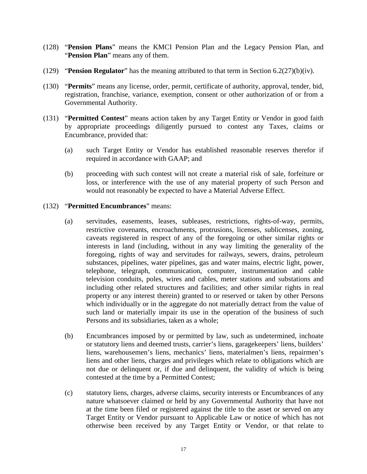- (128) "**Pension Plans**" means the KMCI Pension Plan and the Legacy Pension Plan, and "**Pension Plan**" means any of them.
- (129) "**Pension Regulator**" has the meaning attributed to that term in Section 6.2(27)(b)(iv).
- (130) "**Permits**" means any license, order, permit, certificate of authority, approval, tender, bid, registration, franchise, variance, exemption, consent or other authorization of or from a Governmental Authority.
- (131) "**Permitted Contest**" means action taken by any Target Entity or Vendor in good faith by appropriate proceedings diligently pursued to contest any Taxes, claims or Encumbrance, provided that:
	- (a) such Target Entity or Vendor has established reasonable reserves therefor if required in accordance with GAAP; and
	- (b) proceeding with such contest will not create a material risk of sale, forfeiture or loss, or interference with the use of any material property of such Person and would not reasonably be expected to have a Material Adverse Effect.

## (132) "**Permitted Encumbrances**" means:

- (a) servitudes, easements, leases, subleases, restrictions, rights-of-way, permits, restrictive covenants, encroachments, protrusions, licenses, sublicenses, zoning, caveats registered in respect of any of the foregoing or other similar rights or interests in land (including, without in any way limiting the generality of the foregoing, rights of way and servitudes for railways, sewers, drains, petroleum substances, pipelines, water pipelines, gas and water mains, electric light, power, telephone, telegraph, communication, computer, instrumentation and cable television conduits, poles, wires and cables, meter stations and substations and including other related structures and facilities; and other similar rights in real property or any interest therein) granted to or reserved or taken by other Persons which individually or in the aggregate do not materially detract from the value of such land or materially impair its use in the operation of the business of such Persons and its subsidiaries, taken as a whole;
- (b) Encumbrances imposed by or permitted by law, such as undetermined, inchoate or statutory liens and deemed trusts, carrier's liens, garagekeepers' liens, builders' liens, warehousemen's liens, mechanics' liens, materialmen's liens, repairmen's liens and other liens, charges and privileges which relate to obligations which are not due or delinquent or, if due and delinquent, the validity of which is being contested at the time by a Permitted Contest;
- (c) statutory liens, charges, adverse claims, security interests or Encumbrances of any nature whatsoever claimed or held by any Governmental Authority that have not at the time been filed or registered against the title to the asset or served on any Target Entity or Vendor pursuant to Applicable Law or notice of which has not otherwise been received by any Target Entity or Vendor, or that relate to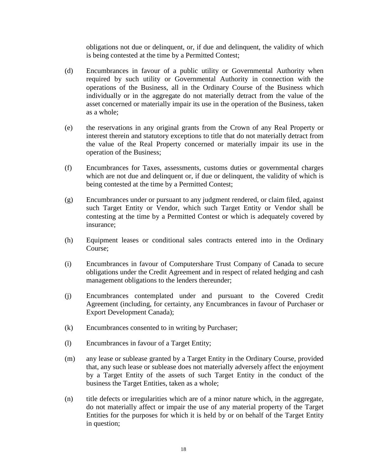obligations not due or delinquent, or, if due and delinquent, the validity of which is being contested at the time by a Permitted Contest;

- (d) Encumbrances in favour of a public utility or Governmental Authority when required by such utility or Governmental Authority in connection with the operations of the Business, all in the Ordinary Course of the Business which individually or in the aggregate do not materially detract from the value of the asset concerned or materially impair its use in the operation of the Business, taken as a whole;
- (e) the reservations in any original grants from the Crown of any Real Property or interest therein and statutory exceptions to title that do not materially detract from the value of the Real Property concerned or materially impair its use in the operation of the Business;
- (f) Encumbrances for Taxes, assessments, customs duties or governmental charges which are not due and delinquent or, if due or delinquent, the validity of which is being contested at the time by a Permitted Contest;
- (g) Encumbrances under or pursuant to any judgment rendered, or claim filed, against such Target Entity or Vendor, which such Target Entity or Vendor shall be contesting at the time by a Permitted Contest or which is adequately covered by insurance;
- (h) Equipment leases or conditional sales contracts entered into in the Ordinary Course;
- (i) Encumbrances in favour of Computershare Trust Company of Canada to secure obligations under the Credit Agreement and in respect of related hedging and cash management obligations to the lenders thereunder;
- (j) Encumbrances contemplated under and pursuant to the Covered Credit Agreement (including, for certainty, any Encumbrances in favour of Purchaser or Export Development Canada);
- (k) Encumbrances consented to in writing by Purchaser;
- (l) Encumbrances in favour of a Target Entity;
- (m) any lease or sublease granted by a Target Entity in the Ordinary Course, provided that, any such lease or sublease does not materially adversely affect the enjoyment by a Target Entity of the assets of such Target Entity in the conduct of the business the Target Entities, taken as a whole;
- (n) title defects or irregularities which are of a minor nature which, in the aggregate, do not materially affect or impair the use of any material property of the Target Entities for the purposes for which it is held by or on behalf of the Target Entity in question;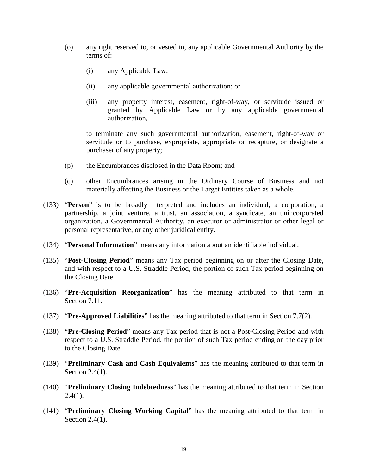- (o) any right reserved to, or vested in, any applicable Governmental Authority by the terms of:
	- (i) any Applicable Law;
	- (ii) any applicable governmental authorization; or
	- (iii) any property interest, easement, right-of-way, or servitude issued or granted by Applicable Law or by any applicable governmental authorization,

to terminate any such governmental authorization, easement, right-of-way or servitude or to purchase, expropriate, appropriate or recapture, or designate a purchaser of any property;

- (p) the Encumbrances disclosed in the Data Room; and
- (q) other Encumbrances arising in the Ordinary Course of Business and not materially affecting the Business or the Target Entities taken as a whole.
- (133) "**Person**" is to be broadly interpreted and includes an individual, a corporation, a partnership, a joint venture, a trust, an association, a syndicate, an unincorporated organization, a Governmental Authority, an executor or administrator or other legal or personal representative, or any other juridical entity.
- (134) "**Personal Information**" means any information about an identifiable individual.
- (135) "**Post-Closing Period**" means any Tax period beginning on or after the Closing Date, and with respect to a U.S. Straddle Period, the portion of such Tax period beginning on the Closing Date.
- (136) "**Pre-Acquisition Reorganization**" has the meaning attributed to that term in Section 7.11.
- (137) "**Pre-Approved Liabilities**" has the meaning attributed to that term in Section 7.7(2).
- (138) "**Pre-Closing Period**" means any Tax period that is not a Post-Closing Period and with respect to a U.S. Straddle Period, the portion of such Tax period ending on the day prior to the Closing Date.
- (139) "**Preliminary Cash and Cash Equivalents**" has the meaning attributed to that term in Section 2.4(1).
- (140) "**Preliminary Closing Indebtedness**" has the meaning attributed to that term in Section  $2.4(1)$ .
- (141) "**Preliminary Closing Working Capital**" has the meaning attributed to that term in Section 2.4(1).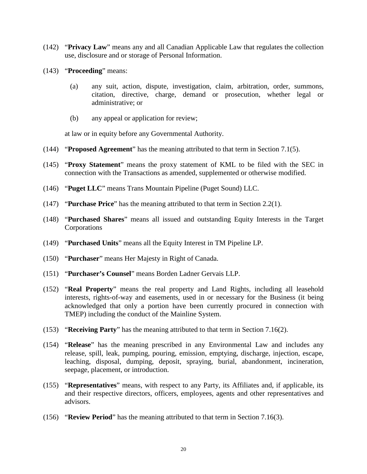- (142) "**Privacy Law**" means any and all Canadian Applicable Law that regulates the collection use, disclosure and or storage of Personal Information.
- (143) "**Proceeding**" means:
	- (a) any suit, action, dispute, investigation, claim, arbitration, order, summons, citation, directive, charge, demand or prosecution, whether legal or administrative; or
	- (b) any appeal or application for review;

at law or in equity before any Governmental Authority.

- (144) "**Proposed Agreement**" has the meaning attributed to that term in Section 7.1(5).
- (145) "**Proxy Statement**" means the proxy statement of KML to be filed with the SEC in connection with the Transactions as amended, supplemented or otherwise modified.
- (146) "**Puget LLC**" means Trans Mountain Pipeline (Puget Sound) LLC.
- (147) "**Purchase Price**" has the meaning attributed to that term in Section 2.2(1).
- (148) "**Purchased Shares**" means all issued and outstanding Equity Interests in the Target Corporations
- (149) "**Purchased Units**" means all the Equity Interest in TM Pipeline LP.
- (150) "**Purchaser**" means Her Majesty in Right of Canada.
- (151) "**Purchaser's Counsel**" means Borden Ladner Gervais LLP.
- (152) "**Real Property**" means the real property and Land Rights, including all leasehold interests, rights-of-way and easements, used in or necessary for the Business (it being acknowledged that only a portion have been currently procured in connection with TMEP) including the conduct of the Mainline System.
- (153) "**Receiving Party**" has the meaning attributed to that term in Section 7.16(2).
- (154) "**Release**" has the meaning prescribed in any Environmental Law and includes any release, spill, leak, pumping, pouring, emission, emptying, discharge, injection, escape, leaching, disposal, dumping, deposit, spraying, burial, abandonment, incineration, seepage, placement, or introduction.
- (155) "**Representatives**" means, with respect to any Party, its Affiliates and, if applicable, its and their respective directors, officers, employees, agents and other representatives and advisors.
- (156) "**Review Period**" has the meaning attributed to that term in Section 7.16(3).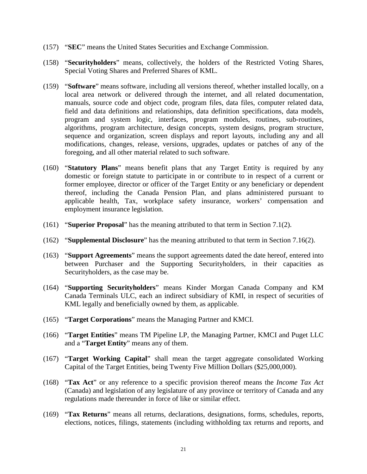- (157) "**SEC**" means the United States Securities and Exchange Commission.
- (158) "**Securityholders**" means, collectively, the holders of the Restricted Voting Shares, Special Voting Shares and Preferred Shares of KML.
- (159) "**Software**" means software, including all versions thereof, whether installed locally, on a local area network or delivered through the internet, and all related documentation, manuals, source code and object code, program files, data files, computer related data, field and data definitions and relationships, data definition specifications, data models, program and system logic, interfaces, program modules, routines, sub-routines, algorithms, program architecture, design concepts, system designs, program structure, sequence and organization, screen displays and report layouts, including any and all modifications, changes, release, versions, upgrades, updates or patches of any of the foregoing, and all other material related to such software.
- (160) "**Statutory Plans**" means benefit plans that any Target Entity is required by any domestic or foreign statute to participate in or contribute to in respect of a current or former employee, director or officer of the Target Entity or any beneficiary or dependent thereof, including the Canada Pension Plan, and plans administered pursuant to applicable health, Tax, workplace safety insurance, workers' compensation and employment insurance legislation.
- (161) "**Superior Proposal**" has the meaning attributed to that term in Section 7.1(2).
- (162) "**Supplemental Disclosure**" has the meaning attributed to that term in Section 7.16(2).
- (163) "**Support Agreements**" means the support agreements dated the date hereof, entered into between Purchaser and the Supporting Securityholders, in their capacities as Securityholders, as the case may be.
- (164) "**Supporting Securityholders**" means Kinder Morgan Canada Company and KM Canada Terminals ULC, each an indirect subsidiary of KMI, in respect of securities of KML legally and beneficially owned by them, as applicable.
- (165) "**Target Corporations**" means the Managing Partner and KMCI.
- (166) "**Target Entities**" means TM Pipeline LP, the Managing Partner, KMCI and Puget LLC and a "**Target Entity**" means any of them.
- (167) "**Target Working Capital**" shall mean the target aggregate consolidated Working Capital of the Target Entities, being Twenty Five Million Dollars (\$25,000,000).
- (168) "**Tax Act**" or any reference to a specific provision thereof means the *Income Tax Act* (Canada) and legislation of any legislature of any province or territory of Canada and any regulations made thereunder in force of like or similar effect.
- (169) "**Tax Returns**" means all returns, declarations, designations, forms, schedules, reports, elections, notices, filings, statements (including withholding tax returns and reports, and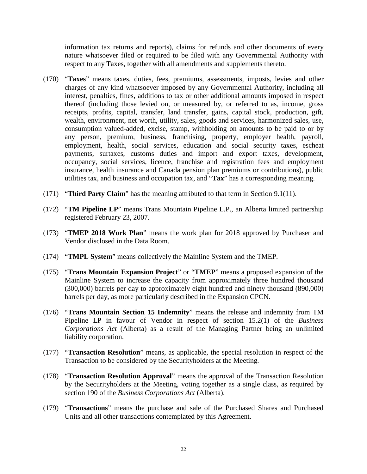information tax returns and reports), claims for refunds and other documents of every nature whatsoever filed or required to be filed with any Governmental Authority with respect to any Taxes, together with all amendments and supplements thereto.

- (170) "**Taxes**" means taxes, duties, fees, premiums, assessments, imposts, levies and other charges of any kind whatsoever imposed by any Governmental Authority, including all interest, penalties, fines, additions to tax or other additional amounts imposed in respect thereof (including those levied on, or measured by, or referred to as, income, gross receipts, profits, capital, transfer, land transfer, gains, capital stock, production, gift, wealth, environment, net worth, utility, sales, goods and services, harmonized sales, use, consumption valued-added, excise, stamp, withholding on amounts to be paid to or by any person, premium, business, franchising, property, employer health, payroll, employment, health, social services, education and social security taxes, escheat payments, surtaxes, customs duties and import and export taxes, development, occupancy, social services, licence, franchise and registration fees and employment insurance, health insurance and Canada pension plan premiums or contributions), public utilities tax, and business and occupation tax, and "**Tax**" has a corresponding meaning.
- (171) "**Third Party Claim**" has the meaning attributed to that term in Section 9.1(11).
- (172) "**TM Pipeline LP**" means Trans Mountain Pipeline L.P., an Alberta limited partnership registered February 23, 2007.
- (173) "**TMEP 2018 Work Plan**" means the work plan for 2018 approved by Purchaser and Vendor disclosed in the Data Room.
- (174) "**TMPL System**" means collectively the Mainline System and the TMEP.
- (175) "**Trans Mountain Expansion Project**" or "**TMEP**" means a proposed expansion of the Mainline System to increase the capacity from approximately three hundred thousand (300,000) barrels per day to approximately eight hundred and ninety thousand (890,000) barrels per day, as more particularly described in the Expansion CPCN.
- (176) "**Trans Mountain Section 15 Indemnity**" means the release and indemnity from TM Pipeline LP in favour of Vendor in respect of section 15.2(1) of the *Business Corporations Act* (Alberta) as a result of the Managing Partner being an unlimited liability corporation.
- (177) "**Transaction Resolution**" means, as applicable, the special resolution in respect of the Transaction to be considered by the Securityholders at the Meeting.
- (178) "**Transaction Resolution Approval**" means the approval of the Transaction Resolution by the Securityholders at the Meeting, voting together as a single class, as required by section 190 of the *Business Corporations Act* (Alberta).
- (179) "**Transactions**" means the purchase and sale of the Purchased Shares and Purchased Units and all other transactions contemplated by this Agreement.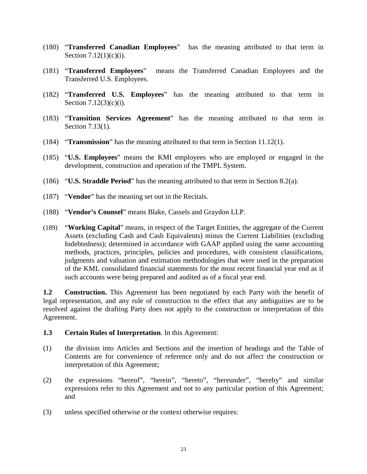- (180) "**Transferred Canadian Employees**" has the meaning attributed to that term in Section 7.12(1)(c)(i).
- (181) "**Transferred Employees**" means the Transferred Canadian Employees and the Transferred U.S. Employees.
- (182) "**Transferred U.S. Employees**" has the meaning attributed to that term in Section 7.12(3)(c)(i).
- (183) "**Transition Services Agreement**" has the meaning attributed to that term in Section 7.13(1).
- (184) "**Transmission**" has the meaning attributed to that term in Section 11.12(1).
- (185) "**U.S. Employees**" means the KMI employees who are employed or engaged in the development, construction and operation of the TMPL System.
- (186) "**U.S. Straddle Period**" has the meaning attributed to that term in Section 8.2(a).
- (187) "**Vendor**" has the meaning set out in the Recitals.
- (188) "**Vendor's Counsel**" means Blake, Cassels and Graydon LLP.
- (189) "**Working Capital**" means, in respect of the Target Entities, the aggregate of the Current Assets (excluding Cash and Cash Equivalents) minus the Current Liabilities (excluding Indebtedness); determined in accordance with GAAP applied using the same accounting methods, practices, principles, policies and procedures, with consistent classifications, judgments and valuation and estimation methodologies that were used in the preparation of the KML consolidated financial statements for the most recent financial year end as if such accounts were being prepared and audited as of a fiscal year end.

**1.2 Construction.** This Agreement has been negotiated by each Party with the benefit of legal representation, and any rule of construction to the effect that any ambiguities are to be resolved against the drafting Party does not apply to the construction or interpretation of this Agreement.

### **1.3 Certain Rules of Interpretation**. In this Agreement:

- (1) the division into Articles and Sections and the insertion of headings and the Table of Contents are for convenience of reference only and do not affect the construction or interpretation of this Agreement;
- (2) the expressions "hereof", "herein", "hereto", "hereunder", "hereby" and similar expressions refer to this Agreement and not to any particular portion of this Agreement; and
- (3) unless specified otherwise or the context otherwise requires: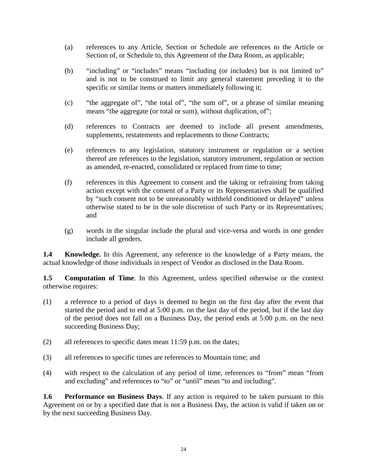- (a) references to any Article, Section or Schedule are references to the Article or Section of, or Schedule to, this Agreement of the Data Room, as applicable;
- (b) "including" or "includes" means "including (or includes) but is not limited to" and is not to be construed to limit any general statement preceding it to the specific or similar items or matters immediately following it;
- (c) "the aggregate of", "the total of", "the sum of", or a phrase of similar meaning means "the aggregate (or total or sum), without duplication, of";
- (d) references to Contracts are deemed to include all present amendments, supplements, restatements and replacements to those Contracts;
- (e) references to any legislation, statutory instrument or regulation or a section thereof are references to the legislation, statutory instrument, regulation or section as amended, re-enacted, consolidated or replaced from time to time;
- (f) references in this Agreement to consent and the taking or refraining from taking action except with the consent of a Party or its Representatives shall be qualified by "such consent not to be unreasonably withheld conditioned or delayed" unless otherwise stated to be in the sole discretion of such Party or its Representatives; and
- (g) words in the singular include the plural and vice-versa and words in one gender include all genders.

**1.4 Knowledge.** In this Agreement, any reference to the knowledge of a Party means, the actual knowledge of those individuals in respect of Vendor as disclosed in the Data Room.

**1.5 Computation of Time**. In this Agreement, unless specified otherwise or the context otherwise requires:

- (1) a reference to a period of days is deemed to begin on the first day after the event that started the period and to end at 5:00 p.m. on the last day of the period, but if the last day of the period does not fall on a Business Day, the period ends at 5:00 p.m. on the next succeeding Business Day;
- (2) all references to specific dates mean 11:59 p.m. on the dates;
- (3) all references to specific times are references to Mountain time; and
- (4) with respect to the calculation of any period of time, references to "from" mean "from and excluding" and references to "to" or "until" mean "to and including".

**1.6 Performance on Business Days**. If any action is required to be taken pursuant to this Agreement on or by a specified date that is not a Business Day, the action is valid if taken on or by the next succeeding Business Day.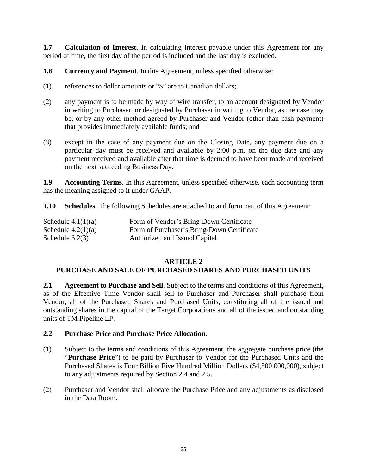**1.7 Calculation of Interest.** In calculating interest payable under this Agreement for any period of time, the first day of the period is included and the last day is excluded.

**1.8 Currency and Payment**. In this Agreement, unless specified otherwise:

- (1) references to dollar amounts or "\$" are to Canadian dollars;
- (2) any payment is to be made by way of wire transfer, to an account designated by Vendor in writing to Purchaser, or designated by Purchaser in writing to Vendor, as the case may be, or by any other method agreed by Purchaser and Vendor (other than cash payment) that provides immediately available funds; and
- (3) except in the case of any payment due on the Closing Date, any payment due on a particular day must be received and available by 2:00 p.m. on the due date and any payment received and available after that time is deemed to have been made and received on the next succeeding Business Day.

**1.9 Accounting Terms**. In this Agreement, unless specified otherwise, each accounting term has the meaning assigned to it under GAAP.

**1.10 Schedules**. The following Schedules are attached to and form part of this Agreement:

| Schedule $4.1(1)(a)$ | Form of Vendor's Bring-Down Certificate    |
|----------------------|--------------------------------------------|
| Schedule $4.2(1)(a)$ | Form of Purchaser's Bring-Down Certificate |
| Schedule $6.2(3)$    | Authorized and Issued Capital              |

### **ARTICLE 2**

# **PURCHASE AND SALE OF PURCHASED SHARES AND PURCHASED UNITS**

**2.1 Agreement to Purchase and Sell**. Subject to the terms and conditions of this Agreement, as of the Effective Time Vendor shall sell to Purchaser and Purchaser shall purchase from Vendor, all of the Purchased Shares and Purchased Units, constituting all of the issued and outstanding shares in the capital of the Target Corporations and all of the issued and outstanding units of TM Pipeline LP.

### **2.2 Purchase Price and Purchase Price Allocation**.

- (1) Subject to the terms and conditions of this Agreement, the aggregate purchase price (the "**Purchase Price**") to be paid by Purchaser to Vendor for the Purchased Units and the Purchased Shares is Four Billion Five Hundred Million Dollars (\$4,500,000,000), subject to any adjustments required by Section 2.4 and 2.5.
- (2) Purchaser and Vendor shall allocate the Purchase Price and any adjustments as disclosed in the Data Room.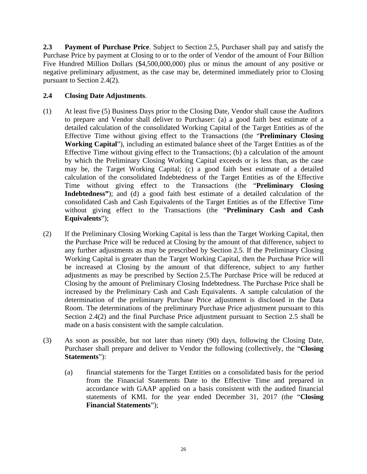**2.3 Payment of Purchase Price**. Subject to Section 2.5, Purchaser shall pay and satisfy the Purchase Price by payment at Closing to or to the order of Vendor of the amount of Four Billion Five Hundred Million Dollars (\$4,500,000,000) plus or minus the amount of any positive or negative preliminary adjustment, as the case may be, determined immediately prior to Closing pursuant to Section 2.4(2).

# **2.4 Closing Date Adjustments**.

- (1) At least five (5) Business Days prior to the Closing Date, Vendor shall cause the Auditors to prepare and Vendor shall deliver to Purchaser: (a) a good faith best estimate of a detailed calculation of the consolidated Working Capital of the Target Entities as of the Effective Time without giving effect to the Transactions (the "**Preliminary Closing Working Capital**"), including an estimated balance sheet of the Target Entities as of the Effective Time without giving effect to the Transactions; (b) a calculation of the amount by which the Preliminary Closing Working Capital exceeds or is less than, as the case may be, the Target Working Capital; (c) a good faith best estimate of a detailed calculation of the consolidated Indebtedness of the Target Entities as of the Effective Time without giving effect to the Transactions (the "**Preliminary Closing Indebtedness"**); and (d) a good faith best estimate of a detailed calculation of the consolidated Cash and Cash Equivalents of the Target Entities as of the Effective Time without giving effect to the Transactions (the "**Preliminary Cash and Cash Equivalents**");
- (2) If the Preliminary Closing Working Capital is less than the Target Working Capital, then the Purchase Price will be reduced at Closing by the amount of that difference, subject to any further adjustments as may be prescribed by Section 2.5. If the Preliminary Closing Working Capital is greater than the Target Working Capital, then the Purchase Price will be increased at Closing by the amount of that difference, subject to any further adjustments as may be prescribed by Section 2.5.The Purchase Price will be reduced at Closing by the amount of Preliminary Closing Indebtedness. The Purchase Price shall be increased by the Preliminary Cash and Cash Equivalents. A sample calculation of the determination of the preliminary Purchase Price adjustment is disclosed in the Data Room. The determinations of the preliminary Purchase Price adjustment pursuant to this Section 2.4(2) and the final Purchase Price adjustment pursuant to Section 2.5 shall be made on a basis consistent with the sample calculation.
- (3) As soon as possible, but not later than ninety (90) days, following the Closing Date, Purchaser shall prepare and deliver to Vendor the following (collectively, the "**Closing Statements**"):
	- (a) financial statements for the Target Entities on a consolidated basis for the period from the Financial Statements Date to the Effective Time and prepared in accordance with GAAP applied on a basis consistent with the audited financial statements of KML for the year ended December 31, 2017 (the "**Closing Financial Statements**");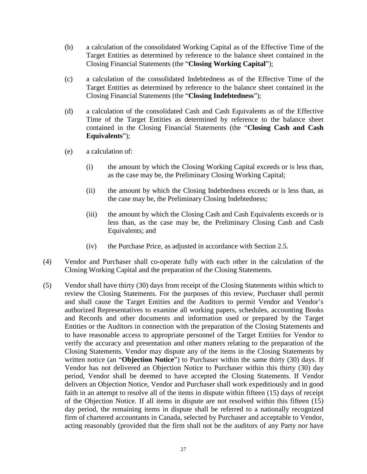- (b) a calculation of the consolidated Working Capital as of the Effective Time of the Target Entities as determined by reference to the balance sheet contained in the Closing Financial Statements (the "**Closing Working Capital**");
- (c) a calculation of the consolidated Indebtedness as of the Effective Time of the Target Entities as determined by reference to the balance sheet contained in the Closing Financial Statements (the "**Closing Indebtedness**");
- (d) a calculation of the consolidated Cash and Cash Equivalents as of the Effective Time of the Target Entities as determined by reference to the balance sheet contained in the Closing Financial Statements (the "**Closing Cash and Cash Equivalents**");
- (e) a calculation of:
	- (i) the amount by which the Closing Working Capital exceeds or is less than, as the case may be, the Preliminary Closing Working Capital;
	- (ii) the amount by which the Closing Indebtedness exceeds or is less than, as the case may be, the Preliminary Closing Indebtedness;
	- (iii) the amount by which the Closing Cash and Cash Equivalents exceeds or is less than, as the case may be, the Preliminary Closing Cash and Cash Equivalents; and
	- (iv) the Purchase Price, as adjusted in accordance with Section 2.5.
- (4) Vendor and Purchaser shall co-operate fully with each other in the calculation of the Closing Working Capital and the preparation of the Closing Statements.
- (5) Vendor shall have thirty (30) days from receipt of the Closing Statements within which to review the Closing Statements. For the purposes of this review, Purchaser shall permit and shall cause the Target Entities and the Auditors to permit Vendor and Vendor's authorized Representatives to examine all working papers, schedules, accounting Books and Records and other documents and information used or prepared by the Target Entities or the Auditors in connection with the preparation of the Closing Statements and to have reasonable access to appropriate personnel of the Target Entities for Vendor to verify the accuracy and presentation and other matters relating to the preparation of the Closing Statements. Vendor may dispute any of the items in the Closing Statements by written notice (an "**Objection Notice**") to Purchaser within the same thirty (30) days. If Vendor has not delivered an Objection Notice to Purchaser within this thirty (30) day period, Vendor shall be deemed to have accepted the Closing Statements. If Vendor delivers an Objection Notice, Vendor and Purchaser shall work expeditiously and in good faith in an attempt to resolve all of the items in dispute within fifteen (15) days of receipt of the Objection Notice. If all items in dispute are not resolved within this fifteen (15) day period, the remaining items in dispute shall be referred to a nationally recognized firm of chartered accountants in Canada, selected by Purchaser and acceptable to Vendor, acting reasonably (provided that the firm shall not be the auditors of any Party nor have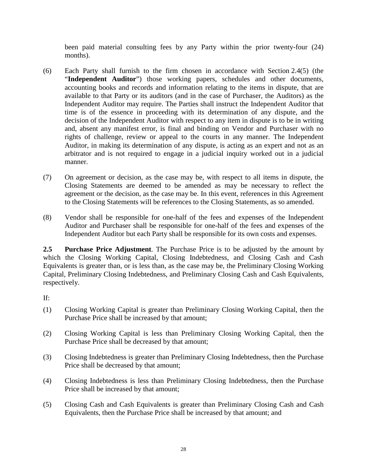been paid material consulting fees by any Party within the prior twenty-four (24) months).

- (6) Each Party shall furnish to the firm chosen in accordance with Section 2.4(5) (the "**Independent Auditor**") those working papers, schedules and other documents, accounting books and records and information relating to the items in dispute, that are available to that Party or its auditors (and in the case of Purchaser, the Auditors) as the Independent Auditor may require. The Parties shall instruct the Independent Auditor that time is of the essence in proceeding with its determination of any dispute, and the decision of the Independent Auditor with respect to any item in dispute is to be in writing and, absent any manifest error, is final and binding on Vendor and Purchaser with no rights of challenge, review or appeal to the courts in any manner. The Independent Auditor, in making its determination of any dispute, is acting as an expert and not as an arbitrator and is not required to engage in a judicial inquiry worked out in a judicial manner.
- (7) On agreement or decision, as the case may be, with respect to all items in dispute, the Closing Statements are deemed to be amended as may be necessary to reflect the agreement or the decision, as the case may be. In this event, references in this Agreement to the Closing Statements will be references to the Closing Statements, as so amended.
- (8) Vendor shall be responsible for one-half of the fees and expenses of the Independent Auditor and Purchaser shall be responsible for one-half of the fees and expenses of the Independent Auditor but each Party shall be responsible for its own costs and expenses.

**2.5 Purchase Price Adjustment**. The Purchase Price is to be adjusted by the amount by which the Closing Working Capital, Closing Indebtedness, and Closing Cash and Cash Equivalents is greater than, or is less than, as the case may be, the Preliminary Closing Working Capital, Preliminary Closing Indebtedness, and Preliminary Closing Cash and Cash Equivalents, respectively.

# If:

- (1) Closing Working Capital is greater than Preliminary Closing Working Capital, then the Purchase Price shall be increased by that amount;
- (2) Closing Working Capital is less than Preliminary Closing Working Capital, then the Purchase Price shall be decreased by that amount;
- (3) Closing Indebtedness is greater than Preliminary Closing Indebtedness, then the Purchase Price shall be decreased by that amount;
- (4) Closing Indebtedness is less than Preliminary Closing Indebtedness, then the Purchase Price shall be increased by that amount;
- (5) Closing Cash and Cash Equivalents is greater than Preliminary Closing Cash and Cash Equivalents, then the Purchase Price shall be increased by that amount; and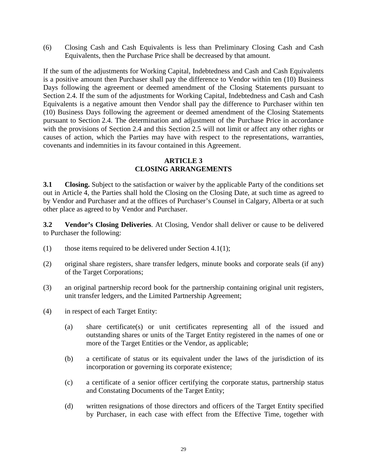(6) Closing Cash and Cash Equivalents is less than Preliminary Closing Cash and Cash Equivalents, then the Purchase Price shall be decreased by that amount.

If the sum of the adjustments for Working Capital, Indebtedness and Cash and Cash Equivalents is a positive amount then Purchaser shall pay the difference to Vendor within ten (10) Business Days following the agreement or deemed amendment of the Closing Statements pursuant to Section 2.4. If the sum of the adjustments for Working Capital, Indebtedness and Cash and Cash Equivalents is a negative amount then Vendor shall pay the difference to Purchaser within ten (10) Business Days following the agreement or deemed amendment of the Closing Statements pursuant to Section 2.4. The determination and adjustment of the Purchase Price in accordance with the provisions of Section 2.4 and this Section 2.5 will not limit or affect any other rights or causes of action, which the Parties may have with respect to the representations, warranties, covenants and indemnities in its favour contained in this Agreement.

### **ARTICLE 3 CLOSING ARRANGEMENTS**

**3.1 Closing.** Subject to the satisfaction or waiver by the applicable Party of the conditions set out in Article 4, the Parties shall hold the Closing on the Closing Date, at such time as agreed to by Vendor and Purchaser and at the offices of Purchaser's Counsel in Calgary, Alberta or at such other place as agreed to by Vendor and Purchaser.

**3.2 Vendor's Closing Deliveries**. At Closing, Vendor shall deliver or cause to be delivered to Purchaser the following:

- (1) those items required to be delivered under Section 4.1(1);
- (2) original share registers, share transfer ledgers, minute books and corporate seals (if any) of the Target Corporations;
- (3) an original partnership record book for the partnership containing original unit registers, unit transfer ledgers, and the Limited Partnership Agreement;
- (4) in respect of each Target Entity:
	- (a) share certificate(s) or unit certificates representing all of the issued and outstanding shares or units of the Target Entity registered in the names of one or more of the Target Entities or the Vendor, as applicable;
	- (b) a certificate of status or its equivalent under the laws of the jurisdiction of its incorporation or governing its corporate existence;
	- (c) a certificate of a senior officer certifying the corporate status, partnership status and Constating Documents of the Target Entity;
	- (d) written resignations of those directors and officers of the Target Entity specified by Purchaser, in each case with effect from the Effective Time, together with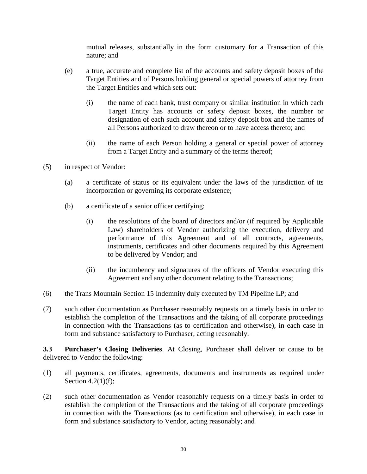mutual releases, substantially in the form customary for a Transaction of this nature; and

- (e) a true, accurate and complete list of the accounts and safety deposit boxes of the Target Entities and of Persons holding general or special powers of attorney from the Target Entities and which sets out:
	- (i) the name of each bank, trust company or similar institution in which each Target Entity has accounts or safety deposit boxes, the number or designation of each such account and safety deposit box and the names of all Persons authorized to draw thereon or to have access thereto; and
	- (ii) the name of each Person holding a general or special power of attorney from a Target Entity and a summary of the terms thereof;
- (5) in respect of Vendor:
	- (a) a certificate of status or its equivalent under the laws of the jurisdiction of its incorporation or governing its corporate existence;
	- (b) a certificate of a senior officer certifying:
		- (i) the resolutions of the board of directors and/or (if required by Applicable Law) shareholders of Vendor authorizing the execution, delivery and performance of this Agreement and of all contracts, agreements, instruments, certificates and other documents required by this Agreement to be delivered by Vendor; and
		- (ii) the incumbency and signatures of the officers of Vendor executing this Agreement and any other document relating to the Transactions;
- (6) the Trans Mountain Section 15 Indemnity duly executed by TM Pipeline LP; and
- (7) such other documentation as Purchaser reasonably requests on a timely basis in order to establish the completion of the Transactions and the taking of all corporate proceedings in connection with the Transactions (as to certification and otherwise), in each case in form and substance satisfactory to Purchaser, acting reasonably.

**3.3 Purchaser's Closing Deliveries**. At Closing, Purchaser shall deliver or cause to be delivered to Vendor the following:

- (1) all payments, certificates, agreements, documents and instruments as required under Section 4.2(1)(f);
- (2) such other documentation as Vendor reasonably requests on a timely basis in order to establish the completion of the Transactions and the taking of all corporate proceedings in connection with the Transactions (as to certification and otherwise), in each case in form and substance satisfactory to Vendor, acting reasonably; and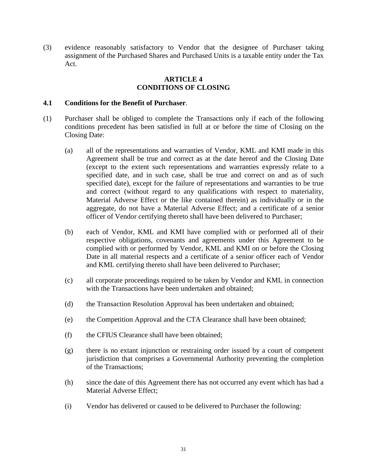(3) evidence reasonably satisfactory to Vendor that the designee of Purchaser taking assignment of the Purchased Shares and Purchased Units is a taxable entity under the Tax Act.

#### **ARTICLE 4 CONDITIONS OF CLOSING**

#### **4.1 Conditions for the Benefit of Purchaser**.

- (1) Purchaser shall be obliged to complete the Transactions only if each of the following conditions precedent has been satisfied in full at or before the time of Closing on the Closing Date:
	- (a) all of the representations and warranties of Vendor, KML and KMI made in this Agreement shall be true and correct as at the date hereof and the Closing Date (except to the extent such representations and warranties expressly relate to a specified date, and in such case, shall be true and correct on and as of such specified date), except for the failure of representations and warranties to be true and correct (without regard to any qualifications with respect to materiality, Material Adverse Effect or the like contained therein) as individually or in the aggregate, do not have a Material Adverse Effect; and a certificate of a senior officer of Vendor certifying thereto shall have been delivered to Purchaser;
	- (b) each of Vendor, KML and KMI have complied with or performed all of their respective obligations, covenants and agreements under this Agreement to be complied with or performed by Vendor, KML and KMI on or before the Closing Date in all material respects and a certificate of a senior officer each of Vendor and KML certifying thereto shall have been delivered to Purchaser;
	- (c) all corporate proceedings required to be taken by Vendor and KML in connection with the Transactions have been undertaken and obtained:
	- (d) the Transaction Resolution Approval has been undertaken and obtained;
	- (e) the Competition Approval and the CTA Clearance shall have been obtained;
	- (f) the CFIUS Clearance shall have been obtained;
	- (g) there is no extant injunction or restraining order issued by a court of competent jurisdiction that comprises a Governmental Authority preventing the completion of the Transactions;
	- (h) since the date of this Agreement there has not occurred any event which has had a Material Adverse Effect;
	- (i) Vendor has delivered or caused to be delivered to Purchaser the following: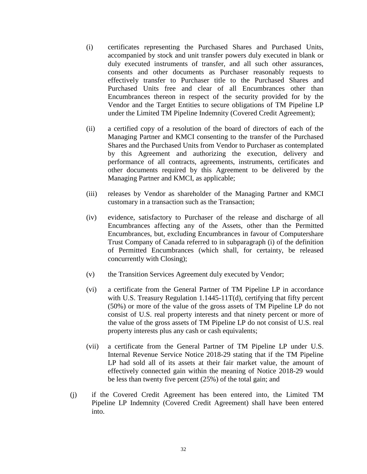- (i) certificates representing the Purchased Shares and Purchased Units, accompanied by stock and unit transfer powers duly executed in blank or duly executed instruments of transfer, and all such other assurances, consents and other documents as Purchaser reasonably requests to effectively transfer to Purchaser title to the Purchased Shares and Purchased Units free and clear of all Encumbrances other than Encumbrances thereon in respect of the security provided for by the Vendor and the Target Entities to secure obligations of TM Pipeline LP under the Limited TM Pipeline Indemnity (Covered Credit Agreement);
- (ii) a certified copy of a resolution of the board of directors of each of the Managing Partner and KMCI consenting to the transfer of the Purchased Shares and the Purchased Units from Vendor to Purchaser as contemplated by this Agreement and authorizing the execution, delivery and performance of all contracts, agreements, instruments, certificates and other documents required by this Agreement to be delivered by the Managing Partner and KMCI, as applicable;
- (iii) releases by Vendor as shareholder of the Managing Partner and KMCI customary in a transaction such as the Transaction;
- (iv) evidence, satisfactory to Purchaser of the release and discharge of all Encumbrances affecting any of the Assets, other than the Permitted Encumbrances, but, excluding Encumbrances in favour of Computershare Trust Company of Canada referred to in subparagraph (i) of the definition of Permitted Encumbrances (which shall, for certainty, be released concurrently with Closing);
- (v) the Transition Services Agreement duly executed by Vendor;
- (vi) a certificate from the General Partner of TM Pipeline LP in accordance with U.S. Treasury Regulation 1.1445-11T(d), certifying that fifty percent (50%) or more of the value of the gross assets of TM Pipeline LP do not consist of U.S. real property interests and that ninety percent or more of the value of the gross assets of TM Pipeline LP do not consist of U.S. real property interests plus any cash or cash equivalents;
- (vii) a certificate from the General Partner of TM Pipeline LP under U.S. Internal Revenue Service Notice 2018-29 stating that if the TM Pipeline LP had sold all of its assets at their fair market value, the amount of effectively connected gain within the meaning of Notice 2018-29 would be less than twenty five percent (25%) of the total gain; and
- (j) if the Covered Credit Agreement has been entered into, the Limited TM Pipeline LP Indemnity (Covered Credit Agreement) shall have been entered into.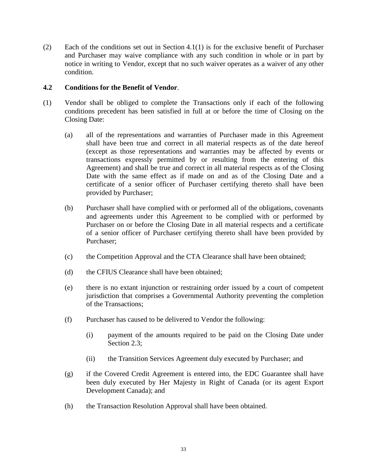(2) Each of the conditions set out in Section 4.1(1) is for the exclusive benefit of Purchaser and Purchaser may waive compliance with any such condition in whole or in part by notice in writing to Vendor, except that no such waiver operates as a waiver of any other condition.

### **4.2 Conditions for the Benefit of Vendor**.

- (1) Vendor shall be obliged to complete the Transactions only if each of the following conditions precedent has been satisfied in full at or before the time of Closing on the Closing Date:
	- (a) all of the representations and warranties of Purchaser made in this Agreement shall have been true and correct in all material respects as of the date hereof (except as those representations and warranties may be affected by events or transactions expressly permitted by or resulting from the entering of this Agreement) and shall be true and correct in all material respects as of the Closing Date with the same effect as if made on and as of the Closing Date and a certificate of a senior officer of Purchaser certifying thereto shall have been provided by Purchaser;
	- (b) Purchaser shall have complied with or performed all of the obligations, covenants and agreements under this Agreement to be complied with or performed by Purchaser on or before the Closing Date in all material respects and a certificate of a senior officer of Purchaser certifying thereto shall have been provided by Purchaser;
	- (c) the Competition Approval and the CTA Clearance shall have been obtained;
	- (d) the CFIUS Clearance shall have been obtained;
	- (e) there is no extant injunction or restraining order issued by a court of competent jurisdiction that comprises a Governmental Authority preventing the completion of the Transactions;
	- (f) Purchaser has caused to be delivered to Vendor the following:
		- (i) payment of the amounts required to be paid on the Closing Date under Section 2.3;
		- (ii) the Transition Services Agreement duly executed by Purchaser; and
	- (g) if the Covered Credit Agreement is entered into, the EDC Guarantee shall have been duly executed by Her Majesty in Right of Canada (or its agent Export Development Canada); and
	- (h) the Transaction Resolution Approval shall have been obtained.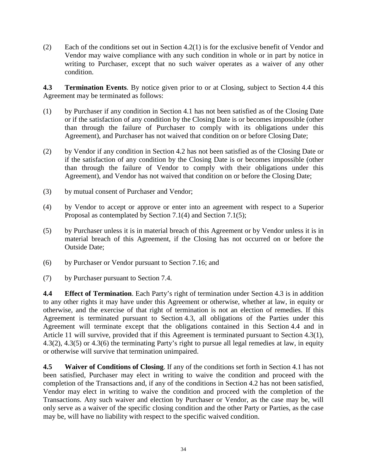(2) Each of the conditions set out in Section 4.2(1) is for the exclusive benefit of Vendor and Vendor may waive compliance with any such condition in whole or in part by notice in writing to Purchaser, except that no such waiver operates as a waiver of any other condition.

**4.3 Termination Events**. By notice given prior to or at Closing, subject to Section 4.4 this Agreement may be terminated as follows:

- (1) by Purchaser if any condition in Section 4.1 has not been satisfied as of the Closing Date or if the satisfaction of any condition by the Closing Date is or becomes impossible (other than through the failure of Purchaser to comply with its obligations under this Agreement), and Purchaser has not waived that condition on or before Closing Date;
- (2) by Vendor if any condition in Section 4.2 has not been satisfied as of the Closing Date or if the satisfaction of any condition by the Closing Date is or becomes impossible (other than through the failure of Vendor to comply with their obligations under this Agreement), and Vendor has not waived that condition on or before the Closing Date;
- (3) by mutual consent of Purchaser and Vendor;
- (4) by Vendor to accept or approve or enter into an agreement with respect to a Superior Proposal as contemplated by Section 7.1(4) and Section 7.1(5);
- (5) by Purchaser unless it is in material breach of this Agreement or by Vendor unless it is in material breach of this Agreement, if the Closing has not occurred on or before the Outside Date;
- (6) by Purchaser or Vendor pursuant to Section 7.16; and
- (7) by Purchaser pursuant to Section 7.4.

**4.4 Effect of Termination**. Each Party's right of termination under Section 4.3 is in addition to any other rights it may have under this Agreement or otherwise, whether at law, in equity or otherwise, and the exercise of that right of termination is not an election of remedies. If this Agreement is terminated pursuant to Section 4.3, all obligations of the Parties under this Agreement will terminate except that the obligations contained in this Section 4.4 and in Article 11 will survive, provided that if this Agreement is terminated pursuant to Section 4.3(1), 4.3(2), 4.3(5) or 4.3(6) the terminating Party's right to pursue all legal remedies at law, in equity or otherwise will survive that termination unimpaired.

**4.5 Waiver of Conditions of Closing**. If any of the conditions set forth in Section 4.1 has not been satisfied, Purchaser may elect in writing to waive the condition and proceed with the completion of the Transactions and, if any of the conditions in Section 4.2 has not been satisfied, Vendor may elect in writing to waive the condition and proceed with the completion of the Transactions. Any such waiver and election by Purchaser or Vendor, as the case may be, will only serve as a waiver of the specific closing condition and the other Party or Parties, as the case may be, will have no liability with respect to the specific waived condition.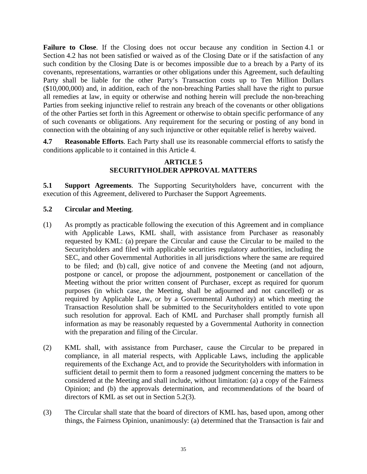**Failure to Close**. If the Closing does not occur because any condition in Section 4.1 or Section 4.2 has not been satisfied or waived as of the Closing Date or if the satisfaction of any such condition by the Closing Date is or becomes impossible due to a breach by a Party of its covenants, representations, warranties or other obligations under this Agreement, such defaulting Party shall be liable for the other Party's Transaction costs up to Ten Million Dollars (\$10,000,000) and, in addition, each of the non-breaching Parties shall have the right to pursue all remedies at law, in equity or otherwise and nothing herein will preclude the non-breaching Parties from seeking injunctive relief to restrain any breach of the covenants or other obligations of the other Parties set forth in this Agreement or otherwise to obtain specific performance of any of such covenants or obligations. Any requirement for the securing or posting of any bond in connection with the obtaining of any such injunctive or other equitable relief is hereby waived.

**4.7 Reasonable Efforts**. Each Party shall use its reasonable commercial efforts to satisfy the conditions applicable to it contained in this Article 4.

### **ARTICLE 5 SECURITYHOLDER APPROVAL MATTERS**

**5.1 Support Agreements**. The Supporting Securityholders have, concurrent with the execution of this Agreement, delivered to Purchaser the Support Agreements.

# **5.2 Circular and Meeting**.

- (1) As promptly as practicable following the execution of this Agreement and in compliance with Applicable Laws, KML shall, with assistance from Purchaser as reasonably requested by KML: (a) prepare the Circular and cause the Circular to be mailed to the Securityholders and filed with applicable securities regulatory authorities, including the SEC, and other Governmental Authorities in all jurisdictions where the same are required to be filed; and (b) call, give notice of and convene the Meeting (and not adjourn, postpone or cancel, or propose the adjournment, postponement or cancellation of the Meeting without the prior written consent of Purchaser, except as required for quorum purposes (in which case, the Meeting, shall be adjourned and not cancelled) or as required by Applicable Law, or by a Governmental Authority) at which meeting the Transaction Resolution shall be submitted to the Securityholders entitled to vote upon such resolution for approval. Each of KML and Purchaser shall promptly furnish all information as may be reasonably requested by a Governmental Authority in connection with the preparation and filing of the Circular.
- (2) KML shall, with assistance from Purchaser, cause the Circular to be prepared in compliance, in all material respects, with Applicable Laws, including the applicable requirements of the Exchange Act, and to provide the Securityholders with information in sufficient detail to permit them to form a reasoned judgment concerning the matters to be considered at the Meeting and shall include, without limitation: (a) a copy of the Fairness Opinion; and (b) the approvals determination, and recommendations of the board of directors of KML as set out in Section 5.2(3).
- (3) The Circular shall state that the board of directors of KML has, based upon, among other things, the Fairness Opinion, unanimously: (a) determined that the Transaction is fair and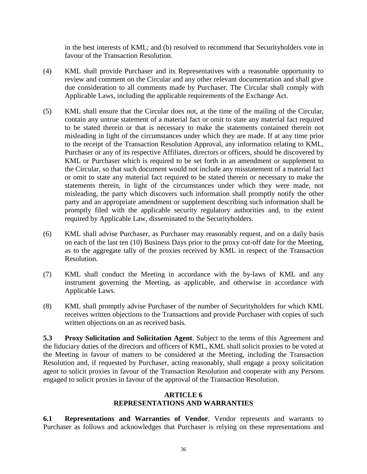in the best interests of KML; and (b) resolved to recommend that Securityholders vote in favour of the Transaction Resolution.

- (4) KML shall provide Purchaser and its Representatives with a reasonable opportunity to review and comment on the Circular and any other relevant documentation and shall give due consideration to all comments made by Purchaser. The Circular shall comply with Applicable Laws, including the applicable requirements of the Exchange Act.
- (5) KML shall ensure that the Circular does not, at the time of the mailing of the Circular, contain any untrue statement of a material fact or omit to state any material fact required to be stated therein or that is necessary to make the statements contained therein not misleading in light of the circumstances under which they are made. If at any time prior to the receipt of the Transaction Resolution Approval, any information relating to KML, Purchaser or any of its respective Affiliates, directors or officers, should be discovered by KML or Purchaser which is required to be set forth in an amendment or supplement to the Circular, so that such document would not include any misstatement of a material fact or omit to state any material fact required to be stated therein or necessary to make the statements therein, in light of the circumstances under which they were made, not misleading, the party which discovers such information shall promptly notify the other party and an appropriate amendment or supplement describing such information shall be promptly filed with the applicable security regulatory authorities and, to the extent required by Applicable Law, disseminated to the Securityholders.
- (6) KML shall advise Purchaser, as Purchaser may reasonably request, and on a daily basis on each of the last ten (10) Business Days prior to the proxy cut-off date for the Meeting, as to the aggregate tally of the proxies received by KML in respect of the Transaction Resolution.
- (7) KML shall conduct the Meeting in accordance with the by-laws of KML and any instrument governing the Meeting, as applicable, and otherwise in accordance with Applicable Laws.
- (8) KML shall promptly advise Purchaser of the number of Securityholders for which KML receives written objections to the Transactions and provide Purchaser with copies of such written objections on an as received basis.

**5.3 Proxy Solicitation and Solicitation Agent**. Subject to the terms of this Agreement and the fiduciary duties of the directors and officers of KML, KML shall solicit proxies to be voted at the Meeting in favour of matters to be considered at the Meeting, including the Transaction Resolution and, if requested by Purchaser, acting reasonably, shall engage a proxy solicitation agent to solicit proxies in favour of the Transaction Resolution and cooperate with any Persons engaged to solicit proxies in favour of the approval of the Transaction Resolution.

### **ARTICLE 6 REPRESENTATIONS AND WARRANTIES**

**6.1 Representations and Warranties of Vendor**. Vendor represents and warrants to Purchaser as follows and acknowledges that Purchaser is relying on these representations and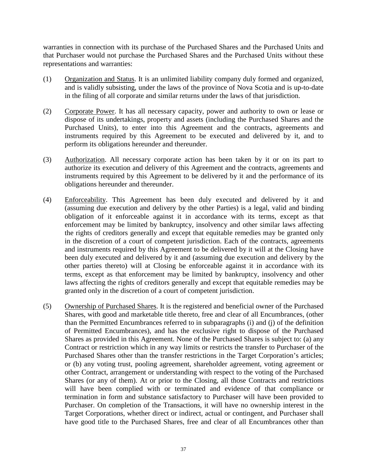warranties in connection with its purchase of the Purchased Shares and the Purchased Units and that Purchaser would not purchase the Purchased Shares and the Purchased Units without these representations and warranties:

- (1) Organization and Status. It is an unlimited liability company duly formed and organized, and is validly subsisting, under the laws of the province of Nova Scotia and is up-to-date in the filing of all corporate and similar returns under the laws of that jurisdiction.
- (2) Corporate Power. It has all necessary capacity, power and authority to own or lease or dispose of its undertakings, property and assets (including the Purchased Shares and the Purchased Units), to enter into this Agreement and the contracts, agreements and instruments required by this Agreement to be executed and delivered by it, and to perform its obligations hereunder and thereunder.
- (3) Authorization. All necessary corporate action has been taken by it or on its part to authorize its execution and delivery of this Agreement and the contracts, agreements and instruments required by this Agreement to be delivered by it and the performance of its obligations hereunder and thereunder.
- (4) Enforceability. This Agreement has been duly executed and delivered by it and (assuming due execution and delivery by the other Parties) is a legal, valid and binding obligation of it enforceable against it in accordance with its terms, except as that enforcement may be limited by bankruptcy, insolvency and other similar laws affecting the rights of creditors generally and except that equitable remedies may be granted only in the discretion of a court of competent jurisdiction. Each of the contracts, agreements and instruments required by this Agreement to be delivered by it will at the Closing have been duly executed and delivered by it and (assuming due execution and delivery by the other parties thereto) will at Closing be enforceable against it in accordance with its terms, except as that enforcement may be limited by bankruptcy, insolvency and other laws affecting the rights of creditors generally and except that equitable remedies may be granted only in the discretion of a court of competent jurisdiction.
- (5) Ownership of Purchased Shares. It is the registered and beneficial owner of the Purchased Shares, with good and marketable title thereto, free and clear of all Encumbrances, (other than the Permitted Encumbrances referred to in subparagraphs (i) and (j) of the definition of Permitted Encumbrances), and has the exclusive right to dispose of the Purchased Shares as provided in this Agreement. None of the Purchased Shares is subject to: (a) any Contract or restriction which in any way limits or restricts the transfer to Purchaser of the Purchased Shares other than the transfer restrictions in the Target Corporation's articles; or (b) any voting trust, pooling agreement, shareholder agreement, voting agreement or other Contract, arrangement or understanding with respect to the voting of the Purchased Shares (or any of them). At or prior to the Closing, all those Contracts and restrictions will have been complied with or terminated and evidence of that compliance or termination in form and substance satisfactory to Purchaser will have been provided to Purchaser. On completion of the Transactions, it will have no ownership interest in the Target Corporations, whether direct or indirect, actual or contingent, and Purchaser shall have good title to the Purchased Shares, free and clear of all Encumbrances other than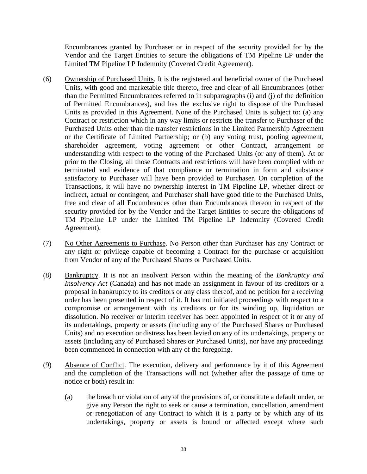Encumbrances granted by Purchaser or in respect of the security provided for by the Vendor and the Target Entities to secure the obligations of TM Pipeline LP under the Limited TM Pipeline LP Indemnity (Covered Credit Agreement).

- (6) Ownership of Purchased Units. It is the registered and beneficial owner of the Purchased Units, with good and marketable title thereto, free and clear of all Encumbrances (other than the Permitted Encumbrances referred to in subparagraphs (i) and (j) of the definition of Permitted Encumbrances), and has the exclusive right to dispose of the Purchased Units as provided in this Agreement. None of the Purchased Units is subject to: (a) any Contract or restriction which in any way limits or restricts the transfer to Purchaser of the Purchased Units other than the transfer restrictions in the Limited Partnership Agreement or the Certificate of Limited Partnership; or (b) any voting trust, pooling agreement, shareholder agreement, voting agreement or other Contract, arrangement or understanding with respect to the voting of the Purchased Units (or any of them). At or prior to the Closing, all those Contracts and restrictions will have been complied with or terminated and evidence of that compliance or termination in form and substance satisfactory to Purchaser will have been provided to Purchaser. On completion of the Transactions, it will have no ownership interest in TM Pipeline LP, whether direct or indirect, actual or contingent, and Purchaser shall have good title to the Purchased Units, free and clear of all Encumbrances other than Encumbrances thereon in respect of the security provided for by the Vendor and the Target Entities to secure the obligations of TM Pipeline LP under the Limited TM Pipeline LP Indemnity (Covered Credit Agreement).
- (7) No Other Agreements to Purchase. No Person other than Purchaser has any Contract or any right or privilege capable of becoming a Contract for the purchase or acquisition from Vendor of any of the Purchased Shares or Purchased Units.
- (8) Bankruptcy. It is not an insolvent Person within the meaning of the *Bankruptcy and Insolvency Act* (Canada) and has not made an assignment in favour of its creditors or a proposal in bankruptcy to its creditors or any class thereof, and no petition for a receiving order has been presented in respect of it. It has not initiated proceedings with respect to a compromise or arrangement with its creditors or for its winding up, liquidation or dissolution. No receiver or interim receiver has been appointed in respect of it or any of its undertakings, property or assets (including any of the Purchased Shares or Purchased Units) and no execution or distress has been levied on any of its undertakings, property or assets (including any of Purchased Shares or Purchased Units), nor have any proceedings been commenced in connection with any of the foregoing.
- (9) Absence of Conflict. The execution, delivery and performance by it of this Agreement and the completion of the Transactions will not (whether after the passage of time or notice or both) result in:
	- (a) the breach or violation of any of the provisions of, or constitute a default under, or give any Person the right to seek or cause a termination, cancellation, amendment or renegotiation of any Contract to which it is a party or by which any of its undertakings, property or assets is bound or affected except where such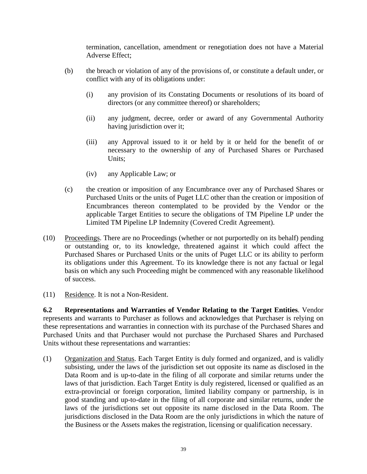termination, cancellation, amendment or renegotiation does not have a Material Adverse Effect;

- (b) the breach or violation of any of the provisions of, or constitute a default under, or conflict with any of its obligations under:
	- (i) any provision of its Constating Documents or resolutions of its board of directors (or any committee thereof) or shareholders;
	- (ii) any judgment, decree, order or award of any Governmental Authority having jurisdiction over it;
	- (iii) any Approval issued to it or held by it or held for the benefit of or necessary to the ownership of any of Purchased Shares or Purchased Units;
	- (iv) any Applicable Law; or
- (c) the creation or imposition of any Encumbrance over any of Purchased Shares or Purchased Units or the units of Puget LLC other than the creation or imposition of Encumbrances thereon contemplated to be provided by the Vendor or the applicable Target Entities to secure the obligations of TM Pipeline LP under the Limited TM Pipeline LP Indemnity (Covered Credit Agreement).
- (10) Proceedings. There are no Proceedings (whether or not purportedly on its behalf) pending or outstanding or, to its knowledge, threatened against it which could affect the Purchased Shares or Purchased Units or the units of Puget LLC or its ability to perform its obligations under this Agreement. To its knowledge there is not any factual or legal basis on which any such Proceeding might be commenced with any reasonable likelihood of success.
- (11) Residence. It is not a Non-Resident.

**6.2 Representations and Warranties of Vendor Relating to the Target Entities**. Vendor represents and warrants to Purchaser as follows and acknowledges that Purchaser is relying on these representations and warranties in connection with its purchase of the Purchased Shares and Purchased Units and that Purchaser would not purchase the Purchased Shares and Purchased Units without these representations and warranties:

(1) Organization and Status. Each Target Entity is duly formed and organized, and is validly subsisting, under the laws of the jurisdiction set out opposite its name as disclosed in the Data Room and is up-to-date in the filing of all corporate and similar returns under the laws of that jurisdiction. Each Target Entity is duly registered, licensed or qualified as an extra-provincial or foreign corporation, limited liability company or partnership, is in good standing and up-to-date in the filing of all corporate and similar returns, under the laws of the jurisdictions set out opposite its name disclosed in the Data Room. The jurisdictions disclosed in the Data Room are the only jurisdictions in which the nature of the Business or the Assets makes the registration, licensing or qualification necessary.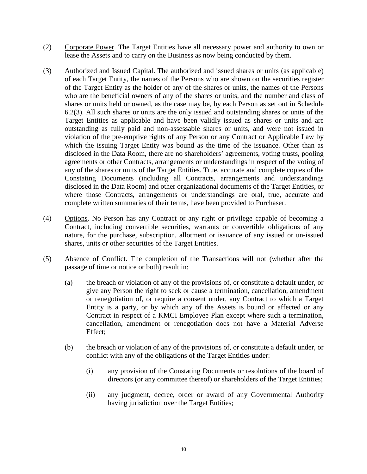- (2) Corporate Power. The Target Entities have all necessary power and authority to own or lease the Assets and to carry on the Business as now being conducted by them.
- (3) Authorized and Issued Capital. The authorized and issued shares or units (as applicable) of each Target Entity, the names of the Persons who are shown on the securities register of the Target Entity as the holder of any of the shares or units, the names of the Persons who are the beneficial owners of any of the shares or units, and the number and class of shares or units held or owned, as the case may be, by each Person as set out in Schedule 6.2(3). All such shares or units are the only issued and outstanding shares or units of the Target Entities as applicable and have been validly issued as shares or units and are outstanding as fully paid and non-assessable shares or units, and were not issued in violation of the pre-emptive rights of any Person or any Contract or Applicable Law by which the issuing Target Entity was bound as the time of the issuance. Other than as disclosed in the Data Room, there are no shareholders' agreements, voting trusts, pooling agreements or other Contracts, arrangements or understandings in respect of the voting of any of the shares or units of the Target Entities. True, accurate and complete copies of the Constating Documents (including all Contracts, arrangements and understandings disclosed in the Data Room) and other organizational documents of the Target Entities, or where those Contracts, arrangements or understandings are oral, true, accurate and complete written summaries of their terms, have been provided to Purchaser.
- (4) Options. No Person has any Contract or any right or privilege capable of becoming a Contract, including convertible securities, warrants or convertible obligations of any nature, for the purchase, subscription, allotment or issuance of any issued or un-issued shares, units or other securities of the Target Entities.
- (5) Absence of Conflict. The completion of the Transactions will not (whether after the passage of time or notice or both) result in:
	- (a) the breach or violation of any of the provisions of, or constitute a default under, or give any Person the right to seek or cause a termination, cancellation, amendment or renegotiation of, or require a consent under, any Contract to which a Target Entity is a party, or by which any of the Assets is bound or affected or any Contract in respect of a KMCI Employee Plan except where such a termination, cancellation, amendment or renegotiation does not have a Material Adverse Effect;
	- (b) the breach or violation of any of the provisions of, or constitute a default under, or conflict with any of the obligations of the Target Entities under:
		- (i) any provision of the Constating Documents or resolutions of the board of directors (or any committee thereof) or shareholders of the Target Entities;
		- (ii) any judgment, decree, order or award of any Governmental Authority having jurisdiction over the Target Entities;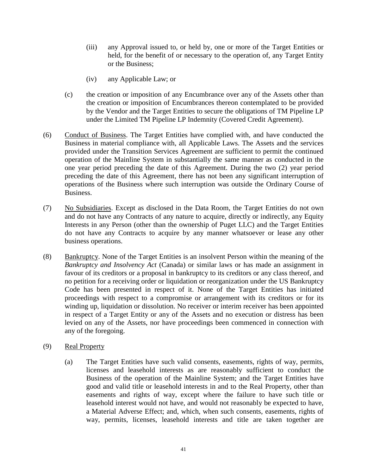- (iii) any Approval issued to, or held by, one or more of the Target Entities or held, for the benefit of or necessary to the operation of, any Target Entity or the Business;
- (iv) any Applicable Law; or
- (c) the creation or imposition of any Encumbrance over any of the Assets other than the creation or imposition of Encumbrances thereon contemplated to be provided by the Vendor and the Target Entities to secure the obligations of TM Pipeline LP under the Limited TM Pipeline LP Indemnity (Covered Credit Agreement).
- (6) Conduct of Business. The Target Entities have complied with, and have conducted the Business in material compliance with, all Applicable Laws. The Assets and the services provided under the Transition Services Agreement are sufficient to permit the continued operation of the Mainline System in substantially the same manner as conducted in the one year period preceding the date of this Agreement. During the two (2) year period preceding the date of this Agreement, there has not been any significant interruption of operations of the Business where such interruption was outside the Ordinary Course of Business.
- (7) No Subsidiaries. Except as disclosed in the Data Room, the Target Entities do not own and do not have any Contracts of any nature to acquire, directly or indirectly, any Equity Interests in any Person (other than the ownership of Puget LLC) and the Target Entities do not have any Contracts to acquire by any manner whatsoever or lease any other business operations.
- (8) Bankruptcy. None of the Target Entities is an insolvent Person within the meaning of the *Bankruptcy and Insolvency Act* (Canada) or similar laws or has made an assignment in favour of its creditors or a proposal in bankruptcy to its creditors or any class thereof, and no petition for a receiving order or liquidation or reorganization under the US Bankruptcy Code has been presented in respect of it. None of the Target Entities has initiated proceedings with respect to a compromise or arrangement with its creditors or for its winding up, liquidation or dissolution. No receiver or interim receiver has been appointed in respect of a Target Entity or any of the Assets and no execution or distress has been levied on any of the Assets, nor have proceedings been commenced in connection with any of the foregoing.

#### (9) Real Property

(a) The Target Entities have such valid consents, easements, rights of way, permits, licenses and leasehold interests as are reasonably sufficient to conduct the Business of the operation of the Mainline System; and the Target Entities have good and valid title or leasehold interests in and to the Real Property, other than easements and rights of way, except where the failure to have such title or leasehold interest would not have, and would not reasonably be expected to have, a Material Adverse Effect; and, which, when such consents, easements, rights of way, permits, licenses, leasehold interests and title are taken together are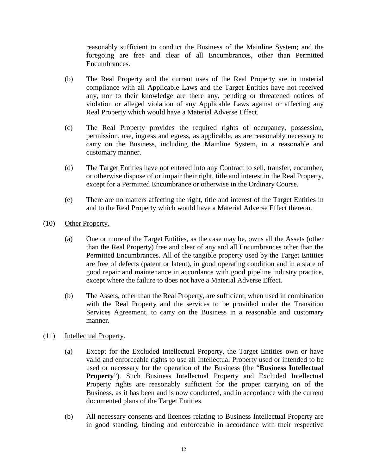reasonably sufficient to conduct the Business of the Mainline System; and the foregoing are free and clear of all Encumbrances, other than Permitted Encumbrances.

- (b) The Real Property and the current uses of the Real Property are in material compliance with all Applicable Laws and the Target Entities have not received any, nor to their knowledge are there any, pending or threatened notices of violation or alleged violation of any Applicable Laws against or affecting any Real Property which would have a Material Adverse Effect.
- (c) The Real Property provides the required rights of occupancy, possession, permission, use, ingress and egress, as applicable, as are reasonably necessary to carry on the Business, including the Mainline System, in a reasonable and customary manner.
- (d) The Target Entities have not entered into any Contract to sell, transfer, encumber, or otherwise dispose of or impair their right, title and interest in the Real Property, except for a Permitted Encumbrance or otherwise in the Ordinary Course.
- (e) There are no matters affecting the right, title and interest of the Target Entities in and to the Real Property which would have a Material Adverse Effect thereon.
- (10) Other Property.
	- (a) One or more of the Target Entities, as the case may be, owns all the Assets (other than the Real Property) free and clear of any and all Encumbrances other than the Permitted Encumbrances. All of the tangible property used by the Target Entities are free of defects (patent or latent), in good operating condition and in a state of good repair and maintenance in accordance with good pipeline industry practice, except where the failure to does not have a Material Adverse Effect.
	- (b) The Assets, other than the Real Property, are sufficient, when used in combination with the Real Property and the services to be provided under the Transition Services Agreement, to carry on the Business in a reasonable and customary manner.
- (11) Intellectual Property.
	- (a) Except for the Excluded Intellectual Property, the Target Entities own or have valid and enforceable rights to use all Intellectual Property used or intended to be used or necessary for the operation of the Business (the "**Business Intellectual Property**"). Such Business Intellectual Property and Excluded Intellectual Property rights are reasonably sufficient for the proper carrying on of the Business, as it has been and is now conducted, and in accordance with the current documented plans of the Target Entities.
	- (b) All necessary consents and licences relating to Business Intellectual Property are in good standing, binding and enforceable in accordance with their respective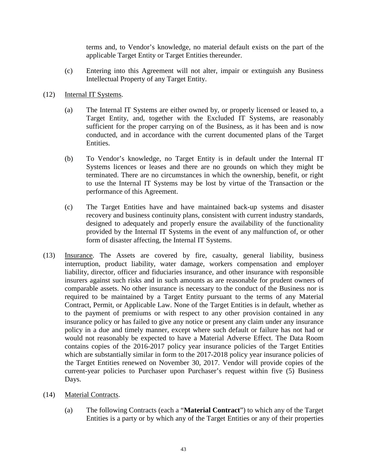terms and, to Vendor's knowledge, no material default exists on the part of the applicable Target Entity or Target Entities thereunder.

- (c) Entering into this Agreement will not alter, impair or extinguish any Business Intellectual Property of any Target Entity.
- (12) Internal IT Systems.
	- (a) The Internal IT Systems are either owned by, or properly licensed or leased to, a Target Entity, and, together with the Excluded IT Systems, are reasonably sufficient for the proper carrying on of the Business, as it has been and is now conducted, and in accordance with the current documented plans of the Target Entities.
	- (b) To Vendor's knowledge, no Target Entity is in default under the Internal IT Systems licences or leases and there are no grounds on which they might be terminated. There are no circumstances in which the ownership, benefit, or right to use the Internal IT Systems may be lost by virtue of the Transaction or the performance of this Agreement.
	- (c) The Target Entities have and have maintained back-up systems and disaster recovery and business continuity plans, consistent with current industry standards, designed to adequately and properly ensure the availability of the functionality provided by the Internal IT Systems in the event of any malfunction of, or other form of disaster affecting, the Internal IT Systems.
- (13) Insurance. The Assets are covered by fire, casualty, general liability, business interruption, product liability, water damage, workers compensation and employer liability, director, officer and fiduciaries insurance, and other insurance with responsible insurers against such risks and in such amounts as are reasonable for prudent owners of comparable assets. No other insurance is necessary to the conduct of the Business nor is required to be maintained by a Target Entity pursuant to the terms of any Material Contract, Permit, or Applicable Law. None of the Target Entities is in default, whether as to the payment of premiums or with respect to any other provision contained in any insurance policy or has failed to give any notice or present any claim under any insurance policy in a due and timely manner, except where such default or failure has not had or would not reasonably be expected to have a Material Adverse Effect. The Data Room contains copies of the 2016-2017 policy year insurance policies of the Target Entities which are substantially similar in form to the 2017-2018 policy year insurance policies of the Target Entities renewed on November 30, 2017. Vendor will provide copies of the current-year policies to Purchaser upon Purchaser's request within five (5) Business Days.
- (14) Material Contracts.
	- (a) The following Contracts (each a "**Material Contract**") to which any of the Target Entities is a party or by which any of the Target Entities or any of their properties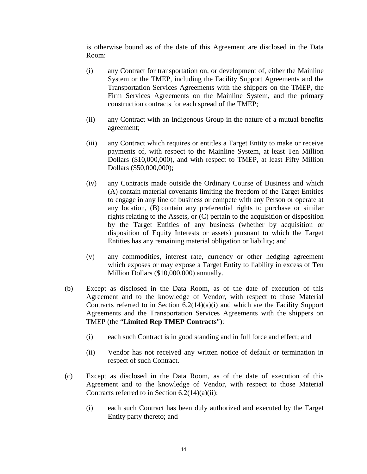is otherwise bound as of the date of this Agreement are disclosed in the Data Room:

- (i) any Contract for transportation on, or development of, either the Mainline System or the TMEP, including the Facility Support Agreements and the Transportation Services Agreements with the shippers on the TMEP, the Firm Services Agreements on the Mainline System, and the primary construction contracts for each spread of the TMEP;
- (ii) any Contract with an Indigenous Group in the nature of a mutual benefits agreement;
- (iii) any Contract which requires or entitles a Target Entity to make or receive payments of, with respect to the Mainline System, at least Ten Million Dollars (\$10,000,000), and with respect to TMEP, at least Fifty Million Dollars (\$50,000,000);
- (iv) any Contracts made outside the Ordinary Course of Business and which (A) contain material covenants limiting the freedom of the Target Entities to engage in any line of business or compete with any Person or operate at any location, (B) contain any preferential rights to purchase or similar rights relating to the Assets, or (C) pertain to the acquisition or disposition by the Target Entities of any business (whether by acquisition or disposition of Equity Interests or assets) pursuant to which the Target Entities has any remaining material obligation or liability; and
- (v) any commodities, interest rate, currency or other hedging agreement which exposes or may expose a Target Entity to liability in excess of Ten Million Dollars (\$10,000,000) annually.
- (b) Except as disclosed in the Data Room, as of the date of execution of this Agreement and to the knowledge of Vendor, with respect to those Material Contracts referred to in Section 6.2(14)(a)(i) and which are the Facility Support Agreements and the Transportation Services Agreements with the shippers on TMEP (the "**Limited Rep TMEP Contracts**"):
	- (i) each such Contract is in good standing and in full force and effect; and
	- (ii) Vendor has not received any written notice of default or termination in respect of such Contract.
- (c) Except as disclosed in the Data Room, as of the date of execution of this Agreement and to the knowledge of Vendor, with respect to those Material Contracts referred to in Section  $6.2(14)(a)(ii)$ :
	- (i) each such Contract has been duly authorized and executed by the Target Entity party thereto; and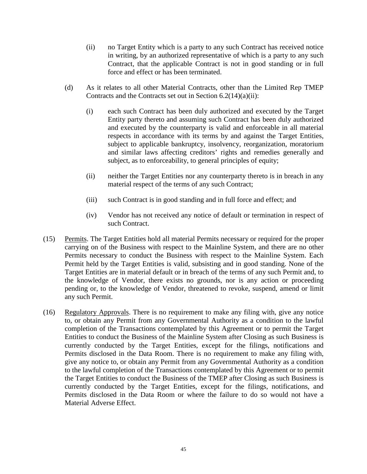- (ii) no Target Entity which is a party to any such Contract has received notice in writing, by an authorized representative of which is a party to any such Contract, that the applicable Contract is not in good standing or in full force and effect or has been terminated.
- (d) As it relates to all other Material Contracts, other than the Limited Rep TMEP Contracts and the Contracts set out in Section 6.2(14)(a)(ii):
	- (i) each such Contract has been duly authorized and executed by the Target Entity party thereto and assuming such Contract has been duly authorized and executed by the counterparty is valid and enforceable in all material respects in accordance with its terms by and against the Target Entities, subject to applicable bankruptcy, insolvency, reorganization, moratorium and similar laws affecting creditors' rights and remedies generally and subject, as to enforceability, to general principles of equity;
	- (ii) neither the Target Entities nor any counterparty thereto is in breach in any material respect of the terms of any such Contract;
	- (iii) such Contract is in good standing and in full force and effect; and
	- (iv) Vendor has not received any notice of default or termination in respect of such Contract.
- (15) Permits. The Target Entities hold all material Permits necessary or required for the proper carrying on of the Business with respect to the Mainline System, and there are no other Permits necessary to conduct the Business with respect to the Mainline System. Each Permit held by the Target Entities is valid, subsisting and in good standing. None of the Target Entities are in material default or in breach of the terms of any such Permit and, to the knowledge of Vendor, there exists no grounds, nor is any action or proceeding pending or, to the knowledge of Vendor, threatened to revoke, suspend, amend or limit any such Permit.
- (16) Regulatory Approvals. There is no requirement to make any filing with, give any notice to, or obtain any Permit from any Governmental Authority as a condition to the lawful completion of the Transactions contemplated by this Agreement or to permit the Target Entities to conduct the Business of the Mainline System after Closing as such Business is currently conducted by the Target Entities, except for the filings, notifications and Permits disclosed in the Data Room. There is no requirement to make any filing with, give any notice to, or obtain any Permit from any Governmental Authority as a condition to the lawful completion of the Transactions contemplated by this Agreement or to permit the Target Entities to conduct the Business of the TMEP after Closing as such Business is currently conducted by the Target Entities, except for the filings, notifications, and Permits disclosed in the Data Room or where the failure to do so would not have a Material Adverse Effect.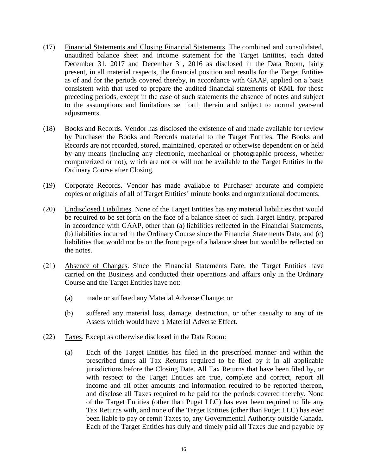- (17) Financial Statements and Closing Financial Statements. The combined and consolidated, unaudited balance sheet and income statement for the Target Entities, each dated December 31, 2017 and December 31, 2016 as disclosed in the Data Room, fairly present, in all material respects, the financial position and results for the Target Entities as of and for the periods covered thereby, in accordance with GAAP, applied on a basis consistent with that used to prepare the audited financial statements of KML for those preceding periods, except in the case of such statements the absence of notes and subject to the assumptions and limitations set forth therein and subject to normal year-end adjustments.
- (18) Books and Records. Vendor has disclosed the existence of and made available for review by Purchaser the Books and Records material to the Target Entities. The Books and Records are not recorded, stored, maintained, operated or otherwise dependent on or held by any means (including any electronic, mechanical or photographic process, whether computerized or not), which are not or will not be available to the Target Entities in the Ordinary Course after Closing.
- (19) Corporate Records. Vendor has made available to Purchaser accurate and complete copies or originals of all of Target Entities' minute books and organizational documents.
- (20) Undisclosed Liabilities. None of the Target Entities has any material liabilities that would be required to be set forth on the face of a balance sheet of such Target Entity, prepared in accordance with GAAP, other than (a) liabilities reflected in the Financial Statements, (b) liabilities incurred in the Ordinary Course since the Financial Statements Date, and (c) liabilities that would not be on the front page of a balance sheet but would be reflected on the notes.
- (21) Absence of Changes. Since the Financial Statements Date, the Target Entities have carried on the Business and conducted their operations and affairs only in the Ordinary Course and the Target Entities have not:
	- (a) made or suffered any Material Adverse Change; or
	- (b) suffered any material loss, damage, destruction, or other casualty to any of its Assets which would have a Material Adverse Effect.
- (22) Taxes. Except as otherwise disclosed in the Data Room:
	- (a) Each of the Target Entities has filed in the prescribed manner and within the prescribed times all Tax Returns required to be filed by it in all applicable jurisdictions before the Closing Date. All Tax Returns that have been filed by, or with respect to the Target Entities are true, complete and correct, report all income and all other amounts and information required to be reported thereon, and disclose all Taxes required to be paid for the periods covered thereby. None of the Target Entities (other than Puget LLC) has ever been required to file any Tax Returns with, and none of the Target Entities (other than Puget LLC) has ever been liable to pay or remit Taxes to, any Governmental Authority outside Canada. Each of the Target Entities has duly and timely paid all Taxes due and payable by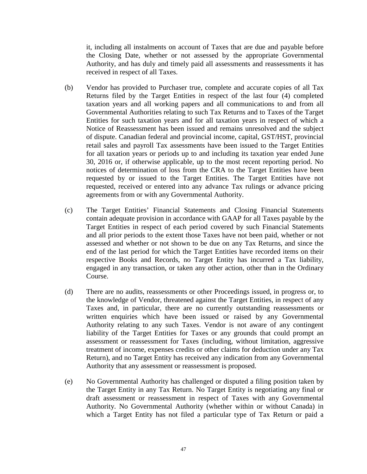it, including all instalments on account of Taxes that are due and payable before the Closing Date, whether or not assessed by the appropriate Governmental Authority, and has duly and timely paid all assessments and reassessments it has received in respect of all Taxes.

- (b) Vendor has provided to Purchaser true, complete and accurate copies of all Tax Returns filed by the Target Entities in respect of the last four (4) completed taxation years and all working papers and all communications to and from all Governmental Authorities relating to such Tax Returns and to Taxes of the Target Entities for such taxation years and for all taxation years in respect of which a Notice of Reassessment has been issued and remains unresolved and the subject of dispute. Canadian federal and provincial income, capital, GST/HST, provincial retail sales and payroll Tax assessments have been issued to the Target Entities for all taxation years or periods up to and including its taxation year ended June 30, 2016 or, if otherwise applicable, up to the most recent reporting period. No notices of determination of loss from the CRA to the Target Entities have been requested by or issued to the Target Entities. The Target Entities have not requested, received or entered into any advance Tax rulings or advance pricing agreements from or with any Governmental Authority.
- (c) The Target Entities' Financial Statements and Closing Financial Statements contain adequate provision in accordance with GAAP for all Taxes payable by the Target Entities in respect of each period covered by such Financial Statements and all prior periods to the extent those Taxes have not been paid, whether or not assessed and whether or not shown to be due on any Tax Returns, and since the end of the last period for which the Target Entities have recorded items on their respective Books and Records, no Target Entity has incurred a Tax liability, engaged in any transaction, or taken any other action, other than in the Ordinary Course.
- (d) There are no audits, reassessments or other Proceedings issued, in progress or, to the knowledge of Vendor, threatened against the Target Entities, in respect of any Taxes and, in particular, there are no currently outstanding reassessments or written enquiries which have been issued or raised by any Governmental Authority relating to any such Taxes. Vendor is not aware of any contingent liability of the Target Entities for Taxes or any grounds that could prompt an assessment or reassessment for Taxes (including, without limitation, aggressive treatment of income, expenses credits or other claims for deduction under any Tax Return), and no Target Entity has received any indication from any Governmental Authority that any assessment or reassessment is proposed.
- (e) No Governmental Authority has challenged or disputed a filing position taken by the Target Entity in any Tax Return. No Target Entity is negotiating any final or draft assessment or reassessment in respect of Taxes with any Governmental Authority. No Governmental Authority (whether within or without Canada) in which a Target Entity has not filed a particular type of Tax Return or paid a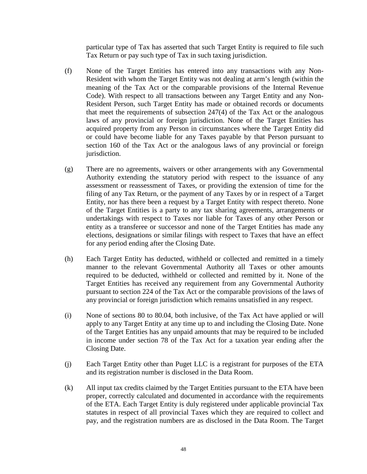particular type of Tax has asserted that such Target Entity is required to file such Tax Return or pay such type of Tax in such taxing jurisdiction.

- (f) None of the Target Entities has entered into any transactions with any Non-Resident with whom the Target Entity was not dealing at arm's length (within the meaning of the Tax Act or the comparable provisions of the Internal Revenue Code). With respect to all transactions between any Target Entity and any Non-Resident Person, such Target Entity has made or obtained records or documents that meet the requirements of subsection 247(4) of the Tax Act or the analogous laws of any provincial or foreign jurisdiction. None of the Target Entities has acquired property from any Person in circumstances where the Target Entity did or could have become liable for any Taxes payable by that Person pursuant to section 160 of the Tax Act or the analogous laws of any provincial or foreign jurisdiction.
- (g) There are no agreements, waivers or other arrangements with any Governmental Authority extending the statutory period with respect to the issuance of any assessment or reassessment of Taxes, or providing the extension of time for the filing of any Tax Return, or the payment of any Taxes by or in respect of a Target Entity, nor has there been a request by a Target Entity with respect thereto. None of the Target Entities is a party to any tax sharing agreements, arrangements or undertakings with respect to Taxes nor liable for Taxes of any other Person or entity as a transferee or successor and none of the Target Entities has made any elections, designations or similar filings with respect to Taxes that have an effect for any period ending after the Closing Date.
- (h) Each Target Entity has deducted, withheld or collected and remitted in a timely manner to the relevant Governmental Authority all Taxes or other amounts required to be deducted, withheld or collected and remitted by it. None of the Target Entities has received any requirement from any Governmental Authority pursuant to section 224 of the Tax Act or the comparable provisions of the laws of any provincial or foreign jurisdiction which remains unsatisfied in any respect.
- (i) None of sections 80 to 80.04, both inclusive, of the Tax Act have applied or will apply to any Target Entity at any time up to and including the Closing Date. None of the Target Entities has any unpaid amounts that may be required to be included in income under section 78 of the Tax Act for a taxation year ending after the Closing Date.
- (j) Each Target Entity other than Puget LLC is a registrant for purposes of the ETA and its registration number is disclosed in the Data Room.
- (k) All input tax credits claimed by the Target Entities pursuant to the ETA have been proper, correctly calculated and documented in accordance with the requirements of the ETA. Each Target Entity is duly registered under applicable provincial Tax statutes in respect of all provincial Taxes which they are required to collect and pay, and the registration numbers are as disclosed in the Data Room. The Target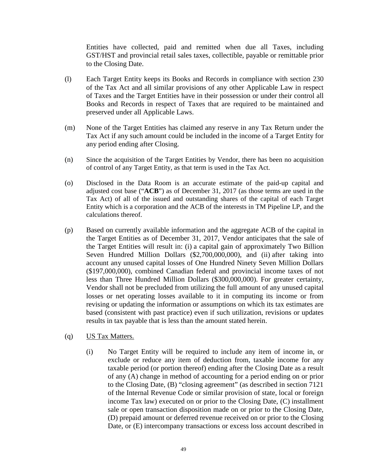Entities have collected, paid and remitted when due all Taxes, including GST/HST and provincial retail sales taxes, collectible, payable or remittable prior to the Closing Date.

- (l) Each Target Entity keeps its Books and Records in compliance with section 230 of the Tax Act and all similar provisions of any other Applicable Law in respect of Taxes and the Target Entities have in their possession or under their control all Books and Records in respect of Taxes that are required to be maintained and preserved under all Applicable Laws.
- (m) None of the Target Entities has claimed any reserve in any Tax Return under the Tax Act if any such amount could be included in the income of a Target Entity for any period ending after Closing.
- (n) Since the acquisition of the Target Entities by Vendor, there has been no acquisition of control of any Target Entity, as that term is used in the Tax Act.
- (o) Disclosed in the Data Room is an accurate estimate of the paid-up capital and adjusted cost base ("**ACB**") as of December 31, 2017 (as those terms are used in the Tax Act) of all of the issued and outstanding shares of the capital of each Target Entity which is a corporation and the ACB of the interests in TM Pipeline LP, and the calculations thereof.
- (p) Based on currently available information and the aggregate ACB of the capital in the Target Entities as of December 31, 2017, Vendor anticipates that the sale of the Target Entities will result in: (i) a capital gain of approximately Two Billion Seven Hundred Million Dollars (\$2,700,000,000), and (ii) after taking into account any unused capital losses of One Hundred Ninety Seven Million Dollars (\$197,000,000), combined Canadian federal and provincial income taxes of not less than Three Hundred Million Dollars (\$300,000,000). For greater certainty, Vendor shall not be precluded from utilizing the full amount of any unused capital losses or net operating losses available to it in computing its income or from revising or updating the information or assumptions on which its tax estimates are based (consistent with past practice) even if such utilization, revisions or updates results in tax payable that is less than the amount stated herein.
- (q) US Tax Matters.
	- (i) No Target Entity will be required to include any item of income in, or exclude or reduce any item of deduction from, taxable income for any taxable period (or portion thereof) ending after the Closing Date as a result of any (A) change in method of accounting for a period ending on or prior to the Closing Date, (B) "closing agreement" (as described in section 7121 of the Internal Revenue Code or similar provision of state, local or foreign income Tax law) executed on or prior to the Closing Date, (C) installment sale or open transaction disposition made on or prior to the Closing Date, (D) prepaid amount or deferred revenue received on or prior to the Closing Date, or (E) intercompany transactions or excess loss account described in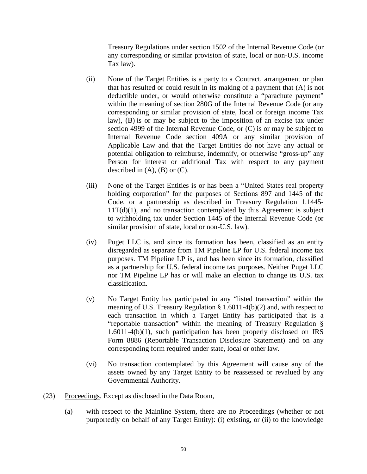Treasury Regulations under section 1502 of the Internal Revenue Code (or any corresponding or similar provision of state, local or non-U.S. income Tax law).

- (ii) None of the Target Entities is a party to a Contract, arrangement or plan that has resulted or could result in its making of a payment that (A) is not deductible under, or would otherwise constitute a "parachute payment" within the meaning of section 280G of the Internal Revenue Code (or any corresponding or similar provision of state, local or foreign income Tax law), (B) is or may be subject to the imposition of an excise tax under section 4999 of the Internal Revenue Code, or (C) is or may be subject to Internal Revenue Code section 409A or any similar provision of Applicable Law and that the Target Entities do not have any actual or potential obligation to reimburse, indemnify, or otherwise "gross-up" any Person for interest or additional Tax with respect to any payment described in  $(A)$ ,  $(B)$  or  $(C)$ .
- (iii) None of the Target Entities is or has been a "United States real property holding corporation" for the purposes of Sections 897 and 1445 of the Code, or a partnership as described in Treasury Regulation 1.1445-  $11T(d)(1)$ , and no transaction contemplated by this Agreement is subject to withholding tax under Section 1445 of the Internal Revenue Code (or similar provision of state, local or non-U.S. law).
- (iv) Puget LLC is, and since its formation has been, classified as an entity disregarded as separate from TM Pipeline LP for U.S. federal income tax purposes. TM Pipeline LP is, and has been since its formation, classified as a partnership for U.S. federal income tax purposes. Neither Puget LLC nor TM Pipeline LP has or will make an election to change its U.S. tax classification.
- (v) No Target Entity has participated in any "listed transaction" within the meaning of U.S. Treasury Regulation § 1.6011-4(b)(2) and, with respect to each transaction in which a Target Entity has participated that is a "reportable transaction" within the meaning of Treasury Regulation § 1.6011-4(b)(1), such participation has been properly disclosed on IRS Form 8886 (Reportable Transaction Disclosure Statement) and on any corresponding form required under state, local or other law.
- (vi) No transaction contemplated by this Agreement will cause any of the assets owned by any Target Entity to be reassessed or revalued by any Governmental Authority.
- (23) Proceedings. Except as disclosed in the Data Room,
	- (a) with respect to the Mainline System, there are no Proceedings (whether or not purportedly on behalf of any Target Entity): (i) existing, or (ii) to the knowledge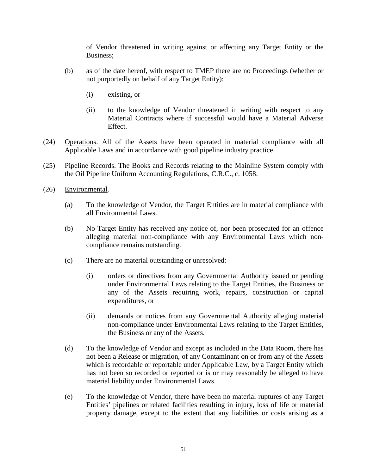of Vendor threatened in writing against or affecting any Target Entity or the Business;

- (b) as of the date hereof, with respect to TMEP there are no Proceedings (whether or not purportedly on behalf of any Target Entity):
	- (i) existing, or
	- (ii) to the knowledge of Vendor threatened in writing with respect to any Material Contracts where if successful would have a Material Adverse Effect.
- (24) Operations. All of the Assets have been operated in material compliance with all Applicable Laws and in accordance with good pipeline industry practice.
- (25) Pipeline Records. The Books and Records relating to the Mainline System comply with the Oil Pipeline Uniform Accounting Regulations, C.R.C., c. 1058.
- (26) Environmental.
	- (a) To the knowledge of Vendor, the Target Entities are in material compliance with all Environmental Laws.
	- (b) No Target Entity has received any notice of, nor been prosecuted for an offence alleging material non-compliance with any Environmental Laws which noncompliance remains outstanding.
	- (c) There are no material outstanding or unresolved:
		- (i) orders or directives from any Governmental Authority issued or pending under Environmental Laws relating to the Target Entities, the Business or any of the Assets requiring work, repairs, construction or capital expenditures, or
		- (ii) demands or notices from any Governmental Authority alleging material non-compliance under Environmental Laws relating to the Target Entities, the Business or any of the Assets.
	- (d) To the knowledge of Vendor and except as included in the Data Room, there has not been a Release or migration, of any Contaminant on or from any of the Assets which is recordable or reportable under Applicable Law, by a Target Entity which has not been so recorded or reported or is or may reasonably be alleged to have material liability under Environmental Laws.
	- (e) To the knowledge of Vendor, there have been no material ruptures of any Target Entities' pipelines or related facilities resulting in injury, loss of life or material property damage, except to the extent that any liabilities or costs arising as a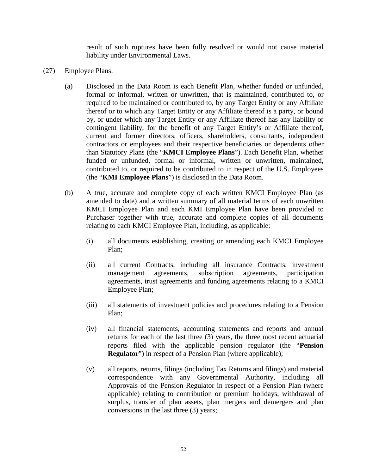result of such ruptures have been fully resolved or would not cause material liability under Environmental Laws.

- (27) Employee Plans.
	- (a) Disclosed in the Data Room is each Benefit Plan, whether funded or unfunded, formal or informal, written or unwritten, that is maintained, contributed to, or required to be maintained or contributed to, by any Target Entity or any Affiliate thereof or to which any Target Entity or any Affiliate thereof is a party, or bound by, or under which any Target Entity or any Affiliate thereof has any liability or contingent liability, for the benefit of any Target Entity's or Affiliate thereof, current and former directors, officers, shareholders, consultants, independent contractors or employees and their respective beneficiaries or dependents other than Statutory Plans (the "**KMCI Employee Plans**"). Each Benefit Plan, whether funded or unfunded, formal or informal, written or unwritten, maintained, contributed to, or required to be contributed to in respect of the U.S. Employees (the "**KMI Employee Plans**") is disclosed in the Data Room.
	- (b) A true, accurate and complete copy of each written KMCI Employee Plan (as amended to date) and a written summary of all material terms of each unwritten KMCI Employee Plan and each KMI Employee Plan have been provided to Purchaser together with true, accurate and complete copies of all documents relating to each KMCI Employee Plan, including, as applicable:
		- (i) all documents establishing, creating or amending each KMCI Employee Plan;
		- (ii) all current Contracts, including all insurance Contracts, investment management agreements, subscription agreements, participation agreements, trust agreements and funding agreements relating to a KMCI Employee Plan;
		- (iii) all statements of investment policies and procedures relating to a Pension Plan;
		- (iv) all financial statements, accounting statements and reports and annual returns for each of the last three (3) years, the three most recent actuarial reports filed with the applicable pension regulator (the "**Pension Regulator**") in respect of a Pension Plan (where applicable);
		- (v) all reports, returns, filings (including Tax Returns and filings) and material correspondence with any Governmental Authority, including all Approvals of the Pension Regulator in respect of a Pension Plan (where applicable) relating to contribution or premium holidays, withdrawal of surplus, transfer of plan assets, plan mergers and demergers and plan conversions in the last three (3) years;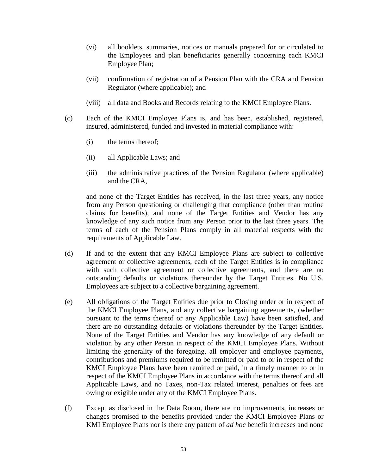- (vi) all booklets, summaries, notices or manuals prepared for or circulated to the Employees and plan beneficiaries generally concerning each KMCI Employee Plan;
- (vii) confirmation of registration of a Pension Plan with the CRA and Pension Regulator (where applicable); and
- (viii) all data and Books and Records relating to the KMCI Employee Plans.
- (c) Each of the KMCI Employee Plans is, and has been, established, registered, insured, administered, funded and invested in material compliance with:
	- (i) the terms thereof;
	- (ii) all Applicable Laws; and
	- (iii) the administrative practices of the Pension Regulator (where applicable) and the CRA,

and none of the Target Entities has received, in the last three years, any notice from any Person questioning or challenging that compliance (other than routine claims for benefits), and none of the Target Entities and Vendor has any knowledge of any such notice from any Person prior to the last three years. The terms of each of the Pension Plans comply in all material respects with the requirements of Applicable Law.

- (d) If and to the extent that any KMCI Employee Plans are subject to collective agreement or collective agreements, each of the Target Entities is in compliance with such collective agreement or collective agreements, and there are no outstanding defaults or violations thereunder by the Target Entities. No U.S. Employees are subject to a collective bargaining agreement.
- (e) All obligations of the Target Entities due prior to Closing under or in respect of the KMCI Employee Plans, and any collective bargaining agreements, (whether pursuant to the terms thereof or any Applicable Law) have been satisfied, and there are no outstanding defaults or violations thereunder by the Target Entities. None of the Target Entities and Vendor has any knowledge of any default or violation by any other Person in respect of the KMCI Employee Plans. Without limiting the generality of the foregoing, all employer and employee payments, contributions and premiums required to be remitted or paid to or in respect of the KMCI Employee Plans have been remitted or paid, in a timely manner to or in respect of the KMCI Employee Plans in accordance with the terms thereof and all Applicable Laws, and no Taxes, non-Tax related interest, penalties or fees are owing or exigible under any of the KMCI Employee Plans.
- (f) Except as disclosed in the Data Room, there are no improvements, increases or changes promised to the benefits provided under the KMCI Employee Plans or KMI Employee Plans nor is there any pattern of *ad hoc* benefit increases and none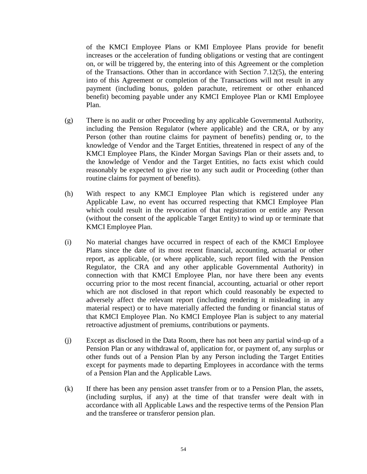of the KMCI Employee Plans or KMI Employee Plans provide for benefit increases or the acceleration of funding obligations or vesting that are contingent on, or will be triggered by, the entering into of this Agreement or the completion of the Transactions. Other than in accordance with Section  $7.12(5)$ , the entering into of this Agreement or completion of the Transactions will not result in any payment (including bonus, golden parachute, retirement or other enhanced benefit) becoming payable under any KMCI Employee Plan or KMI Employee Plan.

- (g) There is no audit or other Proceeding by any applicable Governmental Authority, including the Pension Regulator (where applicable) and the CRA, or by any Person (other than routine claims for payment of benefits) pending or, to the knowledge of Vendor and the Target Entities, threatened in respect of any of the KMCI Employee Plans, the Kinder Morgan Savings Plan or their assets and, to the knowledge of Vendor and the Target Entities, no facts exist which could reasonably be expected to give rise to any such audit or Proceeding (other than routine claims for payment of benefits).
- (h) With respect to any KMCI Employee Plan which is registered under any Applicable Law, no event has occurred respecting that KMCI Employee Plan which could result in the revocation of that registration or entitle any Person (without the consent of the applicable Target Entity) to wind up or terminate that KMCI Employee Plan.
- (i) No material changes have occurred in respect of each of the KMCI Employee Plans since the date of its most recent financial, accounting, actuarial or other report, as applicable, (or where applicable, such report filed with the Pension Regulator, the CRA and any other applicable Governmental Authority) in connection with that KMCI Employee Plan, nor have there been any events occurring prior to the most recent financial, accounting, actuarial or other report which are not disclosed in that report which could reasonably be expected to adversely affect the relevant report (including rendering it misleading in any material respect) or to have materially affected the funding or financial status of that KMCI Employee Plan. No KMCI Employee Plan is subject to any material retroactive adjustment of premiums, contributions or payments.
- (j) Except as disclosed in the Data Room, there has not been any partial wind-up of a Pension Plan or any withdrawal of, application for, or payment of, any surplus or other funds out of a Pension Plan by any Person including the Target Entities except for payments made to departing Employees in accordance with the terms of a Pension Plan and the Applicable Laws.
- (k) If there has been any pension asset transfer from or to a Pension Plan, the assets, (including surplus, if any) at the time of that transfer were dealt with in accordance with all Applicable Laws and the respective terms of the Pension Plan and the transferee or transferor pension plan.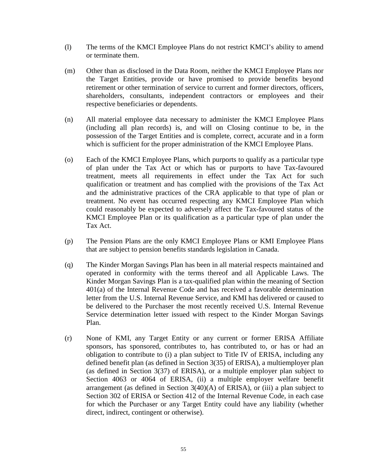- (l) The terms of the KMCI Employee Plans do not restrict KMCI's ability to amend or terminate them.
- (m) Other than as disclosed in the Data Room, neither the KMCI Employee Plans nor the Target Entities, provide or have promised to provide benefits beyond retirement or other termination of service to current and former directors, officers, shareholders, consultants, independent contractors or employees and their respective beneficiaries or dependents.
- (n) All material employee data necessary to administer the KMCI Employee Plans (including all plan records) is, and will on Closing continue to be, in the possession of the Target Entities and is complete, correct, accurate and in a form which is sufficient for the proper administration of the KMCI Employee Plans.
- (o) Each of the KMCI Employee Plans, which purports to qualify as a particular type of plan under the Tax Act or which has or purports to have Tax-favoured treatment, meets all requirements in effect under the Tax Act for such qualification or treatment and has complied with the provisions of the Tax Act and the administrative practices of the CRA applicable to that type of plan or treatment. No event has occurred respecting any KMCI Employee Plan which could reasonably be expected to adversely affect the Tax-favoured status of the KMCI Employee Plan or its qualification as a particular type of plan under the Tax Act.
- (p) The Pension Plans are the only KMCI Employee Plans or KMI Employee Plans that are subject to pension benefits standards legislation in Canada.
- (q) The Kinder Morgan Savings Plan has been in all material respects maintained and operated in conformity with the terms thereof and all Applicable Laws. The Kinder Morgan Savings Plan is a tax-qualified plan within the meaning of Section 401(a) of the Internal Revenue Code and has received a favorable determination letter from the U.S. Internal Revenue Service, and KMI has delivered or caused to be delivered to the Purchaser the most recently received U.S. Internal Revenue Service determination letter issued with respect to the Kinder Morgan Savings Plan.
- (r) None of KMI, any Target Entity or any current or former ERISA Affiliate sponsors, has sponsored, contributes to, has contributed to, or has or had an obligation to contribute to (i) a plan subject to Title IV of ERISA, including any defined benefit plan (as defined in Section 3(35) of ERISA), a multiemployer plan (as defined in Section 3(37) of ERISA), or a multiple employer plan subject to Section 4063 or 4064 of ERISA, (ii) a multiple employer welfare benefit arrangement (as defined in Section  $3(40)(A)$  of ERISA), or (iii) a plan subject to Section 302 of ERISA or Section 412 of the Internal Revenue Code, in each case for which the Purchaser or any Target Entity could have any liability (whether direct, indirect, contingent or otherwise).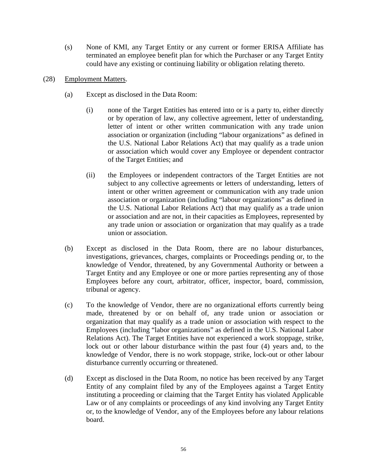- (s) None of KMI, any Target Entity or any current or former ERISA Affiliate has terminated an employee benefit plan for which the Purchaser or any Target Entity could have any existing or continuing liability or obligation relating thereto.
- (28) Employment Matters.
	- (a) Except as disclosed in the Data Room:
		- (i) none of the Target Entities has entered into or is a party to, either directly or by operation of law, any collective agreement, letter of understanding, letter of intent or other written communication with any trade union association or organization (including "labour organizations" as defined in the U.S. National Labor Relations Act) that may qualify as a trade union or association which would cover any Employee or dependent contractor of the Target Entities; and
		- (ii) the Employees or independent contractors of the Target Entities are not subject to any collective agreements or letters of understanding, letters of intent or other written agreement or communication with any trade union association or organization (including "labour organizations" as defined in the U.S. National Labor Relations Act) that may qualify as a trade union or association and are not, in their capacities as Employees, represented by any trade union or association or organization that may qualify as a trade union or association.
	- (b) Except as disclosed in the Data Room, there are no labour disturbances, investigations, grievances, charges, complaints or Proceedings pending or, to the knowledge of Vendor, threatened, by any Governmental Authority or between a Target Entity and any Employee or one or more parties representing any of those Employees before any court, arbitrator, officer, inspector, board, commission, tribunal or agency.
	- (c) To the knowledge of Vendor, there are no organizational efforts currently being made, threatened by or on behalf of, any trade union or association or organization that may qualify as a trade union or association with respect to the Employees (including "labor organizations" as defined in the U.S. National Labor Relations Act). The Target Entities have not experienced a work stoppage, strike, lock out or other labour disturbance within the past four (4) years and, to the knowledge of Vendor, there is no work stoppage, strike, lock-out or other labour disturbance currently occurring or threatened.
	- (d) Except as disclosed in the Data Room, no notice has been received by any Target Entity of any complaint filed by any of the Employees against a Target Entity instituting a proceeding or claiming that the Target Entity has violated Applicable Law or of any complaints or proceedings of any kind involving any Target Entity or, to the knowledge of Vendor, any of the Employees before any labour relations board.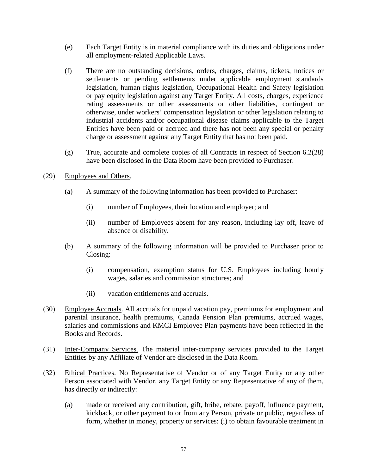- (e) Each Target Entity is in material compliance with its duties and obligations under all employment-related Applicable Laws.
- (f) There are no outstanding decisions, orders, charges, claims, tickets, notices or settlements or pending settlements under applicable employment standards legislation, human rights legislation, Occupational Health and Safety legislation or pay equity legislation against any Target Entity. All costs, charges, experience rating assessments or other assessments or other liabilities, contingent or otherwise, under workers' compensation legislation or other legislation relating to industrial accidents and/or occupational disease claims applicable to the Target Entities have been paid or accrued and there has not been any special or penalty charge or assessment against any Target Entity that has not been paid.
- (g) True, accurate and complete copies of all Contracts in respect of Section 6.2(28) have been disclosed in the Data Room have been provided to Purchaser.

#### (29) Employees and Others.

- (a) A summary of the following information has been provided to Purchaser:
	- (i) number of Employees, their location and employer; and
	- (ii) number of Employees absent for any reason, including lay off, leave of absence or disability.
- (b) A summary of the following information will be provided to Purchaser prior to Closing:
	- (i) compensation, exemption status for U.S. Employees including hourly wages, salaries and commission structures; and
	- (ii) vacation entitlements and accruals.
- (30) Employee Accruals. All accruals for unpaid vacation pay, premiums for employment and parental insurance, health premiums, Canada Pension Plan premiums, accrued wages, salaries and commissions and KMCI Employee Plan payments have been reflected in the Books and Records.
- (31) Inter-Company Services. The material inter-company services provided to the Target Entities by any Affiliate of Vendor are disclosed in the Data Room.
- (32) Ethical Practices. No Representative of Vendor or of any Target Entity or any other Person associated with Vendor, any Target Entity or any Representative of any of them, has directly or indirectly:
	- (a) made or received any contribution, gift, bribe, rebate, payoff, influence payment, kickback, or other payment to or from any Person, private or public, regardless of form, whether in money, property or services: (i) to obtain favourable treatment in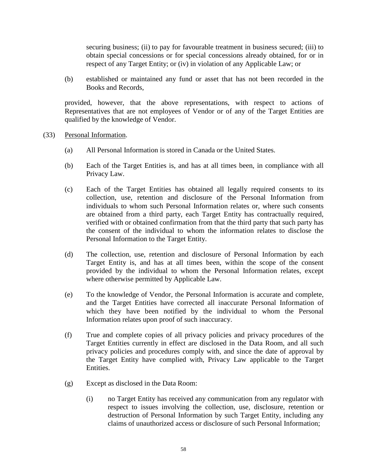securing business; (ii) to pay for favourable treatment in business secured; (iii) to obtain special concessions or for special concessions already obtained, for or in respect of any Target Entity; or (iv) in violation of any Applicable Law; or

(b) established or maintained any fund or asset that has not been recorded in the Books and Records,

provided, however, that the above representations, with respect to actions of Representatives that are not employees of Vendor or of any of the Target Entities are qualified by the knowledge of Vendor.

- (33) Personal Information.
	- (a) All Personal Information is stored in Canada or the United States.
	- (b) Each of the Target Entities is, and has at all times been, in compliance with all Privacy Law.
	- (c) Each of the Target Entities has obtained all legally required consents to its collection, use, retention and disclosure of the Personal Information from individuals to whom such Personal Information relates or, where such consents are obtained from a third party, each Target Entity has contractually required, verified with or obtained confirmation from that the third party that such party has the consent of the individual to whom the information relates to disclose the Personal Information to the Target Entity.
	- (d) The collection, use, retention and disclosure of Personal Information by each Target Entity is, and has at all times been, within the scope of the consent provided by the individual to whom the Personal Information relates, except where otherwise permitted by Applicable Law.
	- (e) To the knowledge of Vendor, the Personal Information is accurate and complete, and the Target Entities have corrected all inaccurate Personal Information of which they have been notified by the individual to whom the Personal Information relates upon proof of such inaccuracy.
	- (f) True and complete copies of all privacy policies and privacy procedures of the Target Entities currently in effect are disclosed in the Data Room, and all such privacy policies and procedures comply with, and since the date of approval by the Target Entity have complied with, Privacy Law applicable to the Target Entities.
	- (g) Except as disclosed in the Data Room:
		- (i) no Target Entity has received any communication from any regulator with respect to issues involving the collection, use, disclosure, retention or destruction of Personal Information by such Target Entity, including any claims of unauthorized access or disclosure of such Personal Information;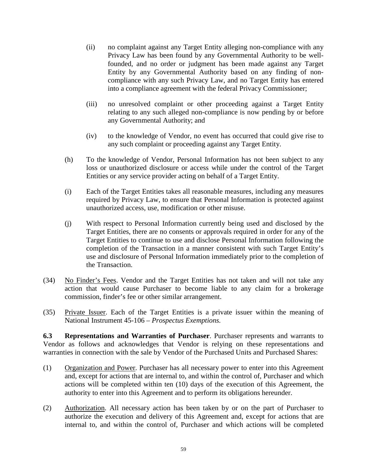- (ii) no complaint against any Target Entity alleging non-compliance with any Privacy Law has been found by any Governmental Authority to be wellfounded, and no order or judgment has been made against any Target Entity by any Governmental Authority based on any finding of noncompliance with any such Privacy Law, and no Target Entity has entered into a compliance agreement with the federal Privacy Commissioner;
- (iii) no unresolved complaint or other proceeding against a Target Entity relating to any such alleged non-compliance is now pending by or before any Governmental Authority; and
- (iv) to the knowledge of Vendor, no event has occurred that could give rise to any such complaint or proceeding against any Target Entity.
- (h) To the knowledge of Vendor, Personal Information has not been subject to any loss or unauthorized disclosure or access while under the control of the Target Entities or any service provider acting on behalf of a Target Entity.
- (i) Each of the Target Entities takes all reasonable measures, including any measures required by Privacy Law, to ensure that Personal Information is protected against unauthorized access, use, modification or other misuse.
- (j) With respect to Personal Information currently being used and disclosed by the Target Entities, there are no consents or approvals required in order for any of the Target Entities to continue to use and disclose Personal Information following the completion of the Transaction in a manner consistent with such Target Entity's use and disclosure of Personal Information immediately prior to the completion of the Transaction.
- (34) No Finder's Fees. Vendor and the Target Entities has not taken and will not take any action that would cause Purchaser to become liable to any claim for a brokerage commission, finder's fee or other similar arrangement.
- (35) Private Issuer. Each of the Target Entities is a private issuer within the meaning of National Instrument 45-106 *– Prospectus Exemptions.*

**6.3 Representations and Warranties of Purchaser**. Purchaser represents and warrants to Vendor as follows and acknowledges that Vendor is relying on these representations and warranties in connection with the sale by Vendor of the Purchased Units and Purchased Shares:

- (1) Organization and Power. Purchaser has all necessary power to enter into this Agreement and, except for actions that are internal to, and within the control of, Purchaser and which actions will be completed within ten (10) days of the execution of this Agreement, the authority to enter into this Agreement and to perform its obligations hereunder.
- (2) Authorization. All necessary action has been taken by or on the part of Purchaser to authorize the execution and delivery of this Agreement and, except for actions that are internal to, and within the control of, Purchaser and which actions will be completed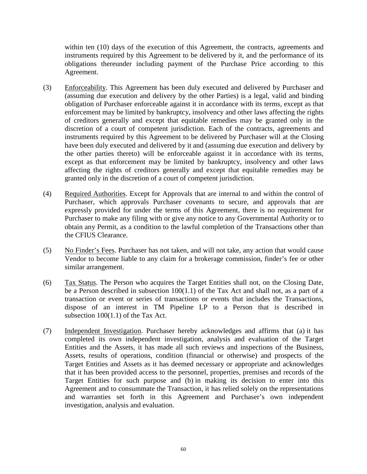within ten (10) days of the execution of this Agreement, the contracts, agreements and instruments required by this Agreement to be delivered by it, and the performance of its obligations thereunder including payment of the Purchase Price according to this Agreement.

- (3) Enforceability. This Agreement has been duly executed and delivered by Purchaser and (assuming due execution and delivery by the other Parties) is a legal, valid and binding obligation of Purchaser enforceable against it in accordance with its terms, except as that enforcement may be limited by bankruptcy, insolvency and other laws affecting the rights of creditors generally and except that equitable remedies may be granted only in the discretion of a court of competent jurisdiction. Each of the contracts, agreements and instruments required by this Agreement to be delivered by Purchaser will at the Closing have been duly executed and delivered by it and (assuming due execution and delivery by the other parties thereto) will be enforceable against it in accordance with its terms, except as that enforcement may be limited by bankruptcy, insolvency and other laws affecting the rights of creditors generally and except that equitable remedies may be granted only in the discretion of a court of competent jurisdiction.
- (4) Required Authorities. Except for Approvals that are internal to and within the control of Purchaser, which approvals Purchaser covenants to secure, and approvals that are expressly provided for under the terms of this Agreement, there is no requirement for Purchaser to make any filing with or give any notice to any Governmental Authority or to obtain any Permit, as a condition to the lawful completion of the Transactions other than the CFIUS Clearance.
- (5) No Finder's Fees. Purchaser has not taken, and will not take, any action that would cause Vendor to become liable to any claim for a brokerage commission, finder's fee or other similar arrangement.
- (6) Tax Status. The Person who acquires the Target Entities shall not, on the Closing Date, be a Person described in subsection 100(1.1) of the Tax Act and shall not, as a part of a transaction or event or series of transactions or events that includes the Transactions, dispose of an interest in TM Pipeline LP to a Person that is described in subsection 100(1.1) of the Tax Act.
- (7) Independent Investigation. Purchaser hereby acknowledges and affirms that (a) it has completed its own independent investigation, analysis and evaluation of the Target Entities and the Assets, it has made all such reviews and inspections of the Business, Assets, results of operations, condition (financial or otherwise) and prospects of the Target Entities and Assets as it has deemed necessary or appropriate and acknowledges that it has been provided access to the personnel, properties, premises and records of the Target Entities for such purpose and (b) in making its decision to enter into this Agreement and to consummate the Transaction, it has relied solely on the representations and warranties set forth in this Agreement and Purchaser's own independent investigation, analysis and evaluation.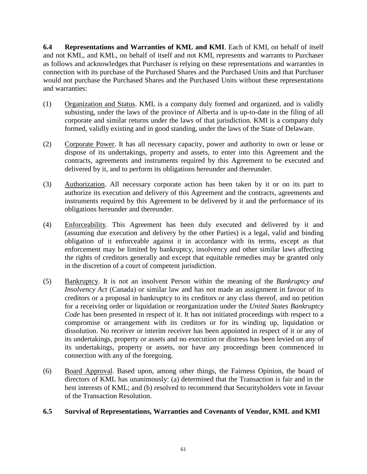**6.4 Representations and Warranties of KML and KMI**. Each of KMI, on behalf of itself and not KML, and KML, on behalf of itself and not KMI, represents and warrants to Purchaser as follows and acknowledges that Purchaser is relying on these representations and warranties in connection with its purchase of the Purchased Shares and the Purchased Units and that Purchaser would not purchase the Purchased Shares and the Purchased Units without these representations and warranties:

- (1) Organization and Status. KML is a company duly formed and organized, and is validly subsisting, under the laws of the province of Alberta and is up-to-date in the filing of all corporate and similar returns under the laws of that jurisdiction. KMI is a company duly formed, validly existing and in good standing, under the laws of the State of Delaware.
- (2) Corporate Power. It has all necessary capacity, power and authority to own or lease or dispose of its undertakings, property and assets, to enter into this Agreement and the contracts, agreements and instruments required by this Agreement to be executed and delivered by it, and to perform its obligations hereunder and thereunder.
- (3) Authorization. All necessary corporate action has been taken by it or on its part to authorize its execution and delivery of this Agreement and the contracts, agreements and instruments required by this Agreement to be delivered by it and the performance of its obligations hereunder and thereunder.
- (4) Enforceability. This Agreement has been duly executed and delivered by it and (assuming due execution and delivery by the other Parties) is a legal, valid and binding obligation of it enforceable against it in accordance with its terms, except as that enforcement may be limited by bankruptcy, insolvency and other similar laws affecting the rights of creditors generally and except that equitable remedies may be granted only in the discretion of a court of competent jurisdiction.
- (5) Bankruptcy. It is not an insolvent Person within the meaning of the *Bankruptcy and Insolvency Act* (Canada) or similar law and has not made an assignment in favour of its creditors or a proposal in bankruptcy to its creditors or any class thereof, and no petition for a receiving order or liquidation or reorganization under the *United States Bankruptcy Code* has been presented in respect of it. It has not initiated proceedings with respect to a compromise or arrangement with its creditors or for its winding up, liquidation or dissolution. No receiver or interim receiver has been appointed in respect of it or any of its undertakings, property or assets and no execution or distress has been levied on any of its undertakings, property or assets, nor have any proceedings been commenced in connection with any of the foregoing.
- (6) Board Approval. Based upon, among other things, the Fairness Opinion, the board of directors of KML has unanimously: (a) determined that the Transaction is fair and in the best interests of KML; and (b) resolved to recommend that Securityholders vote in favour of the Transaction Resolution.

# **6.5 Survival of Representations, Warranties and Covenants of Vendor, KML and KMI**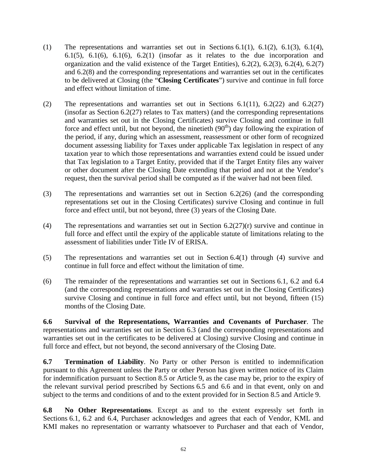- (1) The representations and warranties set out in Sections 6.1(1), 6.1(2), 6.1(3), 6.1(4), 6.1(5), 6.1(6), 6.1(6), 6.2(1) (insofar as it relates to the due incorporation and organization and the valid existence of the Target Entities), 6.2(2), 6.2(3), 6.2(4), 6.2(7) and 6.2(8) and the corresponding representations and warranties set out in the certificates to be delivered at Closing (the "**Closing Certificates**") survive and continue in full force and effect without limitation of time.
- (2) The representations and warranties set out in Sections 6.1(11), 6.2(22) and 6.2(27) (insofar as Section 6.2(27) relates to Tax matters) (and the corresponding representations and warranties set out in the Closing Certificates) survive Closing and continue in full force and effect until, but not beyond, the ninetieth  $(90<sup>th</sup>)$  day following the expiration of the period, if any, during which an assessment, reassessment or other form of recognized document assessing liability for Taxes under applicable Tax legislation in respect of any taxation year to which those representations and warranties extend could be issued under that Tax legislation to a Target Entity, provided that if the Target Entity files any waiver or other document after the Closing Date extending that period and not at the Vendor's request, then the survival period shall be computed as if the waiver had not been filed.
- (3) The representations and warranties set out in Section 6.2(26) (and the corresponding representations set out in the Closing Certificates) survive Closing and continue in full force and effect until, but not beyond, three (3) years of the Closing Date.
- (4) The representations and warranties set out in Section  $6.2(27)(r)$  survive and continue in full force and effect until the expiry of the applicable statute of limitations relating to the assessment of liabilities under Title IV of ERISA.
- (5) The representations and warranties set out in Section 6.4(1) through (4) survive and continue in full force and effect without the limitation of time.
- (6) The remainder of the representations and warranties set out in Sections 6.1, 6.2 and 6.4 (and the corresponding representations and warranties set out in the Closing Certificates) survive Closing and continue in full force and effect until, but not beyond, fifteen (15) months of the Closing Date.

**6.6 Survival of the Representations, Warranties and Covenants of Purchaser**. The representations and warranties set out in Section 6.3 (and the corresponding representations and warranties set out in the certificates to be delivered at Closing) survive Closing and continue in full force and effect, but not beyond, the second anniversary of the Closing Date.

**6.7 Termination of Liability**. No Party or other Person is entitled to indemnification pursuant to this Agreement unless the Party or other Person has given written notice of its Claim for indemnification pursuant to Section 8.5 or Article 9, as the case may be, prior to the expiry of the relevant survival period prescribed by Sections 6.5 and 6.6 and in that event, only on and subject to the terms and conditions of and to the extent provided for in Section 8.5 and Article 9.

**6.8 No Other Representations**. Except as and to the extent expressly set forth in Sections 6.1, 6.2 and 6.4, Purchaser acknowledges and agrees that each of Vendor, KML and KMI makes no representation or warranty whatsoever to Purchaser and that each of Vendor,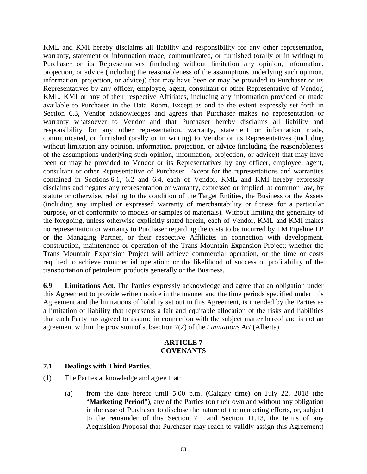KML and KMI hereby disclaims all liability and responsibility for any other representation, warranty, statement or information made, communicated, or furnished (orally or in writing) to Purchaser or its Representatives (including without limitation any opinion, information, projection, or advice (including the reasonableness of the assumptions underlying such opinion, information, projection, or advice)) that may have been or may be provided to Purchaser or its Representatives by any officer, employee, agent, consultant or other Representative of Vendor, KML, KMI or any of their respective Affiliates, including any information provided or made available to Purchaser in the Data Room. Except as and to the extent expressly set forth in Section 6.3, Vendor acknowledges and agrees that Purchaser makes no representation or warranty whatsoever to Vendor and that Purchaser hereby disclaims all liability and responsibility for any other representation, warranty, statement or information made, communicated, or furnished (orally or in writing) to Vendor or its Representatives (including without limitation any opinion, information, projection, or advice (including the reasonableness of the assumptions underlying such opinion, information, projection, or advice)) that may have been or may be provided to Vendor or its Representatives by any officer, employee, agent, consultant or other Representative of Purchaser. Except for the representations and warranties contained in Sections 6.1, 6.2 and 6.4, each of Vendor, KML and KMI hereby expressly disclaims and negates any representation or warranty, expressed or implied, at common law, by statute or otherwise, relating to the condition of the Target Entities, the Business or the Assets (including any implied or expressed warranty of merchantability or fitness for a particular purpose, or of conformity to models or samples of materials). Without limiting the generality of the foregoing, unless otherwise explicitly stated herein, each of Vendor, KML and KMI makes no representation or warranty to Purchaser regarding the costs to be incurred by TM Pipeline LP or the Managing Partner, or their respective Affiliates in connection with development, construction, maintenance or operation of the Trans Mountain Expansion Project; whether the Trans Mountain Expansion Project will achieve commercial operation, or the time or costs required to achieve commercial operation; or the likelihood of success or profitability of the transportation of petroleum products generally or the Business.

**6.9 Limitations Act**. The Parties expressly acknowledge and agree that an obligation under this Agreement to provide written notice in the manner and the time periods specified under this Agreement and the limitations of liability set out in this Agreement, is intended by the Parties as a limitation of liability that represents a fair and equitable allocation of the risks and liabilities that each Party has agreed to assume in connection with the subject matter hereof and is not an agreement within the provision of subsection 7(2) of the *Limitations Act* (Alberta).

# **ARTICLE 7 COVENANTS**

#### **7.1 Dealings with Third Parties**.

- (1) The Parties acknowledge and agree that:
	- (a) from the date hereof until 5:00 p.m. (Calgary time) on July 22, 2018 (the "**Marketing Period**"), any of the Parties (on their own and without any obligation in the case of Purchaser to disclose the nature of the marketing efforts, or, subject to the remainder of this Section 7.1 and Section 11.13, the terms of any Acquisition Proposal that Purchaser may reach to validly assign this Agreement)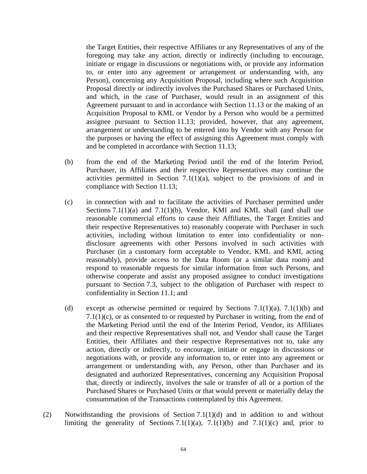the Target Entities, their respective Affiliates or any Representatives of any of the foregoing may take any action, directly or indirectly (including to encourage, initiate or engage in discussions or negotiations with, or provide any information to, or enter into any agreement or arrangement or understanding with, any Person), concerning any Acquisition Proposal, including where such Acquisition Proposal directly or indirectly involves the Purchased Shares or Purchased Units, and which, in the case of Purchaser, would result in an assignment of this Agreement pursuant to and in accordance with Section 11.13 or the making of an Acquisition Proposal to KML or Vendor by a Person who would be a permitted assignee pursuant to Section 11.13; provided, however, that any agreement, arrangement or understanding to be entered into by Vendor with any Person for the purposes or having the effect of assigning this Agreement must comply with and be completed in accordance with Section 11.13;

- (b) from the end of the Marketing Period until the end of the Interim Period, Purchaser, its Affiliates and their respective Representatives may continue the activities permitted in Section 7.1(1)(a), subject to the provisions of and in compliance with Section 11.13;
- (c) in connection with and to facilitate the activities of Purchaser permitted under Sections  $7.1(1)(a)$  and  $7.1(1)(b)$ , Vendor, KMI and KML shall (and shall use reasonable commercial efforts to cause their Affiliates, the Target Entities and their respective Representatives to) reasonably cooperate with Purchaser in such activities, including without limitation to enter into confidentiality or nondisclosure agreements with other Persons involved in such activities with Purchaser (in a customary form acceptable to Vendor, KML and KMI, acting reasonably), provide access to the Data Room (or a similar data room) and respond to reasonable requests for similar information from such Persons, and otherwise cooperate and assist any proposed assignee to conduct investigations pursuant to Section 7.3, subject to the obligation of Purchaser with respect to confidentiality in Section 11.1; and
- (d) except as otherwise permitted or required by Sections  $7.1(1)(a)$ ,  $7.1(1)(b)$  and 7.1(1)(c), or as consented to or requested by Purchaser in writing, from the end of the Marketing Period until the end of the Interim Period, Vendor, its Affiliates and their respective Representatives shall not, and Vendor shall cause the Target Entities, their Affiliates and their respective Representatives not to, take any action, directly or indirectly, to encourage, initiate or engage in discussions or negotiations with, or provide any information to, or enter into any agreement or arrangement or understanding with, any Person, other than Purchaser and its designated and authorized Representatives, concerning any Acquisition Proposal that, directly or indirectly, involves the sale or transfer of all or a portion of the Purchased Shares or Purchased Units or that would prevent or materially delay the consummation of the Transactions contemplated by this Agreement.
- (2) Notwithstanding the provisions of Section 7.1(1)(d) and in addition to and without limiting the generality of Sections 7.1(1)(a), 7.1(1)(b) and 7.1(1)(c) and, prior to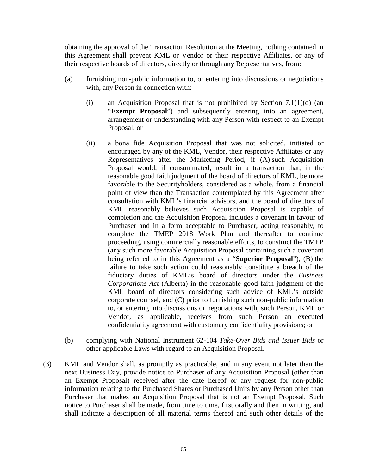obtaining the approval of the Transaction Resolution at the Meeting, nothing contained in this Agreement shall prevent KML or Vendor or their respective Affiliates, or any of their respective boards of directors, directly or through any Representatives, from:

- (a) furnishing non-public information to, or entering into discussions or negotiations with, any Person in connection with:
	- (i) an Acquisition Proposal that is not prohibited by Section  $7.1(1)(d)$  (an "**Exempt Proposal**") and subsequently entering into an agreement, arrangement or understanding with any Person with respect to an Exempt Proposal, or
	- (ii) a bona fide Acquisition Proposal that was not solicited, initiated or encouraged by any of the KML, Vendor, their respective Affiliates or any Representatives after the Marketing Period, if (A) such Acquisition Proposal would, if consummated, result in a transaction that, in the reasonable good faith judgment of the board of directors of KML, be more favorable to the Securityholders, considered as a whole, from a financial point of view than the Transaction contemplated by this Agreement after consultation with KML's financial advisors, and the board of directors of KML reasonably believes such Acquisition Proposal is capable of completion and the Acquisition Proposal includes a covenant in favour of Purchaser and in a form acceptable to Purchaser, acting reasonably, to complete the TMEP 2018 Work Plan and thereafter to continue proceeding, using commercially reasonable efforts, to construct the TMEP (any such more favorable Acquisition Proposal containing such a covenant being referred to in this Agreement as a "**Superior Proposal**"), (B) the failure to take such action could reasonably constitute a breach of the fiduciary duties of KML's board of directors under the *Business Corporations Act* (Alberta) in the reasonable good faith judgment of the KML board of directors considering such advice of KML's outside corporate counsel, and (C) prior to furnishing such non-public information to, or entering into discussions or negotiations with, such Person, KML or Vendor, as applicable, receives from such Person an executed confidentiality agreement with customary confidentiality provisions; or
- (b) complying with National Instrument 62-104 *Take-Over Bids and Issuer Bids* or other applicable Laws with regard to an Acquisition Proposal.
- (3) KML and Vendor shall, as promptly as practicable, and in any event not later than the next Business Day, provide notice to Purchaser of any Acquisition Proposal (other than an Exempt Proposal) received after the date hereof or any request for non-public information relating to the Purchased Shares or Purchased Units by any Person other than Purchaser that makes an Acquisition Proposal that is not an Exempt Proposal. Such notice to Purchaser shall be made, from time to time, first orally and then in writing, and shall indicate a description of all material terms thereof and such other details of the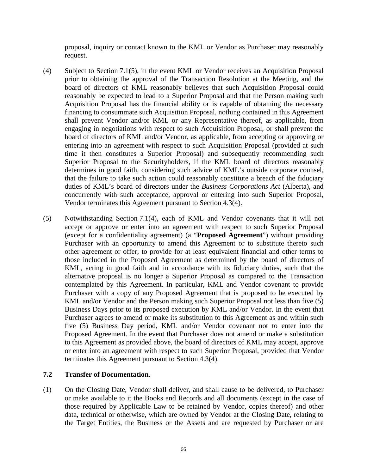proposal, inquiry or contact known to the KML or Vendor as Purchaser may reasonably request.

- (4) Subject to Section 7.1(5), in the event KML or Vendor receives an Acquisition Proposal prior to obtaining the approval of the Transaction Resolution at the Meeting, and the board of directors of KML reasonably believes that such Acquisition Proposal could reasonably be expected to lead to a Superior Proposal and that the Person making such Acquisition Proposal has the financial ability or is capable of obtaining the necessary financing to consummate such Acquisition Proposal, nothing contained in this Agreement shall prevent Vendor and/or KML or any Representative thereof, as applicable, from engaging in negotiations with respect to such Acquisition Proposal, or shall prevent the board of directors of KML and/or Vendor, as applicable, from accepting or approving or entering into an agreement with respect to such Acquisition Proposal (provided at such time it then constitutes a Superior Proposal) and subsequently recommending such Superior Proposal to the Securityholders, if the KML board of directors reasonably determines in good faith, considering such advice of KML's outside corporate counsel, that the failure to take such action could reasonably constitute a breach of the fiduciary duties of KML's board of directors under the *Business Corporations Act* (Alberta), and concurrently with such acceptance, approval or entering into such Superior Proposal, Vendor terminates this Agreement pursuant to Section 4.3(4).
- (5) Notwithstanding Section 7.1(4), each of KML and Vendor covenants that it will not accept or approve or enter into an agreement with respect to such Superior Proposal (except for a confidentiality agreement) (a "**Proposed Agreement**") without providing Purchaser with an opportunity to amend this Agreement or to substitute thereto such other agreement or offer, to provide for at least equivalent financial and other terms to those included in the Proposed Agreement as determined by the board of directors of KML, acting in good faith and in accordance with its fiduciary duties, such that the alternative proposal is no longer a Superior Proposal as compared to the Transaction contemplated by this Agreement. In particular, KML and Vendor covenant to provide Purchaser with a copy of any Proposed Agreement that is proposed to be executed by KML and/or Vendor and the Person making such Superior Proposal not less than five (5) Business Days prior to its proposed execution by KML and/or Vendor. In the event that Purchaser agrees to amend or make its substitution to this Agreement as and within such five (5) Business Day period, KML and/or Vendor covenant not to enter into the Proposed Agreement. In the event that Purchaser does not amend or make a substitution to this Agreement as provided above, the board of directors of KML may accept, approve or enter into an agreement with respect to such Superior Proposal, provided that Vendor terminates this Agreement pursuant to Section 4.3(4).

# **7.2 Transfer of Documentation**.

(1) On the Closing Date, Vendor shall deliver, and shall cause to be delivered, to Purchaser or make available to it the Books and Records and all documents (except in the case of those required by Applicable Law to be retained by Vendor, copies thereof) and other data, technical or otherwise, which are owned by Vendor at the Closing Date, relating to the Target Entities, the Business or the Assets and are requested by Purchaser or are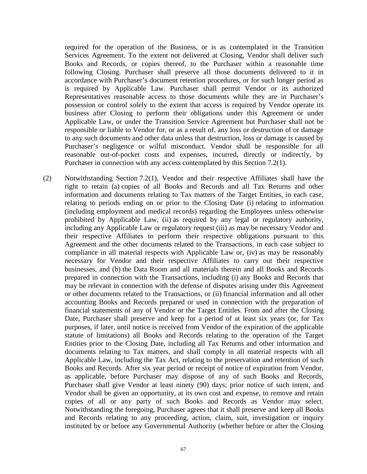required for the operation of the Business, or is as contemplated in the Transition Services Agreement. To the extent not delivered at Closing, Vendor shall deliver such Books and Records, or copies thereof, to the Purchaser within a reasonable time following Closing. Purchaser shall preserve all those documents delivered to it in accordance with Purchaser's document retention procedures, or for such longer period as is required by Applicable Law. Purchaser shall permit Vendor or its authorized Representatives reasonable access to those documents while they are in Purchaser's possession or control solely to the extent that access is required by Vendor operate its business after Closing to perform their obligations under this Agreement or under Applicable Law, or under the Transition Service Agreement but Purchaser shall not be responsible or liable to Vendor for, or as a result of, any loss or destruction of or damage to any such documents and other data unless that destruction, loss or damage is caused by Purchaser's negligence or wilful misconduct. Vendor shall be responsible for all reasonable out-of-pocket costs and expenses, incurred, directly or indirectly, by Purchaser in connection with any access contemplated by this Section 7.2(1).

(2) Notwithstanding Section 7.2(1), Vendor and their respective Affiliates shall have the right to retain (a) copies of all Books and Records and all Tax Returns and other information and documents relating to Tax matters of the Target Entities, in each case, relating to periods ending on or prior to the Closing Date (i) relating to information (including employment and medical records) regarding the Employees unless otherwise prohibited by Applicable Law, (ii) as required by any legal or regulatory authority, including any Applicable Law or regulatory request (iii) as may be necessary Vendor and their respective Affiliates to perform their respective obligations pursuant to this Agreement and the other documents related to the Transactions, in each case subject to compliance in all material respects with Applicable Law or, (iv) as may be reasonably necessary for Vendor and their respective Affiliates to carry out their respective businesses, and (b) the Data Room and all materials therein and all Books and Records prepared in connection with the Transactions, including (i) any Books and Records that may be relevant in connection with the defense of disputes arising under this Agreement or other documents related to the Transactions, or (ii) financial information and all other accounting Books and Records prepared or used in connection with the preparation of financial statements of any of Vendor or the Target Entitles. From and after the Closing Date, Purchaser shall preserve and keep for a period of at least six years (or, for Tax purposes, if later, until notice is received from Vendor of the expiration of the applicable statute of limitations) all Books and Records relating to the operation of the Target Entities prior to the Closing Date, including all Tax Returns and other information and documents relating to Tax matters, and shall comply in all material respects with all Applicable Law, including the Tax Act, relating to the preservation and retention of such Books and Records. After six year period or receipt of notice of expiration from Vendor, as applicable, before Purchaser may dispose of any of such Books and Records, Purchaser shall give Vendor at least ninety (90) days; prior notice of such intent, and Vendor shall be given an opportunity, at its own cost and expense, to remove and retain copies of all or any party of such Books and Records as Vendor may select. Notwithstanding the foregoing, Purchaser agrees that it shall preserve and keep all Books and Records relating to any proceeding, action, claim, suit, investigation or inquiry instituted by or before any Governmental Authority (whether before or after the Closing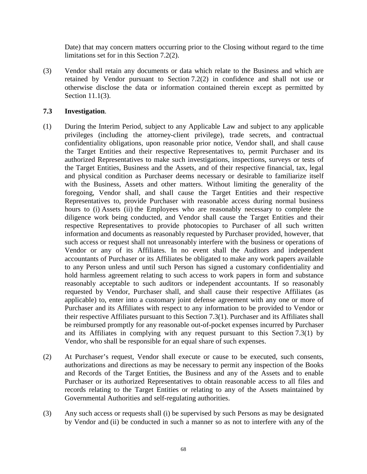Date) that may concern matters occurring prior to the Closing without regard to the time limitations set for in this Section 7.2(2).

(3) Vendor shall retain any documents or data which relate to the Business and which are retained by Vendor pursuant to Section 7.2(2) in confidence and shall not use or otherwise disclose the data or information contained therein except as permitted by Section 11.1(3).

#### **7.3 Investigation**.

- (1) During the Interim Period, subject to any Applicable Law and subject to any applicable privileges (including the attorney-client privilege), trade secrets, and contractual confidentiality obligations, upon reasonable prior notice, Vendor shall, and shall cause the Target Entities and their respective Representatives to, permit Purchaser and its authorized Representatives to make such investigations, inspections, surveys or tests of the Target Entities, Business and the Assets, and of their respective financial, tax, legal and physical condition as Purchaser deems necessary or desirable to familiarize itself with the Business, Assets and other matters. Without limiting the generality of the foregoing, Vendor shall, and shall cause the Target Entities and their respective Representatives to, provide Purchaser with reasonable access during normal business hours to (i) Assets (ii) the Employees who are reasonably necessary to complete the diligence work being conducted, and Vendor shall cause the Target Entities and their respective Representatives to provide photocopies to Purchaser of all such written information and documents as reasonably requested by Purchaser provided, however, that such access or request shall not unreasonably interfere with the business or operations of Vendor or any of its Affiliates. In no event shall the Auditors and independent accountants of Purchaser or its Affiliates be obligated to make any work papers available to any Person unless and until such Person has signed a customary confidentiality and hold harmless agreement relating to such access to work papers in form and substance reasonably acceptable to such auditors or independent accountants. If so reasonably requested by Vendor, Purchaser shall, and shall cause their respective Affiliates (as applicable) to, enter into a customary joint defense agreement with any one or more of Purchaser and its Affiliates with respect to any information to be provided to Vendor or their respective Affiliates pursuant to this Section 7.3(1). Purchaser and its Affiliates shall be reimbursed promptly for any reasonable out-of-pocket expenses incurred by Purchaser and its Affiliates in complying with any request pursuant to this Section 7.3(1) by Vendor, who shall be responsible for an equal share of such expenses.
- (2) At Purchaser's request, Vendor shall execute or cause to be executed, such consents, authorizations and directions as may be necessary to permit any inspection of the Books and Records of the Target Entities, the Business and any of the Assets and to enable Purchaser or its authorized Representatives to obtain reasonable access to all files and records relating to the Target Entities or relating to any of the Assets maintained by Governmental Authorities and self-regulating authorities.
- (3) Any such access or requests shall (i) be supervised by such Persons as may be designated by Vendor and (ii) be conducted in such a manner so as not to interfere with any of the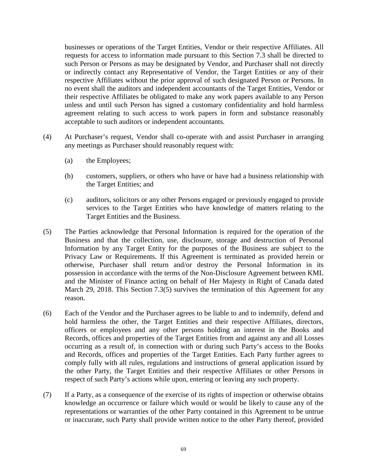businesses or operations of the Target Entities, Vendor or their respective Affiliates. All requests for access to information made pursuant to this Section 7.3 shall be directed to such Person or Persons as may be designated by Vendor, and Purchaser shall not directly or indirectly contact any Representative of Vendor, the Target Entities or any of their respective Affiliates without the prior approval of such designated Person or Persons. In no event shall the auditors and independent accountants of the Target Entities, Vendor or their respective Affiliates be obligated to make any work papers available to any Person unless and until such Person has signed a customary confidentiality and hold harmless agreement relating to such access to work papers in form and substance reasonably acceptable to such auditors or independent accountants.

- (4) At Purchaser's request, Vendor shall co-operate with and assist Purchaser in arranging any meetings as Purchaser should reasonably request with:
	- (a) the Employees;
	- (b) customers, suppliers, or others who have or have had a business relationship with the Target Entities; and
	- (c) auditors, solicitors or any other Persons engaged or previously engaged to provide services to the Target Entities who have knowledge of matters relating to the Target Entities and the Business.
- (5) The Parties acknowledge that Personal Information is required for the operation of the Business and that the collection, use, disclosure, storage and destruction of Personal Information by any Target Entity for the purposes of the Business are subject to the Privacy Law or Requirements. If this Agreement is terminated as provided herein or otherwise, Purchaser shall return and/or destroy the Personal Information in its possession in accordance with the terms of the Non-Disclosure Agreement between KML and the Minister of Finance acting on behalf of Her Majesty in Right of Canada dated March 29, 2018. This Section 7.3(5) survives the termination of this Agreement for any reason.
- (6) Each of the Vendor and the Purchaser agrees to be liable to and to indemnify, defend and hold harmless the other, the Target Entities and their respective Affiliates, directors, officers or employees and any other persons holding an interest in the Books and Records, offices and properties of the Target Entities from and against any and all Losses occurring as a result of, in connection with or during such Party's access to the Books and Records, offices and properties of the Target Entities. Each Party further agrees to comply fully with all rules, regulations and instructions of general application issued by the other Party, the Target Entities and their respective Affiliates or other Persons in respect of such Party's actions while upon, entering or leaving any such property.
- (7) If a Party, as a consequence of the exercise of its rights of inspection or otherwise obtains knowledge an occurrence or failure which would or would be likely to cause any of the representations or warranties of the other Party contained in this Agreement to be untrue or inaccurate, such Party shall provide written notice to the other Party thereof, provided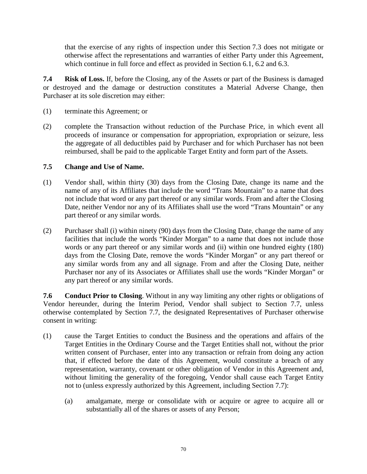that the exercise of any rights of inspection under this Section 7.3 does not mitigate or otherwise affect the representations and warranties of either Party under this Agreement, which continue in full force and effect as provided in Section 6.1, 6.2 and 6.3.

**7.4 Risk of Loss.** If, before the Closing, any of the Assets or part of the Business is damaged or destroyed and the damage or destruction constitutes a Material Adverse Change, then Purchaser at its sole discretion may either:

- (1) terminate this Agreement; or
- (2) complete the Transaction without reduction of the Purchase Price, in which event all proceeds of insurance or compensation for appropriation, expropriation or seizure, less the aggregate of all deductibles paid by Purchaser and for which Purchaser has not been reimbursed, shall be paid to the applicable Target Entity and form part of the Assets.

### **7.5 Change and Use of Name.**

- (1) Vendor shall, within thirty (30) days from the Closing Date, change its name and the name of any of its Affiliates that include the word "Trans Mountain" to a name that does not include that word or any part thereof or any similar words. From and after the Closing Date, neither Vendor nor any of its Affiliates shall use the word "Trans Mountain" or any part thereof or any similar words.
- (2) Purchaser shall (i) within ninety (90) days from the Closing Date, change the name of any facilities that include the words "Kinder Morgan" to a name that does not include those words or any part thereof or any similar words and (ii) within one hundred eighty (180) days from the Closing Date, remove the words "Kinder Morgan" or any part thereof or any similar words from any and all signage. From and after the Closing Date, neither Purchaser nor any of its Associates or Affiliates shall use the words "Kinder Morgan" or any part thereof or any similar words.

**7.6 Conduct Prior to Closing**. Without in any way limiting any other rights or obligations of Vendor hereunder, during the Interim Period, Vendor shall subject to Section 7.7, unless otherwise contemplated by Section 7.7, the designated Representatives of Purchaser otherwise consent in writing:

- (1) cause the Target Entities to conduct the Business and the operations and affairs of the Target Entities in the Ordinary Course and the Target Entities shall not, without the prior written consent of Purchaser, enter into any transaction or refrain from doing any action that, if effected before the date of this Agreement, would constitute a breach of any representation, warranty, covenant or other obligation of Vendor in this Agreement and, without limiting the generality of the foregoing, Vendor shall cause each Target Entity not to (unless expressly authorized by this Agreement, including Section 7.7):
	- (a) amalgamate, merge or consolidate with or acquire or agree to acquire all or substantially all of the shares or assets of any Person;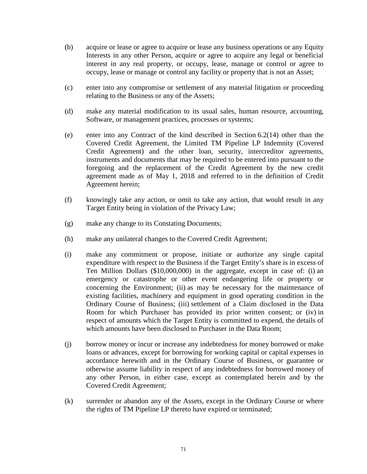- (b) acquire or lease or agree to acquire or lease any business operations or any Equity Interests in any other Person, acquire or agree to acquire any legal or beneficial interest in any real property, or occupy, lease, manage or control or agree to occupy, lease or manage or control any facility or property that is not an Asset;
- (c) enter into any compromise or settlement of any material litigation or proceeding relating to the Business or any of the Assets;
- (d) make any material modification to its usual sales, human resource, accounting, Software, or management practices, processes or systems;
- (e) enter into any Contract of the kind described in Section 6.2(14) other than the Covered Credit Agreement, the Limited TM Pipeline LP Indemnity (Covered Credit Agreement) and the other loan, security, intercreditor agreements, instruments and documents that may be required to be entered into pursuant to the foregoing and the replacement of the Credit Agreement by the new credit agreement made as of May 1, 2018 and referred to in the definition of Credit Agreement herein;
- (f) knowingly take any action, or omit to take any action, that would result in any Target Entity being in violation of the Privacy Law;
- (g) make any change to its Constating Documents;
- (h) make any unilateral changes to the Covered Credit Agreement;
- (i) make any commitment or propose, initiate or authorize any single capital expenditure with respect to the Business if the Target Entity's share is in excess of Ten Million Dollars (\$10,000,000) in the aggregate, except in case of: (i) an emergency or catastrophe or other event endangering life or property or concerning the Environment; (ii) as may be necessary for the maintenance of existing facilities, machinery and equipment in good operating condition in the Ordinary Course of Business; (iii) settlement of a Claim disclosed in the Data Room for which Purchaser has provided its prior written consent; or (iv) in respect of amounts which the Target Entity is committed to expend, the details of which amounts have been disclosed to Purchaser in the Data Room;
- (j) borrow money or incur or increase any indebtedness for money borrowed or make loans or advances, except for borrowing for working capital or capital expenses in accordance herewith and in the Ordinary Course of Business, or guarantee or otherwise assume liability in respect of any indebtedness for borrowed money of any other Person, in either case, except as contemplated herein and by the Covered Credit Agreement;
- (k) surrender or abandon any of the Assets, except in the Ordinary Course or where the rights of TM Pipeline LP thereto have expired or terminated;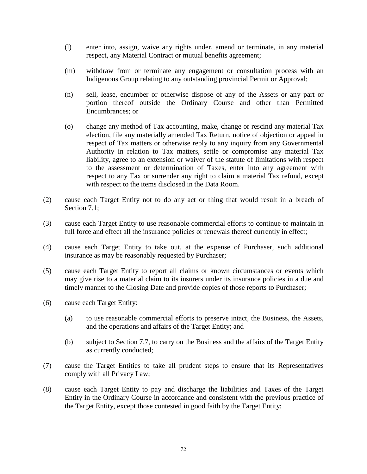- (l) enter into, assign, waive any rights under, amend or terminate, in any material respect, any Material Contract or mutual benefits agreement;
- (m) withdraw from or terminate any engagement or consultation process with an Indigenous Group relating to any outstanding provincial Permit or Approval;
- (n) sell, lease, encumber or otherwise dispose of any of the Assets or any part or portion thereof outside the Ordinary Course and other than Permitted Encumbrances; or
- (o) change any method of Tax accounting, make, change or rescind any material Tax election, file any materially amended Tax Return, notice of objection or appeal in respect of Tax matters or otherwise reply to any inquiry from any Governmental Authority in relation to Tax matters, settle or compromise any material Tax liability, agree to an extension or waiver of the statute of limitations with respect to the assessment or determination of Taxes, enter into any agreement with respect to any Tax or surrender any right to claim a material Tax refund, except with respect to the items disclosed in the Data Room.
- (2) cause each Target Entity not to do any act or thing that would result in a breach of Section 7.1:
- (3) cause each Target Entity to use reasonable commercial efforts to continue to maintain in full force and effect all the insurance policies or renewals thereof currently in effect;
- (4) cause each Target Entity to take out, at the expense of Purchaser, such additional insurance as may be reasonably requested by Purchaser;
- (5) cause each Target Entity to report all claims or known circumstances or events which may give rise to a material claim to its insurers under its insurance policies in a due and timely manner to the Closing Date and provide copies of those reports to Purchaser;
- (6) cause each Target Entity:
	- (a) to use reasonable commercial efforts to preserve intact, the Business, the Assets, and the operations and affairs of the Target Entity; and
	- (b) subject to Section 7.7, to carry on the Business and the affairs of the Target Entity as currently conducted;
- (7) cause the Target Entities to take all prudent steps to ensure that its Representatives comply with all Privacy Law;
- (8) cause each Target Entity to pay and discharge the liabilities and Taxes of the Target Entity in the Ordinary Course in accordance and consistent with the previous practice of the Target Entity, except those contested in good faith by the Target Entity;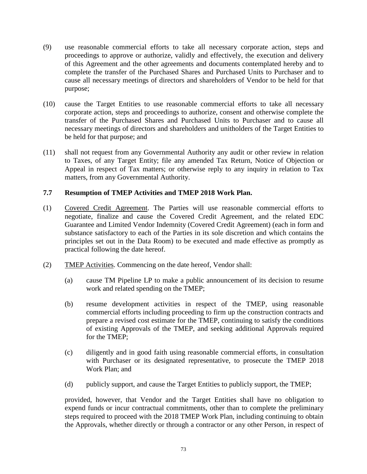- (9) use reasonable commercial efforts to take all necessary corporate action, steps and proceedings to approve or authorize, validly and effectively, the execution and delivery of this Agreement and the other agreements and documents contemplated hereby and to complete the transfer of the Purchased Shares and Purchased Units to Purchaser and to cause all necessary meetings of directors and shareholders of Vendor to be held for that purpose;
- (10) cause the Target Entities to use reasonable commercial efforts to take all necessary corporate action, steps and proceedings to authorize, consent and otherwise complete the transfer of the Purchased Shares and Purchased Units to Purchaser and to cause all necessary meetings of directors and shareholders and unitholders of the Target Entities to be held for that purpose; and
- (11) shall not request from any Governmental Authority any audit or other review in relation to Taxes, of any Target Entity; file any amended Tax Return, Notice of Objection or Appeal in respect of Tax matters; or otherwise reply to any inquiry in relation to Tax matters, from any Governmental Authority.

# **7.7 Resumption of TMEP Activities and TMEP 2018 Work Plan.**

- (1) Covered Credit Agreement. The Parties will use reasonable commercial efforts to negotiate, finalize and cause the Covered Credit Agreement, and the related EDC Guarantee and Limited Vendor Indemnity (Covered Credit Agreement) (each in form and substance satisfactory to each of the Parties in its sole discretion and which contains the principles set out in the Data Room) to be executed and made effective as promptly as practical following the date hereof.
- (2) TMEP Activities. Commencing on the date hereof, Vendor shall:
	- (a) cause TM Pipeline LP to make a public announcement of its decision to resume work and related spending on the TMEP;
	- (b) resume development activities in respect of the TMEP, using reasonable commercial efforts including proceeding to firm up the construction contracts and prepare a revised cost estimate for the TMEP, continuing to satisfy the conditions of existing Approvals of the TMEP, and seeking additional Approvals required for the TMEP;
	- (c) diligently and in good faith using reasonable commercial efforts, in consultation with Purchaser or its designated representative, to prosecute the TMEP 2018 Work Plan; and
	- (d) publicly support, and cause the Target Entities to publicly support, the TMEP;

provided, however, that Vendor and the Target Entities shall have no obligation to expend funds or incur contractual commitments, other than to complete the preliminary steps required to proceed with the 2018 TMEP Work Plan, including continuing to obtain the Approvals, whether directly or through a contractor or any other Person, in respect of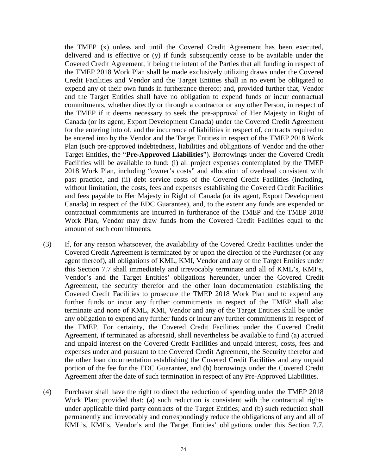the TMEP (x) unless and until the Covered Credit Agreement has been executed, delivered and is effective or (y) if funds subsequently cease to be available under the Covered Credit Agreement, it being the intent of the Parties that all funding in respect of the TMEP 2018 Work Plan shall be made exclusively utilizing draws under the Covered Credit Facilities and Vendor and the Target Entities shall in no event be obligated to expend any of their own funds in furtherance thereof; and, provided further that, Vendor and the Target Entities shall have no obligation to expend funds or incur contractual commitments, whether directly or through a contractor or any other Person, in respect of the TMEP if it deems necessary to seek the pre-approval of Her Majesty in Right of Canada (or its agent, Export Development Canada) under the Covered Credit Agreement for the entering into of, and the incurrence of liabilities in respect of, contracts required to be entered into by the Vendor and the Target Entities in respect of the TMEP 2018 Work Plan (such pre-approved indebtedness, liabilities and obligations of Vendor and the other Target Entities, the "**Pre-Approved Liabilities**"). Borrowings under the Covered Credit Facilities will be available to fund: (i) all project expenses contemplated by the TMEP 2018 Work Plan, including "owner's costs" and allocation of overhead consistent with past practice, and (ii) debt service costs of the Covered Credit Facilities (including, without limitation, the costs, fees and expenses establishing the Covered Credit Facilities and fees payable to Her Majesty in Right of Canada (or its agent, Export Development Canada) in respect of the EDC Guarantee), and, to the extent any funds are expended or contractual commitments are incurred in furtherance of the TMEP and the TMEP 2018 Work Plan, Vendor may draw funds from the Covered Credit Facilities equal to the amount of such commitments.

- (3) If, for any reason whatsoever, the availability of the Covered Credit Facilities under the Covered Credit Agreement is terminated by or upon the direction of the Purchaser (or any agent thereof), all obligations of KML, KMI, Vendor and any of the Target Entities under this Section 7.7 shall immediately and irrevocably terminate and all of KML's, KMI's, Vendor's and the Target Entities' obligations hereunder, under the Covered Credit Agreement, the security therefor and the other loan documentation establishing the Covered Credit Facilities to prosecute the TMEP 2018 Work Plan and to expend any further funds or incur any further commitments in respect of the TMEP shall also terminate and none of KML, KMI, Vendor and any of the Target Entities shall be under any obligation to expend any further funds or incur any further commitments in respect of the TMEP. For certainty, the Covered Credit Facilities under the Covered Credit Agreement, if terminated as aforesaid, shall nevertheless be available to fund (a) accrued and unpaid interest on the Covered Credit Facilities and unpaid interest, costs, fees and expenses under and pursuant to the Covered Credit Agreement, the Security therefor and the other loan documentation establishing the Covered Credit Facilities and any unpaid portion of the fee for the EDC Guarantee, and (b) borrowings under the Covered Credit Agreement after the date of such termination in respect of any Pre-Approved Liabilities.
- (4) Purchaser shall have the right to direct the reduction of spending under the TMEP 2018 Work Plan; provided that: (a) such reduction is consistent with the contractual rights under applicable third party contracts of the Target Entities; and (b) such reduction shall permanently and irrevocably and correspondingly reduce the obligations of any and all of KML's, KMI's, Vendor's and the Target Entities' obligations under this Section 7.7,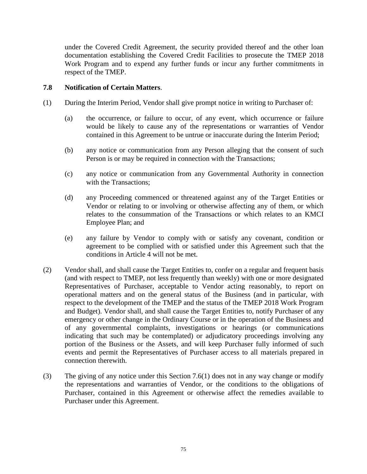under the Covered Credit Agreement, the security provided thereof and the other loan documentation establishing the Covered Credit Facilities to prosecute the TMEP 2018 Work Program and to expend any further funds or incur any further commitments in respect of the TMEP.

# **7.8 Notification of Certain Matters**.

- (1) During the Interim Period, Vendor shall give prompt notice in writing to Purchaser of:
	- (a) the occurrence, or failure to occur, of any event, which occurrence or failure would be likely to cause any of the representations or warranties of Vendor contained in this Agreement to be untrue or inaccurate during the Interim Period;
	- (b) any notice or communication from any Person alleging that the consent of such Person is or may be required in connection with the Transactions;
	- (c) any notice or communication from any Governmental Authority in connection with the Transactions;
	- (d) any Proceeding commenced or threatened against any of the Target Entities or Vendor or relating to or involving or otherwise affecting any of them, or which relates to the consummation of the Transactions or which relates to an KMCI Employee Plan; and
	- (e) any failure by Vendor to comply with or satisfy any covenant, condition or agreement to be complied with or satisfied under this Agreement such that the conditions in Article 4 will not be met.
- (2) Vendor shall, and shall cause the Target Entities to, confer on a regular and frequent basis (and with respect to TMEP, not less frequently than weekly) with one or more designated Representatives of Purchaser, acceptable to Vendor acting reasonably, to report on operational matters and on the general status of the Business (and in particular, with respect to the development of the TMEP and the status of the TMEP 2018 Work Program and Budget). Vendor shall, and shall cause the Target Entities to, notify Purchaser of any emergency or other change in the Ordinary Course or in the operation of the Business and of any governmental complaints, investigations or hearings (or communications indicating that such may be contemplated) or adjudicatory proceedings involving any portion of the Business or the Assets, and will keep Purchaser fully informed of such events and permit the Representatives of Purchaser access to all materials prepared in connection therewith.
- (3) The giving of any notice under this Section 7.6(1) does not in any way change or modify the representations and warranties of Vendor, or the conditions to the obligations of Purchaser, contained in this Agreement or otherwise affect the remedies available to Purchaser under this Agreement.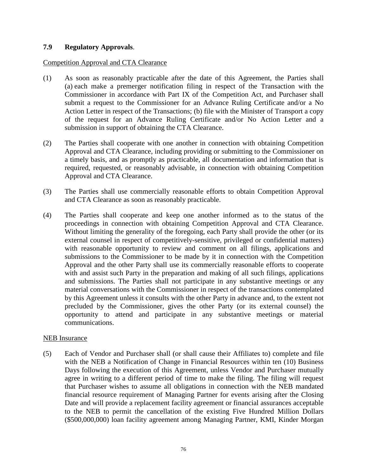### **7.9 Regulatory Approvals**.

#### Competition Approval and CTA Clearance

- (1) As soon as reasonably practicable after the date of this Agreement, the Parties shall (a) each make a premerger notification filing in respect of the Transaction with the Commissioner in accordance with Part IX of the Competition Act, and Purchaser shall submit a request to the Commissioner for an Advance Ruling Certificate and/or a No Action Letter in respect of the Transactions; (b) file with the Minister of Transport a copy of the request for an Advance Ruling Certificate and/or No Action Letter and a submission in support of obtaining the CTA Clearance.
- (2) The Parties shall cooperate with one another in connection with obtaining Competition Approval and CTA Clearance, including providing or submitting to the Commissioner on a timely basis, and as promptly as practicable, all documentation and information that is required, requested, or reasonably advisable, in connection with obtaining Competition Approval and CTA Clearance.
- (3) The Parties shall use commercially reasonable efforts to obtain Competition Approval and CTA Clearance as soon as reasonably practicable.
- (4) The Parties shall cooperate and keep one another informed as to the status of the proceedings in connection with obtaining Competition Approval and CTA Clearance. Without limiting the generality of the foregoing, each Party shall provide the other (or its external counsel in respect of competitively-sensitive, privileged or confidential matters) with reasonable opportunity to review and comment on all filings, applications and submissions to the Commissioner to be made by it in connection with the Competition Approval and the other Party shall use its commercially reasonable efforts to cooperate with and assist such Party in the preparation and making of all such filings, applications and submissions. The Parties shall not participate in any substantive meetings or any material conversations with the Commissioner in respect of the transactions contemplated by this Agreement unless it consults with the other Party in advance and, to the extent not precluded by the Commissioner, gives the other Party (or its external counsel) the opportunity to attend and participate in any substantive meetings or material communications.

#### NEB Insurance

(5) Each of Vendor and Purchaser shall (or shall cause their Affiliates to) complete and file with the NEB a Notification of Change in Financial Resources within ten (10) Business Days following the execution of this Agreement, unless Vendor and Purchaser mutually agree in writing to a different period of time to make the filing. The filing will request that Purchaser wishes to assume all obligations in connection with the NEB mandated financial resource requirement of Managing Partner for events arising after the Closing Date and will provide a replacement facility agreement or financial assurances acceptable to the NEB to permit the cancellation of the existing Five Hundred Million Dollars (\$500,000,000) loan facility agreement among Managing Partner, KMI, Kinder Morgan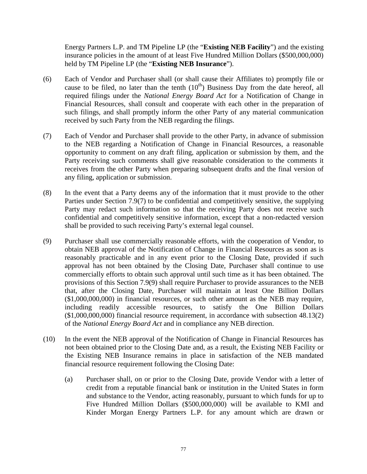Energy Partners L.P. and TM Pipeline LP (the "**Existing NEB Facility**") and the existing insurance policies in the amount of at least Five Hundred Million Dollars (\$500,000,000) held by TM Pipeline LP (the "**Existing NEB Insurance**").

- (6) Each of Vendor and Purchaser shall (or shall cause their Affiliates to) promptly file or cause to be filed, no later than the tenth  $(10<sup>th</sup>)$  Business Day from the date hereof, all required filings under the *National Energy Board Act* for a Notification of Change in Financial Resources, shall consult and cooperate with each other in the preparation of such filings, and shall promptly inform the other Party of any material communication received by such Party from the NEB regarding the filings.
- (7) Each of Vendor and Purchaser shall provide to the other Party, in advance of submission to the NEB regarding a Notification of Change in Financial Resources, a reasonable opportunity to comment on any draft filing, application or submission by them, and the Party receiving such comments shall give reasonable consideration to the comments it receives from the other Party when preparing subsequent drafts and the final version of any filing, application or submission.
- (8) In the event that a Party deems any of the information that it must provide to the other Parties under Section 7.9(7) to be confidential and competitively sensitive, the supplying Party may redact such information so that the receiving Party does not receive such confidential and competitively sensitive information, except that a non-redacted version shall be provided to such receiving Party's external legal counsel.
- (9) Purchaser shall use commercially reasonable efforts, with the cooperation of Vendor, to obtain NEB approval of the Notification of Change in Financial Resources as soon as is reasonably practicable and in any event prior to the Closing Date, provided if such approval has not been obtained by the Closing Date, Purchaser shall continue to use commercially efforts to obtain such approval until such time as it has been obtained. The provisions of this Section 7.9(9) shall require Purchaser to provide assurances to the NEB that, after the Closing Date, Purchaser will maintain at least One Billion Dollars (\$1,000,000,000) in financial resources, or such other amount as the NEB may require, including readily accessible resources, to satisfy the One Billion Dollars (\$1,000,000,000) financial resource requirement, in accordance with subsection 48.13(2) of the *National Energy Board Act* and in compliance any NEB direction.
- (10) In the event the NEB approval of the Notification of Change in Financial Resources has not been obtained prior to the Closing Date and, as a result, the Existing NEB Facility or the Existing NEB Insurance remains in place in satisfaction of the NEB mandated financial resource requirement following the Closing Date:
	- (a) Purchaser shall, on or prior to the Closing Date, provide Vendor with a letter of credit from a reputable financial bank or institution in the United States in form and substance to the Vendor, acting reasonably, pursuant to which funds for up to Five Hundred Million Dollars (\$500,000,000) will be available to KMI and Kinder Morgan Energy Partners L.P. for any amount which are drawn or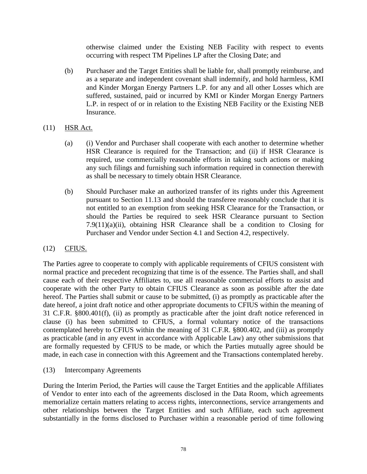otherwise claimed under the Existing NEB Facility with respect to events occurring with respect TM Pipelines LP after the Closing Date; and

- (b) Purchaser and the Target Entities shall be liable for, shall promptly reimburse, and as a separate and independent covenant shall indemnify, and hold harmless, KMI and Kinder Morgan Energy Partners L.P. for any and all other Losses which are suffered, sustained, paid or incurred by KMI or Kinder Morgan Energy Partners L.P. in respect of or in relation to the Existing NEB Facility or the Existing NEB Insurance.
- (11) HSR Act.
	- (a) (i) Vendor and Purchaser shall cooperate with each another to determine whether HSR Clearance is required for the Transaction; and (ii) if HSR Clearance is required, use commercially reasonable efforts in taking such actions or making any such filings and furnishing such information required in connection therewith as shall be necessary to timely obtain HSR Clearance.
	- (b) Should Purchaser make an authorized transfer of its rights under this Agreement pursuant to Section 11.13 and should the transferee reasonably conclude that it is not entitled to an exemption from seeking HSR Clearance for the Transaction, or should the Parties be required to seek HSR Clearance pursuant to Section 7.9(11)(a)(ii), obtaining HSR Clearance shall be a condition to Closing for Purchaser and Vendor under Section 4.1 and Section 4.2, respectively.

# (12) CFIUS.

The Parties agree to cooperate to comply with applicable requirements of CFIUS consistent with normal practice and precedent recognizing that time is of the essence. The Parties shall, and shall cause each of their respective Affiliates to, use all reasonable commercial efforts to assist and cooperate with the other Party to obtain CFIUS Clearance as soon as possible after the date hereof. The Parties shall submit or cause to be submitted, (i) as promptly as practicable after the date hereof, a joint draft notice and other appropriate documents to CFIUS within the meaning of 31 C.F.R. §800.401(f), (ii) as promptly as practicable after the joint draft notice referenced in clause (i) has been submitted to CFIUS, a formal voluntary notice of the transactions contemplated hereby to CFIUS within the meaning of 31 C.F.R. §800.402, and (iii) as promptly as practicable (and in any event in accordance with Applicable Law) any other submissions that are formally requested by CFIUS to be made, or which the Parties mutually agree should be made, in each case in connection with this Agreement and the Transactions contemplated hereby.

(13) Intercompany Agreements

During the Interim Period, the Parties will cause the Target Entities and the applicable Affiliates of Vendor to enter into each of the agreements disclosed in the Data Room, which agreements memorialize certain matters relating to access rights, interconnections, service arrangements and other relationships between the Target Entities and such Affiliate, each such agreement substantially in the forms disclosed to Purchaser within a reasonable period of time following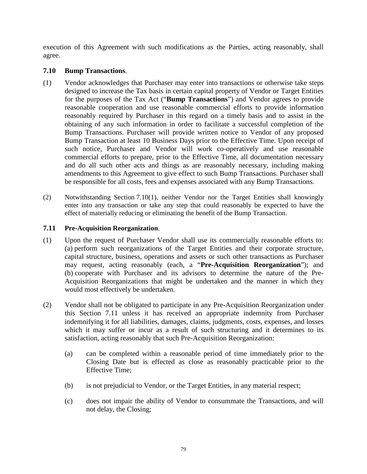execution of this Agreement with such modifications as the Parties, acting reasonably, shall agree.

### **7.10 Bump Transactions**.

- (1) Vendor acknowledges that Purchaser may enter into transactions or otherwise take steps designed to increase the Tax basis in certain capital property of Vendor or Target Entities for the purposes of the Tax Act ("**Bump Transactions**") and Vendor agrees to provide reasonable cooperation and use reasonable commercial efforts to provide information reasonably required by Purchaser in this regard on a timely basis and to assist in the obtaining of any such information in order to facilitate a successful completion of the Bump Transactions. Purchaser will provide written notice to Vendor of any proposed Bump Transaction at least 10 Business Days prior to the Effective Time. Upon receipt of such notice, Purchaser and Vendor will work co-operatively and use reasonable commercial efforts to prepare, prior to the Effective Time, all documentation necessary and do all such other acts and things as are reasonably necessary, including making amendments to this Agreement to give effect to such Bump Transactions. Purchaser shall be responsible for all costs, fees and expenses associated with any Bump Transactions.
- (2) Notwithstanding Section 7.10(1), neither Vendor nor the Target Entities shall knowingly enter into any transaction or take any step that could reasonably be expected to have the effect of materially reducing or eliminating the benefit of the Bump Transaction.

### **7.11 Pre-Acquisition Reorganization**.

- (1) Upon the request of Purchaser Vendor shall use its commercially reasonable efforts to: (a) perform such reorganizations of the Target Entities and their corporate structure, capital structure, business, operations and assets or such other transactions as Purchaser may request, acting reasonably (each, a "**Pre-Acquisition Reorganization**"); and (b) cooperate with Purchaser and its advisors to determine the nature of the Pre-Acquisition Reorganizations that might be undertaken and the manner in which they would most effectively be undertaken.
- (2) Vendor shall not be obligated to participate in any Pre-Acquisition Reorganization under this Section 7.11 unless it has received an appropriate indemnity from Purchaser indemnifying it for all liabilities, damages, claims, judgments, costs, expenses, and losses which it may suffer or incur as a result of such structuring and it determines to its satisfaction, acting reasonably that such Pre-Acquisition Reorganization:
	- (a) can be completed within a reasonable period of time immediately prior to the Closing Date but is effected as close as reasonably practicable prior to the Effective Time;
	- (b) is not prejudicial to Vendor, or the Target Entities, in any material respect;
	- (c) does not impair the ability of Vendor to consummate the Transactions, and will not delay, the Closing;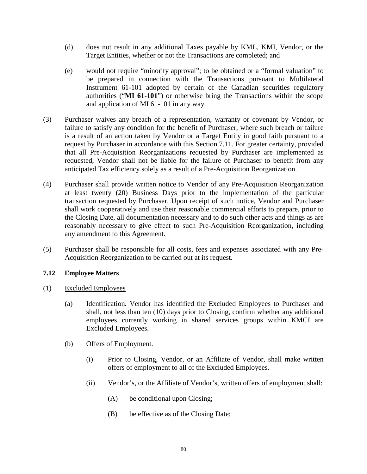- (d) does not result in any additional Taxes payable by KML, KMI, Vendor, or the Target Entities, whether or not the Transactions are completed; and
- (e) would not require "minority approval"; to be obtained or a "formal valuation" to be prepared in connection with the Transactions pursuant to Multilateral Instrument 61-101 adopted by certain of the Canadian securities regulatory authorities ("**MI 61-101**") or otherwise bring the Transactions within the scope and application of MI 61-101 in any way.
- (3) Purchaser waives any breach of a representation, warranty or covenant by Vendor, or failure to satisfy any condition for the benefit of Purchaser, where such breach or failure is a result of an action taken by Vendor or a Target Entity in good faith pursuant to a request by Purchaser in accordance with this Section 7.11. For greater certainty, provided that all Pre-Acquisition Reorganizations requested by Purchaser are implemented as requested, Vendor shall not be liable for the failure of Purchaser to benefit from any anticipated Tax efficiency solely as a result of a Pre-Acquisition Reorganization.
- (4) Purchaser shall provide written notice to Vendor of any Pre-Acquisition Reorganization at least twenty (20) Business Days prior to the implementation of the particular transaction requested by Purchaser. Upon receipt of such notice, Vendor and Purchaser shall work cooperatively and use their reasonable commercial efforts to prepare, prior to the Closing Date, all documentation necessary and to do such other acts and things as are reasonably necessary to give effect to such Pre-Acquisition Reorganization, including any amendment to this Agreement.
- (5) Purchaser shall be responsible for all costs, fees and expenses associated with any Pre-Acquisition Reorganization to be carried out at its request.

# **7.12 Employee Matters**

- (1) Excluded Employees
	- (a) Identification*.* Vendor has identified the Excluded Employees to Purchaser and shall, not less than ten (10) days prior to Closing, confirm whether any additional employees currently working in shared services groups within KMCI are Excluded Employees.
	- (b) Offers of Employment.
		- (i) Prior to Closing, Vendor, or an Affiliate of Vendor, shall make written offers of employment to all of the Excluded Employees.
		- (ii) Vendor's, or the Affiliate of Vendor's, written offers of employment shall:
			- (A) be conditional upon Closing;
			- (B) be effective as of the Closing Date;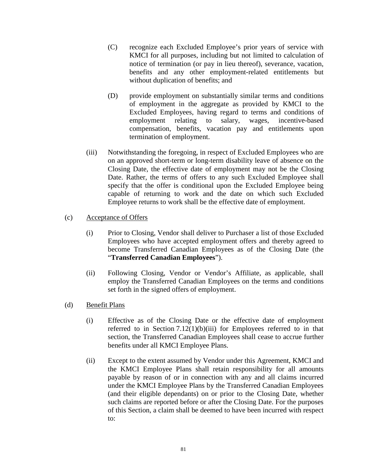- (C) recognize each Excluded Employee's prior years of service with KMCI for all purposes, including but not limited to calculation of notice of termination (or pay in lieu thereof), severance, vacation, benefits and any other employment-related entitlements but without duplication of benefits; and
- (D) provide employment on substantially similar terms and conditions of employment in the aggregate as provided by KMCI to the Excluded Employees, having regard to terms and conditions of employment relating to salary, wages, incentive-based compensation, benefits, vacation pay and entitlements upon termination of employment.
- (iii) Notwithstanding the foregoing, in respect of Excluded Employees who are on an approved short-term or long-term disability leave of absence on the Closing Date, the effective date of employment may not be the Closing Date. Rather, the terms of offers to any such Excluded Employee shall specify that the offer is conditional upon the Excluded Employee being capable of returning to work and the date on which such Excluded Employee returns to work shall be the effective date of employment.

#### (c) Acceptance of Offers

- (i) Prior to Closing, Vendor shall deliver to Purchaser a list of those Excluded Employees who have accepted employment offers and thereby agreed to become Transferred Canadian Employees as of the Closing Date (the "**Transferred Canadian Employees**").
- (ii) Following Closing, Vendor or Vendor's Affiliate, as applicable, shall employ the Transferred Canadian Employees on the terms and conditions set forth in the signed offers of employment.
- (d) Benefit Plans
	- (i) Effective as of the Closing Date or the effective date of employment referred to in Section  $7.12(1)(b)(iii)$  for Employees referred to in that section, the Transferred Canadian Employees shall cease to accrue further benefits under all KMCI Employee Plans.
	- (ii) Except to the extent assumed by Vendor under this Agreement, KMCI and the KMCI Employee Plans shall retain responsibility for all amounts payable by reason of or in connection with any and all claims incurred under the KMCI Employee Plans by the Transferred Canadian Employees (and their eligible dependants) on or prior to the Closing Date, whether such claims are reported before or after the Closing Date. For the purposes of this Section, a claim shall be deemed to have been incurred with respect to: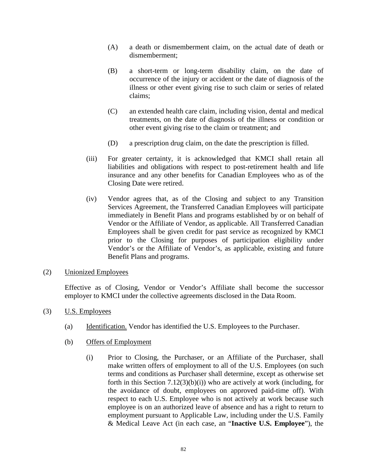- (A) a death or dismemberment claim, on the actual date of death or dismemberment;
- (B) a short-term or long-term disability claim, on the date of occurrence of the injury or accident or the date of diagnosis of the illness or other event giving rise to such claim or series of related claims;
- (C) an extended health care claim, including vision, dental and medical treatments, on the date of diagnosis of the illness or condition or other event giving rise to the claim or treatment; and
- (D) a prescription drug claim, on the date the prescription is filled.
- (iii) For greater certainty, it is acknowledged that KMCI shall retain all liabilities and obligations with respect to post-retirement health and life insurance and any other benefits for Canadian Employees who as of the Closing Date were retired.
- (iv) Vendor agrees that, as of the Closing and subject to any Transition Services Agreement, the Transferred Canadian Employees will participate immediately in Benefit Plans and programs established by or on behalf of Vendor or the Affiliate of Vendor, as applicable. All Transferred Canadian Employees shall be given credit for past service as recognized by KMCI prior to the Closing for purposes of participation eligibility under Vendor's or the Affiliate of Vendor's, as applicable, existing and future Benefit Plans and programs.
- (2) Unionized Employees

Effective as of Closing, Vendor or Vendor's Affiliate shall become the successor employer to KMCI under the collective agreements disclosed in the Data Room.

- (3) U.S. Employees
	- (a) Identification. Vendor has identified the U.S. Employees to the Purchaser.
	- (b) Offers of Employment
		- (i) Prior to Closing, the Purchaser, or an Affiliate of the Purchaser, shall make written offers of employment to all of the U.S. Employees (on such terms and conditions as Purchaser shall determine, except as otherwise set forth in this Section  $7.12(3)(b)(i)$ ) who are actively at work (including, for the avoidance of doubt, employees on approved paid-time off). With respect to each U.S. Employee who is not actively at work because such employee is on an authorized leave of absence and has a right to return to employment pursuant to Applicable Law, including under the U.S. Family & Medical Leave Act (in each case, an "**Inactive U.S. Employee**"), the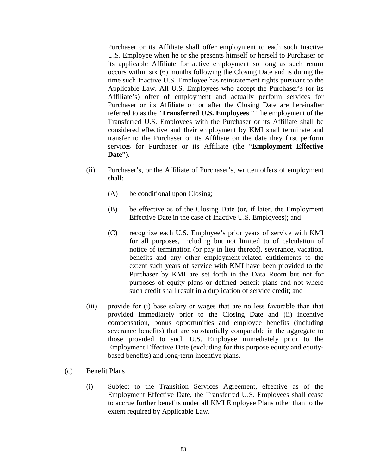Purchaser or its Affiliate shall offer employment to each such Inactive U.S. Employee when he or she presents himself or herself to Purchaser or its applicable Affiliate for active employment so long as such return occurs within six (6) months following the Closing Date and is during the time such Inactive U.S. Employee has reinstatement rights pursuant to the Applicable Law. All U.S. Employees who accept the Purchaser's (or its Affiliate's) offer of employment and actually perform services for Purchaser or its Affiliate on or after the Closing Date are hereinafter referred to as the "**Transferred U.S. Employees**." The employment of the Transferred U.S. Employees with the Purchaser or its Affiliate shall be considered effective and their employment by KMI shall terminate and transfer to the Purchaser or its Affiliate on the date they first perform services for Purchaser or its Affiliate (the "**Employment Effective Date**").

- (ii) Purchaser's, or the Affiliate of Purchaser's, written offers of employment shall:
	- (A) be conditional upon Closing;
	- (B) be effective as of the Closing Date (or, if later, the Employment Effective Date in the case of Inactive U.S. Employees); and
	- (C) recognize each U.S. Employee's prior years of service with KMI for all purposes, including but not limited to of calculation of notice of termination (or pay in lieu thereof), severance, vacation, benefits and any other employment-related entitlements to the extent such years of service with KMI have been provided to the Purchaser by KMI are set forth in the Data Room but not for purposes of equity plans or defined benefit plans and not where such credit shall result in a duplication of service credit; and
- (iii) provide for (i) base salary or wages that are no less favorable than that provided immediately prior to the Closing Date and (ii) incentive compensation, bonus opportunities and employee benefits (including severance benefits) that are substantially comparable in the aggregate to those provided to such U.S. Employee immediately prior to the Employment Effective Date (excluding for this purpose equity and equitybased benefits) and long-term incentive plans.
- (c) Benefit Plans
	- (i) Subject to the Transition Services Agreement, effective as of the Employment Effective Date, the Transferred U.S. Employees shall cease to accrue further benefits under all KMI Employee Plans other than to the extent required by Applicable Law.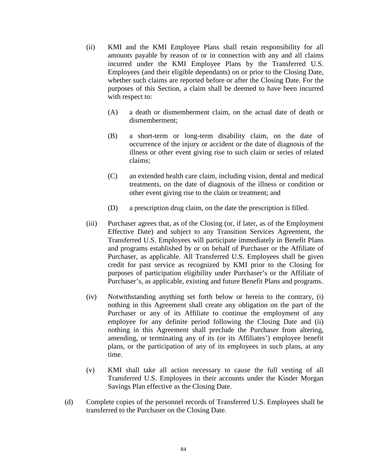- (ii) KMI and the KMI Employee Plans shall retain responsibility for all amounts payable by reason of or in connection with any and all claims incurred under the KMI Employee Plans by the Transferred U.S. Employees (and their eligible dependants) on or prior to the Closing Date, whether such claims are reported before or after the Closing Date. For the purposes of this Section, a claim shall be deemed to have been incurred with respect to:
	- (A) a death or dismemberment claim, on the actual date of death or dismemberment;
	- (B) a short-term or long-term disability claim, on the date of occurrence of the injury or accident or the date of diagnosis of the illness or other event giving rise to such claim or series of related claims;
	- (C) an extended health care claim, including vision, dental and medical treatments, on the date of diagnosis of the illness or condition or other event giving rise to the claim or treatment; and
	- (D) a prescription drug claim, on the date the prescription is filled.
- (iii) Purchaser agrees that, as of the Closing (or, if later, as of the Employment Effective Date) and subject to any Transition Services Agreement, the Transferred U.S. Employees will participate immediately in Benefit Plans and programs established by or on behalf of Purchaser or the Affiliate of Purchaser, as applicable. All Transferred U.S. Employees shall be given credit for past service as recognized by KMI prior to the Closing for purposes of participation eligibility under Purchaser's or the Affiliate of Purchaser's, as applicable, existing and future Benefit Plans and programs.
- (iv) Notwithstanding anything set forth below or herein to the contrary, (i) nothing in this Agreement shall create any obligation on the part of the Purchaser or any of its Affiliate to continue the employment of any employee for any definite period following the Closing Date and (ii) nothing in this Agreement shall preclude the Purchaser from altering, amending, or terminating any of its (or its Affiliates') employee benefit plans, or the participation of any of its employees in such plans, at any time.
- (v) KMI shall take all action necessary to cause the full vesting of all Transferred U.S. Employees in their accounts under the Kinder Morgan Savings Plan effective as the Closing Date.
- (d) Complete copies of the personnel records of Transferred U.S. Employees shall be transferred to the Purchaser on the Closing Date.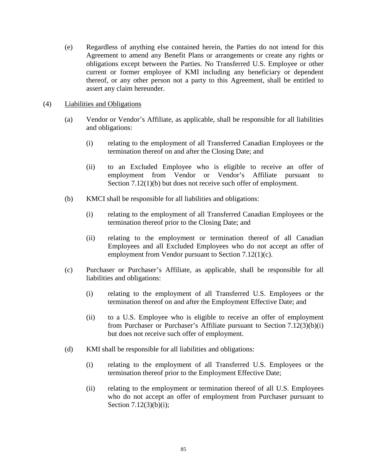(e) Regardless of anything else contained herein, the Parties do not intend for this Agreement to amend any Benefit Plans or arrangements or create any rights or obligations except between the Parties. No Transferred U.S. Employee or other current or former employee of KMI including any beneficiary or dependent thereof, or any other person not a party to this Agreement, shall be entitled to assert any claim hereunder.

#### (4) Liabilities and Obligations

- (a) Vendor or Vendor's Affiliate, as applicable, shall be responsible for all liabilities and obligations:
	- (i) relating to the employment of all Transferred Canadian Employees or the termination thereof on and after the Closing Date; and
	- (ii) to an Excluded Employee who is eligible to receive an offer of employment from Vendor or Vendor's Affiliate pursuant to Section 7.12(1)(b) but does not receive such offer of employment.
- (b) KMCI shall be responsible for all liabilities and obligations:
	- (i) relating to the employment of all Transferred Canadian Employees or the termination thereof prior to the Closing Date; and
	- (ii) relating to the employment or termination thereof of all Canadian Employees and all Excluded Employees who do not accept an offer of employment from Vendor pursuant to Section 7.12(1)(c).
- (c) Purchaser or Purchaser's Affiliate, as applicable, shall be responsible for all liabilities and obligations:
	- (i) relating to the employment of all Transferred U.S. Employees or the termination thereof on and after the Employment Effective Date; and
	- (ii) to a U.S. Employee who is eligible to receive an offer of employment from Purchaser or Purchaser's Affiliate pursuant to Section 7.12(3)(b)(i) but does not receive such offer of employment.
- (d) KMI shall be responsible for all liabilities and obligations:
	- (i) relating to the employment of all Transferred U.S. Employees or the termination thereof prior to the Employment Effective Date;
	- (ii) relating to the employment or termination thereof of all U.S. Employees who do not accept an offer of employment from Purchaser pursuant to Section 7.12(3)(b)(i);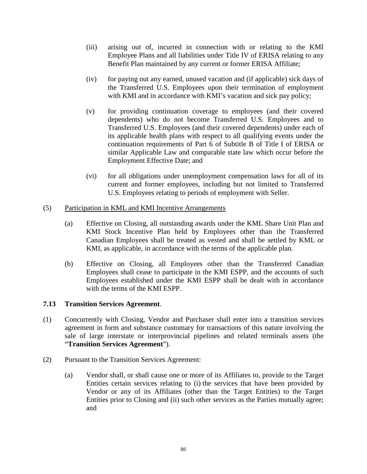- (iii) arising out of, incurred in connection with or relating to the KMI Employee Plans and all liabilities under Title IV of ERISA relating to any Benefit Plan maintained by any current or former ERISA Affiliate;
- (iv) for paying out any earned, unused vacation and (if applicable) sick days of the Transferred U.S. Employees upon their termination of employment with KMI and in accordance with KMI's vacation and sick pay policy;
- (v) for providing continuation coverage to employees (and their covered dependents) who do not become Transferred U.S. Employees and to Transferred U.S. Employees (and their covered dependents) under each of its applicable health plans with respect to all qualifying events under the continuation requirements of Part 6 of Subtitle B of Title I of ERISA or similar Applicable Law and comparable state law which occur before the Employment Effective Date; and
- (vi) for all obligations under unemployment compensation laws for all of its current and former employees, including but not limited to Transferred U.S. Employees relating to periods of employment with Seller.

### (5) Participation in KML and KMI Incentive Arrangements

- (a) Effective on Closing, all outstanding awards under the KML Share Unit Plan and KMI Stock Incentive Plan held by Employees other than the Transferred Canadian Employees shall be treated as vested and shall be settled by KML or KMI, as applicable, in accordance with the terms of the applicable plan.
- (b) Effective on Closing, all Employees other than the Transferred Canadian Employees shall cease to participate in the KMI ESPP, and the accounts of such Employees established under the KMI ESPP shall be dealt with in accordance with the terms of the KMI ESPP.

# **7.13 Transition Services Agreement**.

- (1) Concurrently with Closing, Vendor and Purchaser shall enter into a transition services agreement in form and substance customary for transactions of this nature involving the sale of large interstate or interprovincial pipelines and related terminals assets (the "**Transition Services Agreement**").
- (2) Pursuant to the Transition Services Agreement:
	- (a) Vendor shall, or shall cause one or more of its Affiliates to, provide to the Target Entities certain services relating to (i) the services that have been provided by Vendor or any of its Affiliates (other than the Target Entities) to the Target Entities prior to Closing and (ii) such other services as the Parties mutually agree; and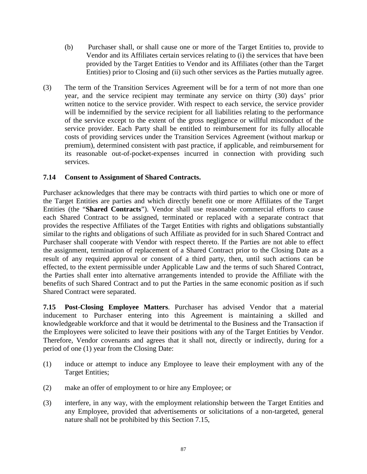- (b) Purchaser shall, or shall cause one or more of the Target Entities to, provide to Vendor and its Affiliates certain services relating to (i) the services that have been provided by the Target Entities to Vendor and its Affiliates (other than the Target Entities) prior to Closing and (ii) such other services as the Parties mutually agree.
- (3) The term of the Transition Services Agreement will be for a term of not more than one year, and the service recipient may terminate any service on thirty (30) days' prior written notice to the service provider. With respect to each service, the service provider will be indemnified by the service recipient for all liabilities relating to the performance of the service except to the extent of the gross negligence or willful misconduct of the service provider. Each Party shall be entitled to reimbursement for its fully allocable costs of providing services under the Transition Services Agreement (without markup or premium), determined consistent with past practice, if applicable, and reimbursement for its reasonable out-of-pocket-expenses incurred in connection with providing such services.

### **7.14 Consent to Assignment of Shared Contracts.**

Purchaser acknowledges that there may be contracts with third parties to which one or more of the Target Entities are parties and which directly benefit one or more Affiliates of the Target Entities (the "**Shared Contracts**"). Vendor shall use reasonable commercial efforts to cause each Shared Contract to be assigned, terminated or replaced with a separate contract that provides the respective Affiliates of the Target Entities with rights and obligations substantially similar to the rights and obligations of such Affiliate as provided for in such Shared Contract and Purchaser shall cooperate with Vendor with respect thereto. If the Parties are not able to effect the assignment, termination of replacement of a Shared Contract prior to the Closing Date as a result of any required approval or consent of a third party, then, until such actions can be effected, to the extent permissible under Applicable Law and the terms of such Shared Contract, the Parties shall enter into alternative arrangements intended to provide the Affiliate with the benefits of such Shared Contract and to put the Parties in the same economic position as if such Shared Contract were separated.

**7.15 Post-Closing Employee Matters**. Purchaser has advised Vendor that a material inducement to Purchaser entering into this Agreement is maintaining a skilled and knowledgeable workforce and that it would be detrimental to the Business and the Transaction if the Employees were solicited to leave their positions with any of the Target Entities by Vendor. Therefore, Vendor covenants and agrees that it shall not, directly or indirectly, during for a period of one (1) year from the Closing Date:

- (1) induce or attempt to induce any Employee to leave their employment with any of the Target Entities;
- (2) make an offer of employment to or hire any Employee; or
- (3) interfere, in any way, with the employment relationship between the Target Entities and any Employee, provided that advertisements or solicitations of a non-targeted, general nature shall not be prohibited by this Section 7.15,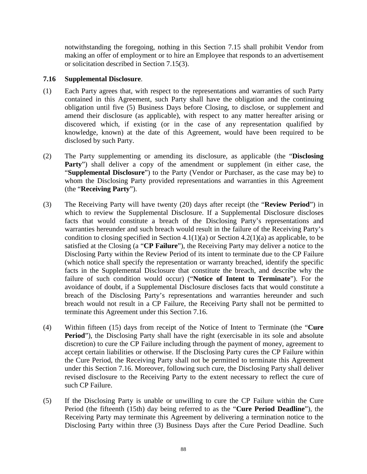notwithstanding the foregoing, nothing in this Section 7.15 shall prohibit Vendor from making an offer of employment or to hire an Employee that responds to an advertisement or solicitation described in Section 7.15(3).

### **7.16 Supplemental Disclosure**.

- (1) Each Party agrees that, with respect to the representations and warranties of such Party contained in this Agreement, such Party shall have the obligation and the continuing obligation until five (5) Business Days before Closing, to disclose, or supplement and amend their disclosure (as applicable), with respect to any matter hereafter arising or discovered which, if existing (or in the case of any representation qualified by knowledge, known) at the date of this Agreement, would have been required to be disclosed by such Party.
- (2) The Party supplementing or amending its disclosure, as applicable (the "**Disclosing**  Party") shall deliver a copy of the amendment or supplement (in either case, the "**Supplemental Disclosure**") to the Party (Vendor or Purchaser, as the case may be) to whom the Disclosing Party provided representations and warranties in this Agreement (the "**Receiving Party**").
- (3) The Receiving Party will have twenty (20) days after receipt (the "**Review Period**") in which to review the Supplemental Disclosure. If a Supplemental Disclosure discloses facts that would constitute a breach of the Disclosing Party's representations and warranties hereunder and such breach would result in the failure of the Receiving Party's condition to closing specified in Section 4.1(1)(a) or Section 4.2(1)(a) as applicable, to be satisfied at the Closing (a "**CP Failure**"), the Receiving Party may deliver a notice to the Disclosing Party within the Review Period of its intent to terminate due to the CP Failure (which notice shall specify the representation or warranty breached, identify the specific facts in the Supplemental Disclosure that constitute the breach, and describe why the failure of such condition would occur) ("**Notice of Intent to Terminate**"). For the avoidance of doubt, if a Supplemental Disclosure discloses facts that would constitute a breach of the Disclosing Party's representations and warranties hereunder and such breach would not result in a CP Failure, the Receiving Party shall not be permitted to terminate this Agreement under this Section 7.16.
- (4) Within fifteen (15) days from receipt of the Notice of Intent to Terminate (the "**Cure**  Period"), the Disclosing Party shall have the right (exercisable in its sole and absolute discretion) to cure the CP Failure including through the payment of money, agreement to accept certain liabilities or otherwise. If the Disclosing Party cures the CP Failure within the Cure Period, the Receiving Party shall not be permitted to terminate this Agreement under this Section 7.16. Moreover, following such cure, the Disclosing Party shall deliver revised disclosure to the Receiving Party to the extent necessary to reflect the cure of such CP Failure.
- (5) If the Disclosing Party is unable or unwilling to cure the CP Failure within the Cure Period (the fifteenth (15th) day being referred to as the "**Cure Period Deadline**"), the Receiving Party may terminate this Agreement by delivering a termination notice to the Disclosing Party within three (3) Business Days after the Cure Period Deadline. Such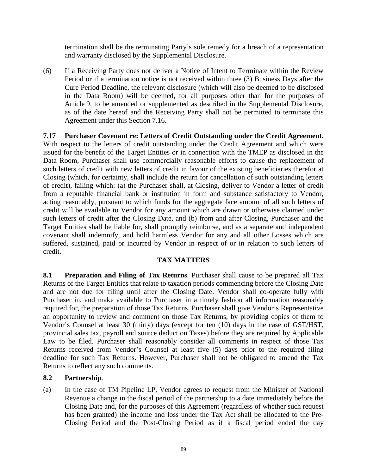termination shall be the terminating Party's sole remedy for a breach of a representation and warranty disclosed by the Supplemental Disclosure.

(6) If a Receiving Party does not deliver a Notice of Intent to Terminate within the Review Period or if a termination notice is not received within three (3) Business Days after the Cure Period Deadline, the relevant disclosure (which will also be deemed to be disclosed in the Data Room) will be deemed, for all purposes other than for the purposes of Article 9, to be amended or supplemented as described in the Supplemental Disclosure, as of the date hereof and the Receiving Party shall not be permitted to terminate this Agreement under this Section 7.16.

**7.17 Purchaser Covenant re: Letters of Credit Outstanding under the Credit Agreement.**  With respect to the letters of credit outstanding under the Credit Agreement and which were issued for the benefit of the Target Entities or in connection with the TMEP as disclosed in the Data Room, Purchaser shall use commercially reasonable efforts to cause the replacement of such letters of credit with new letters of credit in favour of the existing beneficiaries therefor at Closing (which, for certainty, shall include the return for cancellation of such outstanding letters of credit), failing which: (a) the Purchaser shall, at Closing, deliver to Vendor a letter of credit from a reputable financial bank or institution in form and substance satisfactory to Vendor, acting reasonably, pursuant to which funds for the aggregate face amount of all such letters of credit will be available to Vendor for any amount which are drawn or otherwise claimed under such letters of credit after the Closing Date, and (b) from and after Closing, Purchaser and the Target Entities shall be liable for, shall promptly reimburse, and as a separate and independent covenant shall indemnify, and hold harmless Vendor for any and all other Losses which are suffered, sustained, paid or incurred by Vendor in respect of or in relation to such letters of credit.

#### **TAX MATTERS**

**8.1 Preparation and Filing of Tax Returns**. Purchaser shall cause to be prepared all Tax Returns of the Target Entities that relate to taxation periods commencing before the Closing Date and are not due for filing until after the Closing Date. Vendor shall co-operate fully with Purchaser in, and make available to Purchaser in a timely fashion all information reasonably required for, the preparation of those Tax Returns. Purchaser shall give Vendor's Representative an opportunity to review and comment on those Tax Returns, by providing copies of them to Vendor's Counsel at least 30 (thirty) days (except for ten (10) days in the case of GST/HST, provincial sales tax, payroll and source deduction Taxes) before they are required by Applicable Law to be filed. Purchaser shall reasonably consider all comments in respect of those Tax Returns received from Vendor's Counsel at least five (5) days prior to the required filing deadline for such Tax Returns. However, Purchaser shall not be obligated to amend the Tax Returns to reflect any such comments.

# **8.2 Partnership**.

(a) In the case of TM Pipeline LP, Vendor agrees to request from the Minister of National Revenue a change in the fiscal period of the partnership to a date immediately before the Closing Date and, for the purposes of this Agreement (regardless of whether such request has been granted) the income and loss under the Tax Act shall be allocated to the Pre-Closing Period and the Post-Closing Period as if a fiscal period ended the day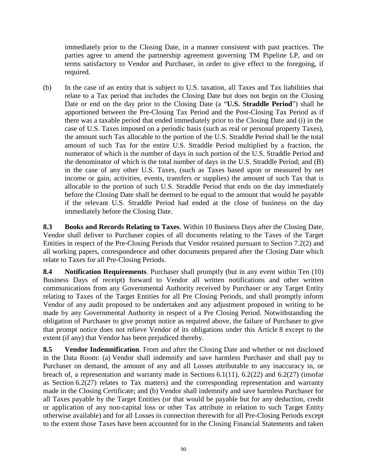immediately prior to the Closing Date, in a manner consistent with past practices. The parties agree to amend the partnership agreement governing TM Pipeline LP, and on terms satisfactory to Vendor and Purchaser, in order to give effect to the foregoing, if required.

(b) In the case of an entity that is subject to U.S. taxation, all Taxes and Tax liabilities that relate to a Tax period that includes the Closing Date but does not begin on the Closing Date or end on the day prior to the Closing Date (a "**U.S. Straddle Period**") shall be apportioned between the Pre-Closing Tax Period and the Post-Closing Tax Period as if there was a taxable period that ended immediately prior to the Closing Date and (i) in the case of U.S. Taxes imposed on a periodic basis (such as real or personal property Taxes), the amount such Tax allocable to the portion of the U.S. Straddle Period shall be the total amount of such Tax for the entire U.S. Straddle Period multiplied by a fraction, the numerator of which is the number of days in such portion of the U.S. Straddle Period and the denominator of which is the total number of days in the U.S. Straddle Period; and (B) in the case of any other U.S. Taxes, (such as Taxes based upon or measured by net income or gain, activities, events, transfers or supplies) the amount of such Tax that is allocable to the portion of such U.S. Straddle Period that ends on the day immediately before the Closing Date shall be deemed to be equal to the amount that would be payable if the relevant U.S. Straddle Period had ended at the close of business on the day immediately before the Closing Date.

**8.3 Books and Records Relating to Taxes**. Within 10 Business Days after the Closing Date, Vendor shall deliver to Purchaser copies of all documents relating to the Taxes of the Target Entities in respect of the Pre-Closing Periods that Vendor retained pursuant to Section 7.2(2) and all working papers, correspondence and other documents prepared after the Closing Date which relate to Taxes for all Pre-Closing Periods.

**8.4 Notification Requirements**. Purchaser shall promptly (but in any event within Ten (10) Business Days of receipt) forward to Vendor all written notifications and other written communications from any Governmental Authority received by Purchaser or any Target Entity relating to Taxes of the Target Entities for all Pre Closing Periods, and shall promptly inform Vendor of any audit proposed to be undertaken and any adjustment proposed in writing to be made by any Governmental Authority in respect of a Pre Closing Period. Notwithstanding the obligation of Purchaser to give prompt notice as required above, the failure of Purchaser to give that prompt notice does not relieve Vendor of its obligations under this Article 8 except to the extent (if any) that Vendor has been prejudiced thereby.

**8.5 Vendor Indemnification**. From and after the Closing Date and whether or not disclosed in the Data Room: (a) Vendor shall indemnify and save harmless Purchaser and shall pay to Purchaser on demand, the amount of any and all Losses attributable to any inaccuracy in, or breach of, a representation and warranty made in Sections 6.1(11), 6.2(22) and 6.2(27) (insofar as Section 6.2(27) relates to Tax matters) and the corresponding representation and warranty made in the Closing Certificate; and (b) Vendor shall indemnify and save harmless Purchaser for all Taxes payable by the Target Entities (or that would be payable but for any deduction, credit or application of any non-capital loss or other Tax attribute in relation to such Target Entity otherwise available) and for all Losses in connection therewith for all Pre-Closing Periods except to the extent those Taxes have been accounted for in the Closing Financial Statements and taken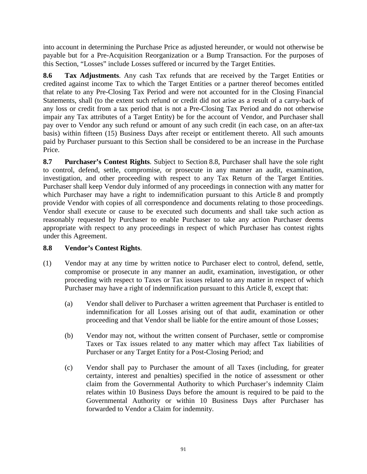into account in determining the Purchase Price as adjusted hereunder, or would not otherwise be payable but for a Pre-Acquisition Reorganization or a Bump Transaction. For the purposes of this Section, "Losses" include Losses suffered or incurred by the Target Entities.

**8.6 Tax Adjustments**. Any cash Tax refunds that are received by the Target Entities or credited against income Tax to which the Target Entities or a partner thereof becomes entitled that relate to any Pre-Closing Tax Period and were not accounted for in the Closing Financial Statements, shall (to the extent such refund or credit did not arise as a result of a carry-back of any loss or credit from a tax period that is not a Pre-Closing Tax Period and do not otherwise impair any Tax attributes of a Target Entity) be for the account of Vendor, and Purchaser shall pay over to Vendor any such refund or amount of any such credit (in each case, on an after-tax basis) within fifteen (15) Business Days after receipt or entitlement thereto. All such amounts paid by Purchaser pursuant to this Section shall be considered to be an increase in the Purchase Price.

**8.7 Purchaser's Contest Rights**. Subject to Section 8.8, Purchaser shall have the sole right to control, defend, settle, compromise, or prosecute in any manner an audit, examination, investigation, and other proceeding with respect to any Tax Return of the Target Entities. Purchaser shall keep Vendor duly informed of any proceedings in connection with any matter for which Purchaser may have a right to indemnification pursuant to this Article 8 and promptly provide Vendor with copies of all correspondence and documents relating to those proceedings. Vendor shall execute or cause to be executed such documents and shall take such action as reasonably requested by Purchaser to enable Purchaser to take any action Purchaser deems appropriate with respect to any proceedings in respect of which Purchaser has contest rights under this Agreement.

# **8.8 Vendor's Contest Rights**.

- (1) Vendor may at any time by written notice to Purchaser elect to control, defend, settle, compromise or prosecute in any manner an audit, examination, investigation, or other proceeding with respect to Taxes or Tax issues related to any matter in respect of which Purchaser may have a right of indemnification pursuant to this Article 8, except that:
	- (a) Vendor shall deliver to Purchaser a written agreement that Purchaser is entitled to indemnification for all Losses arising out of that audit, examination or other proceeding and that Vendor shall be liable for the entire amount of those Losses;
	- (b) Vendor may not, without the written consent of Purchaser, settle or compromise Taxes or Tax issues related to any matter which may affect Tax liabilities of Purchaser or any Target Entity for a Post-Closing Period; and
	- (c) Vendor shall pay to Purchaser the amount of all Taxes (including, for greater certainty, interest and penalties) specified in the notice of assessment or other claim from the Governmental Authority to which Purchaser's indemnity Claim relates within 10 Business Days before the amount is required to be paid to the Governmental Authority or within 10 Business Days after Purchaser has forwarded to Vendor a Claim for indemnity.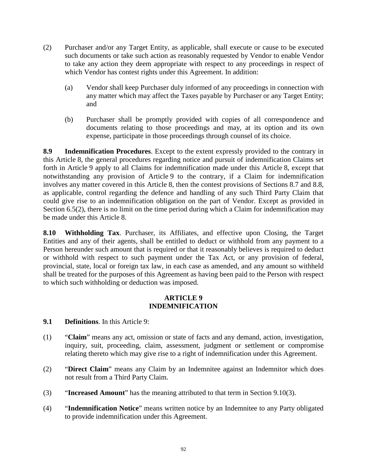- (2) Purchaser and/or any Target Entity, as applicable, shall execute or cause to be executed such documents or take such action as reasonably requested by Vendor to enable Vendor to take any action they deem appropriate with respect to any proceedings in respect of which Vendor has contest rights under this Agreement. In addition:
	- (a) Vendor shall keep Purchaser duly informed of any proceedings in connection with any matter which may affect the Taxes payable by Purchaser or any Target Entity; and
	- (b) Purchaser shall be promptly provided with copies of all correspondence and documents relating to those proceedings and may, at its option and its own expense, participate in those proceedings through counsel of its choice.

**8.9 Indemnification Procedures**. Except to the extent expressly provided to the contrary in this Article 8, the general procedures regarding notice and pursuit of indemnification Claims set forth in Article 9 apply to all Claims for indemnification made under this Article 8, except that notwithstanding any provision of Article 9 to the contrary, if a Claim for indemnification involves any matter covered in this Article 8, then the contest provisions of Sections 8.7 and 8.8, as applicable, control regarding the defence and handling of any such Third Party Claim that could give rise to an indemnification obligation on the part of Vendor. Except as provided in Section 6.5(2), there is no limit on the time period during which a Claim for indemnification may be made under this Article 8.

**8.10 Withholding Tax**. Purchaser, its Affiliates, and effective upon Closing, the Target Entities and any of their agents, shall be entitled to deduct or withhold from any payment to a Person hereunder such amount that is required or that it reasonably believes is required to deduct or withhold with respect to such payment under the Tax Act, or any provision of federal, provincial, state, local or foreign tax law, in each case as amended, and any amount so withheld shall be treated for the purposes of this Agreement as having been paid to the Person with respect to which such withholding or deduction was imposed.

### **ARTICLE 9 INDEMNIFICATION**

# **9.1 Definitions**. In this Article 9:

- (1) "**Claim**" means any act, omission or state of facts and any demand, action, investigation, inquiry, suit, proceeding, claim, assessment, judgment or settlement or compromise relating thereto which may give rise to a right of indemnification under this Agreement.
- (2) "**Direct Claim**" means any Claim by an Indemnitee against an Indemnitor which does not result from a Third Party Claim.
- (3) "**Increased Amount**" has the meaning attributed to that term in Section 9.10(3).
- (4) "**Indemnification Notice**" means written notice by an Indemnitee to any Party obligated to provide indemnification under this Agreement.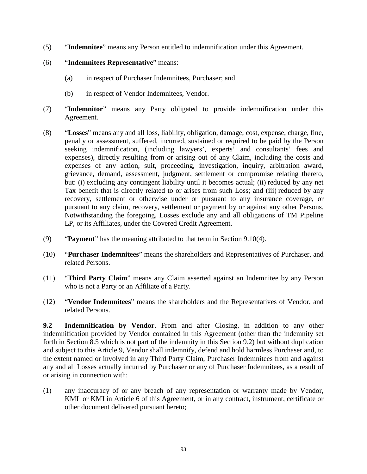- (5) "**Indemnitee**" means any Person entitled to indemnification under this Agreement.
- (6) "**Indemnitees Representative**" means:
	- (a) in respect of Purchaser Indemnitees, Purchaser; and
	- (b) in respect of Vendor Indemnitees, Vendor.
- (7) "**Indemnitor**" means any Party obligated to provide indemnification under this Agreement.
- (8) "**Losses**" means any and all loss, liability, obligation, damage, cost, expense, charge, fine, penalty or assessment, suffered, incurred, sustained or required to be paid by the Person seeking indemnification, (including lawyers', experts' and consultants' fees and expenses), directly resulting from or arising out of any Claim, including the costs and expenses of any action, suit, proceeding, investigation, inquiry, arbitration award, grievance, demand, assessment, judgment, settlement or compromise relating thereto, but: (i) excluding any contingent liability until it becomes actual; (ii) reduced by any net Tax benefit that is directly related to or arises from such Loss; and (iii) reduced by any recovery, settlement or otherwise under or pursuant to any insurance coverage, or pursuant to any claim, recovery, settlement or payment by or against any other Persons. Notwithstanding the foregoing, Losses exclude any and all obligations of TM Pipeline LP, or its Affiliates, under the Covered Credit Agreement.
- (9) "**Payment**" has the meaning attributed to that term in Section 9.10(4).
- (10) "**Purchaser Indemnitees**" means the shareholders and Representatives of Purchaser, and related Persons.
- (11) "**Third Party Claim**" means any Claim asserted against an Indemnitee by any Person who is not a Party or an Affiliate of a Party.
- (12) "**Vendor Indemnitees**" means the shareholders and the Representatives of Vendor, and related Persons.

**9.2 Indemnification by Vendor**. From and after Closing, in addition to any other indemnification provided by Vendor contained in this Agreement (other than the indemnity set forth in Section 8.5 which is not part of the indemnity in this Section 9.2) but without duplication and subject to this Article 9, Vendor shall indemnify, defend and hold harmless Purchaser and, to the extent named or involved in any Third Party Claim, Purchaser Indemnitees from and against any and all Losses actually incurred by Purchaser or any of Purchaser Indemnitees, as a result of or arising in connection with:

(1) any inaccuracy of or any breach of any representation or warranty made by Vendor, KML or KMI in Article 6 of this Agreement, or in any contract, instrument, certificate or other document delivered pursuant hereto;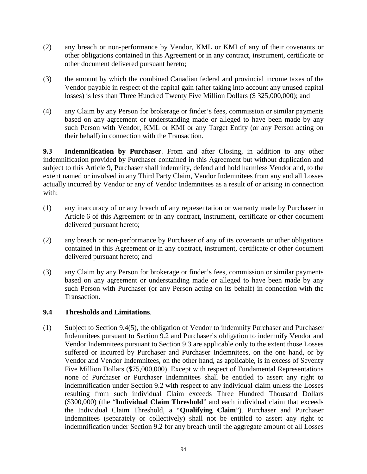- (2) any breach or non-performance by Vendor, KML or KMI of any of their covenants or other obligations contained in this Agreement or in any contract, instrument, certificate or other document delivered pursuant hereto;
- (3) the amount by which the combined Canadian federal and provincial income taxes of the Vendor payable in respect of the capital gain (after taking into account any unused capital losses) is less than Three Hundred Twenty Five Million Dollars (\$ 325,000,000); and
- (4) any Claim by any Person for brokerage or finder's fees, commission or similar payments based on any agreement or understanding made or alleged to have been made by any such Person with Vendor, KML or KMI or any Target Entity (or any Person acting on their behalf) in connection with the Transaction.

**9.3 Indemnification by Purchaser**. From and after Closing, in addition to any other indemnification provided by Purchaser contained in this Agreement but without duplication and subject to this Article 9, Purchaser shall indemnify, defend and hold harmless Vendor and, to the extent named or involved in any Third Party Claim, Vendor Indemnitees from any and all Losses actually incurred by Vendor or any of Vendor Indemnitees as a result of or arising in connection with:

- (1) any inaccuracy of or any breach of any representation or warranty made by Purchaser in Article 6 of this Agreement or in any contract, instrument, certificate or other document delivered pursuant hereto;
- (2) any breach or non-performance by Purchaser of any of its covenants or other obligations contained in this Agreement or in any contract, instrument, certificate or other document delivered pursuant hereto; and
- (3) any Claim by any Person for brokerage or finder's fees, commission or similar payments based on any agreement or understanding made or alleged to have been made by any such Person with Purchaser (or any Person acting on its behalf) in connection with the Transaction.

# **9.4 Thresholds and Limitations**.

(1) Subject to Section 9.4(5), the obligation of Vendor to indemnify Purchaser and Purchaser Indemnitees pursuant to Section 9.2 and Purchaser's obligation to indemnify Vendor and Vendor Indemnitees pursuant to Section 9.3 are applicable only to the extent those Losses suffered or incurred by Purchaser and Purchaser Indemnitees, on the one hand, or by Vendor and Vendor Indemnitees, on the other hand, as applicable, is in excess of Seventy Five Million Dollars (\$75,000,000). Except with respect of Fundamental Representations none of Purchaser or Purchaser Indemnitees shall be entitled to assert any right to indemnification under Section 9.2 with respect to any individual claim unless the Losses resulting from such individual Claim exceeds Three Hundred Thousand Dollars (\$300,000) (the "**Individual Claim Threshold**" and each individual claim that exceeds the Individual Claim Threshold, a "**Qualifying Claim**"). Purchaser and Purchaser Indemnitees (separately or collectively) shall not be entitled to assert any right to indemnification under Section 9.2 for any breach until the aggregate amount of all Losses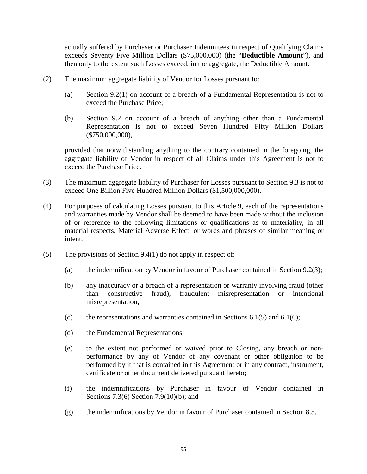actually suffered by Purchaser or Purchaser Indemnitees in respect of Qualifying Claims exceeds Seventy Five Million Dollars (\$75,000,000) (the "**Deductible Amount**"), and then only to the extent such Losses exceed, in the aggregate, the Deductible Amount.

- (2) The maximum aggregate liability of Vendor for Losses pursuant to:
	- (a) Section 9.2(1) on account of a breach of a Fundamental Representation is not to exceed the Purchase Price;
	- (b) Section 9.2 on account of a breach of anything other than a Fundamental Representation is not to exceed Seven Hundred Fifty Million Dollars (\$750,000,000),

provided that notwithstanding anything to the contrary contained in the foregoing, the aggregate liability of Vendor in respect of all Claims under this Agreement is not to exceed the Purchase Price.

- (3) The maximum aggregate liability of Purchaser for Losses pursuant to Section 9.3 is not to exceed One Billion Five Hundred Million Dollars (\$1,500,000,000).
- (4) For purposes of calculating Losses pursuant to this Article 9, each of the representations and warranties made by Vendor shall be deemed to have been made without the inclusion of or reference to the following limitations or qualifications as to materiality, in all material respects, Material Adverse Effect, or words and phrases of similar meaning or intent.
- (5) The provisions of Section 9.4(1) do not apply in respect of:
	- (a) the indemnification by Vendor in favour of Purchaser contained in Section 9.2(3);
	- (b) any inaccuracy or a breach of a representation or warranty involving fraud (other than constructive fraud), fraudulent misrepresentation or intentional misrepresentation;
	- (c) the representations and warranties contained in Sections  $6.1(5)$  and  $6.1(6)$ ;
	- (d) the Fundamental Representations;
	- (e) to the extent not performed or waived prior to Closing, any breach or nonperformance by any of Vendor of any covenant or other obligation to be performed by it that is contained in this Agreement or in any contract, instrument, certificate or other document delivered pursuant hereto;
	- (f) the indemnifications by Purchaser in favour of Vendor contained in Sections 7.3(6) Section 7.9(10)(b); and
	- (g) the indemnifications by Vendor in favour of Purchaser contained in Section 8.5.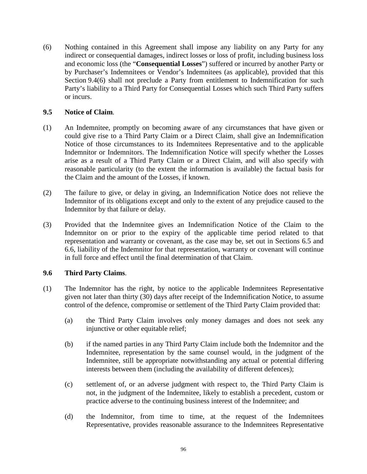(6) Nothing contained in this Agreement shall impose any liability on any Party for any indirect or consequential damages, indirect losses or loss of profit, including business loss and economic loss (the "**Consequential Losses**") suffered or incurred by another Party or by Purchaser's Indemnitees or Vendor's Indemnitees (as applicable), provided that this Section 9.4(6) shall not preclude a Party from entitlement to Indemnification for such Party's liability to a Third Party for Consequential Losses which such Third Party suffers or incurs.

### **9.5 Notice of Claim**.

- (1) An Indemnitee, promptly on becoming aware of any circumstances that have given or could give rise to a Third Party Claim or a Direct Claim, shall give an Indemnification Notice of those circumstances to its Indemnitees Representative and to the applicable Indemnitor or Indemnitors. The Indemnification Notice will specify whether the Losses arise as a result of a Third Party Claim or a Direct Claim, and will also specify with reasonable particularity (to the extent the information is available) the factual basis for the Claim and the amount of the Losses, if known.
- (2) The failure to give, or delay in giving, an Indemnification Notice does not relieve the Indemnitor of its obligations except and only to the extent of any prejudice caused to the Indemnitor by that failure or delay.
- (3) Provided that the Indemnitee gives an Indemnification Notice of the Claim to the Indemnitor on or prior to the expiry of the applicable time period related to that representation and warranty or covenant, as the case may be, set out in Sections 6.5 and 6.6, liability of the Indemnitor for that representation, warranty or covenant will continue in full force and effect until the final determination of that Claim.

# **9.6 Third Party Claims**.

- (1) The Indemnitor has the right, by notice to the applicable Indemnitees Representative given not later than thirty (30) days after receipt of the Indemnification Notice, to assume control of the defence, compromise or settlement of the Third Party Claim provided that:
	- (a) the Third Party Claim involves only money damages and does not seek any injunctive or other equitable relief;
	- (b) if the named parties in any Third Party Claim include both the Indemnitor and the Indemnitee, representation by the same counsel would, in the judgment of the Indemnitee, still be appropriate notwithstanding any actual or potential differing interests between them (including the availability of different defences);
	- (c) settlement of, or an adverse judgment with respect to, the Third Party Claim is not, in the judgment of the Indemnitee, likely to establish a precedent, custom or practice adverse to the continuing business interest of the Indemnitee; and
	- (d) the Indemnitor, from time to time, at the request of the Indemnitees Representative, provides reasonable assurance to the Indemnitees Representative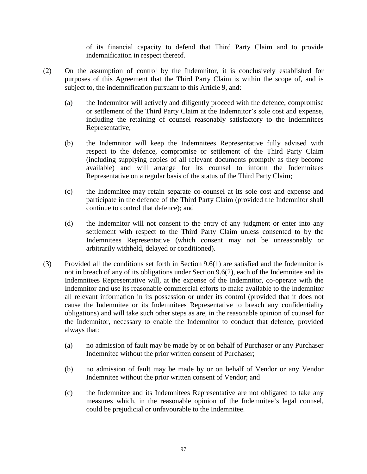of its financial capacity to defend that Third Party Claim and to provide indemnification in respect thereof.

- (2) On the assumption of control by the Indemnitor, it is conclusively established for purposes of this Agreement that the Third Party Claim is within the scope of, and is subject to, the indemnification pursuant to this Article 9, and:
	- (a) the Indemnitor will actively and diligently proceed with the defence, compromise or settlement of the Third Party Claim at the Indemnitor's sole cost and expense, including the retaining of counsel reasonably satisfactory to the Indemnitees Representative;
	- (b) the Indemnitor will keep the Indemnitees Representative fully advised with respect to the defence, compromise or settlement of the Third Party Claim (including supplying copies of all relevant documents promptly as they become available) and will arrange for its counsel to inform the Indemnitees Representative on a regular basis of the status of the Third Party Claim;
	- (c) the Indemnitee may retain separate co-counsel at its sole cost and expense and participate in the defence of the Third Party Claim (provided the Indemnitor shall continue to control that defence); and
	- (d) the Indemnitor will not consent to the entry of any judgment or enter into any settlement with respect to the Third Party Claim unless consented to by the Indemnitees Representative (which consent may not be unreasonably or arbitrarily withheld, delayed or conditioned).
- (3) Provided all the conditions set forth in Section 9.6(1) are satisfied and the Indemnitor is not in breach of any of its obligations under Section 9.6(2), each of the Indemnitee and its Indemnitees Representative will, at the expense of the Indemnitor, co-operate with the Indemnitor and use its reasonable commercial efforts to make available to the Indemnitor all relevant information in its possession or under its control (provided that it does not cause the Indemnitee or its Indemnitees Representative to breach any confidentiality obligations) and will take such other steps as are, in the reasonable opinion of counsel for the Indemnitor, necessary to enable the Indemnitor to conduct that defence, provided always that:
	- (a) no admission of fault may be made by or on behalf of Purchaser or any Purchaser Indemnitee without the prior written consent of Purchaser;
	- (b) no admission of fault may be made by or on behalf of Vendor or any Vendor Indemnitee without the prior written consent of Vendor; and
	- (c) the Indemnitee and its Indemnitees Representative are not obligated to take any measures which, in the reasonable opinion of the Indemnitee's legal counsel, could be prejudicial or unfavourable to the Indemnitee.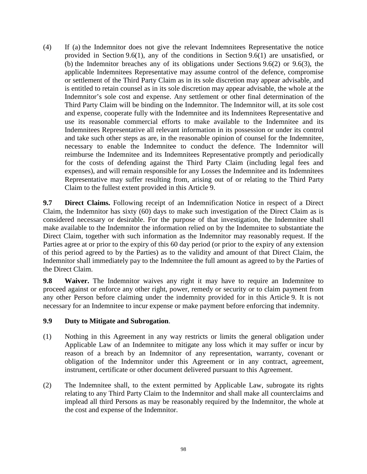(4) If (a) the Indemnitor does not give the relevant Indemnitees Representative the notice provided in Section 9.6(1), any of the conditions in Section 9.6(1) are unsatisfied, or (b) the Indemnitor breaches any of its obligations under Sections 9.6(2) or 9.6(3), the applicable Indemnitees Representative may assume control of the defence, compromise or settlement of the Third Party Claim as in its sole discretion may appear advisable, and is entitled to retain counsel as in its sole discretion may appear advisable, the whole at the Indemnitor's sole cost and expense. Any settlement or other final determination of the Third Party Claim will be binding on the Indemnitor. The Indemnitor will, at its sole cost and expense, cooperate fully with the Indemnitee and its Indemnitees Representative and use its reasonable commercial efforts to make available to the Indemnitee and its Indemnitees Representative all relevant information in its possession or under its control and take such other steps as are, in the reasonable opinion of counsel for the Indemnitee, necessary to enable the Indemnitee to conduct the defence. The Indemnitor will reimburse the Indemnitee and its Indemnitees Representative promptly and periodically for the costs of defending against the Third Party Claim (including legal fees and expenses), and will remain responsible for any Losses the Indemnitee and its Indemnitees Representative may suffer resulting from, arising out of or relating to the Third Party Claim to the fullest extent provided in this Article 9.

**9.7 Direct Claims.** Following receipt of an Indemnification Notice in respect of a Direct Claim, the Indemnitor has sixty (60) days to make such investigation of the Direct Claim as is considered necessary or desirable. For the purpose of that investigation, the Indemnitee shall make available to the Indemnitor the information relied on by the Indemnitee to substantiate the Direct Claim, together with such information as the Indemnitor may reasonably request. If the Parties agree at or prior to the expiry of this 60 day period (or prior to the expiry of any extension of this period agreed to by the Parties) as to the validity and amount of that Direct Claim, the Indemnitor shall immediately pay to the Indemnitee the full amount as agreed to by the Parties of the Direct Claim.

**9.8 Waiver.** The Indemnitor waives any right it may have to require an Indemnitee to proceed against or enforce any other right, power, remedy or security or to claim payment from any other Person before claiming under the indemnity provided for in this Article 9. It is not necessary for an Indemnitee to incur expense or make payment before enforcing that indemnity.

# **9.9 Duty to Mitigate and Subrogation**.

- (1) Nothing in this Agreement in any way restricts or limits the general obligation under Applicable Law of an Indemnitee to mitigate any loss which it may suffer or incur by reason of a breach by an Indemnitor of any representation, warranty, covenant or obligation of the Indemnitor under this Agreement or in any contract, agreement, instrument, certificate or other document delivered pursuant to this Agreement.
- (2) The Indemnitee shall, to the extent permitted by Applicable Law, subrogate its rights relating to any Third Party Claim to the Indemnitor and shall make all counterclaims and implead all third Persons as may be reasonably required by the Indemnitor, the whole at the cost and expense of the Indemnitor.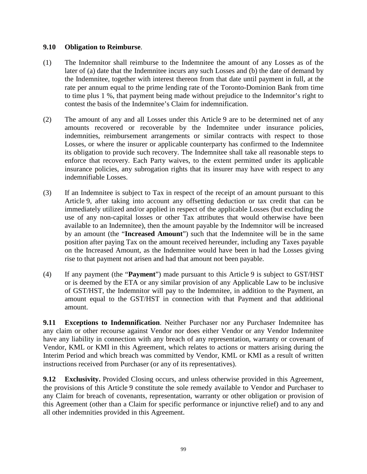#### **9.10 Obligation to Reimburse**.

- (1) The Indemnitor shall reimburse to the Indemnitee the amount of any Losses as of the later of (a) date that the Indemnitee incurs any such Losses and (b) the date of demand by the Indemnitee, together with interest thereon from that date until payment in full, at the rate per annum equal to the prime lending rate of the Toronto-Dominion Bank from time to time plus 1 %, that payment being made without prejudice to the Indemnitor's right to contest the basis of the Indemnitee's Claim for indemnification.
- (2) The amount of any and all Losses under this Article 9 are to be determined net of any amounts recovered or recoverable by the Indemnitee under insurance policies, indemnities, reimbursement arrangements or similar contracts with respect to those Losses, or where the insurer or applicable counterparty has confirmed to the Indemnitee its obligation to provide such recovery. The Indemnitee shall take all reasonable steps to enforce that recovery. Each Party waives, to the extent permitted under its applicable insurance policies, any subrogation rights that its insurer may have with respect to any indemnifiable Losses.
- (3) If an Indemnitee is subject to Tax in respect of the receipt of an amount pursuant to this Article 9, after taking into account any offsetting deduction or tax credit that can be immediately utilized and/or applied in respect of the applicable Losses (but excluding the use of any non-capital losses or other Tax attributes that would otherwise have been available to an Indemnitee), then the amount payable by the Indemnitor will be increased by an amount (the "**Increased Amount**") such that the Indemnitee will be in the same position after paying Tax on the amount received hereunder, including any Taxes payable on the Increased Amount, as the Indemnitee would have been in had the Losses giving rise to that payment not arisen and had that amount not been payable.
- (4) If any payment (the "**Payment**") made pursuant to this Article 9 is subject to GST/HST or is deemed by the ETA or any similar provision of any Applicable Law to be inclusive of GST/HST, the Indemnitor will pay to the Indemnitee, in addition to the Payment, an amount equal to the GST/HST in connection with that Payment and that additional amount.

**9.11 Exceptions to Indemnification**. Neither Purchaser nor any Purchaser Indemnitee has any claim or other recourse against Vendor nor does either Vendor or any Vendor Indemnitee have any liability in connection with any breach of any representation, warranty or covenant of Vendor, KML or KMI in this Agreement, which relates to actions or matters arising during the Interim Period and which breach was committed by Vendor, KML or KMI as a result of written instructions received from Purchaser (or any of its representatives).

**9.12 Exclusivity.** Provided Closing occurs, and unless otherwise provided in this Agreement, the provisions of this Article 9 constitute the sole remedy available to Vendor and Purchaser to any Claim for breach of covenants, representation, warranty or other obligation or provision of this Agreement (other than a Claim for specific performance or injunctive relief) and to any and all other indemnities provided in this Agreement.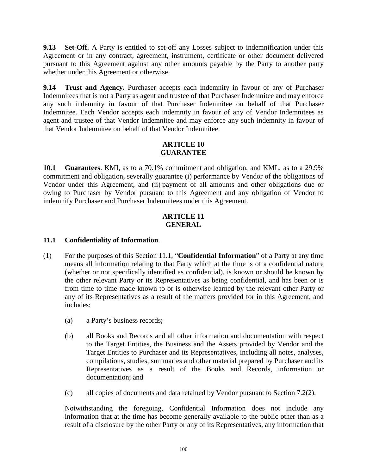**9.13 Set-Off.** A Party is entitled to set-off any Losses subject to indemnification under this Agreement or in any contract, agreement, instrument, certificate or other document delivered pursuant to this Agreement against any other amounts payable by the Party to another party whether under this Agreement or otherwise.

**9.14 Trust and Agency.** Purchaser accepts each indemnity in favour of any of Purchaser Indemnitees that is not a Party as agent and trustee of that Purchaser Indemnitee and may enforce any such indemnity in favour of that Purchaser Indemnitee on behalf of that Purchaser Indemnitee. Each Vendor accepts each indemnity in favour of any of Vendor Indemnitees as agent and trustee of that Vendor Indemnitee and may enforce any such indemnity in favour of that Vendor Indemnitee on behalf of that Vendor Indemnitee.

### **ARTICLE 10 GUARANTEE**

**10.1 Guarantees**. KMI, as to a 70.1% commitment and obligation, and KML, as to a 29.9% commitment and obligation, severally guarantee (i) performance by Vendor of the obligations of Vendor under this Agreement, and (ii) payment of all amounts and other obligations due or owing to Purchaser by Vendor pursuant to this Agreement and any obligation of Vendor to indemnify Purchaser and Purchaser Indemnitees under this Agreement.

#### **ARTICLE 11 GENERAL**

# **11.1 Confidentiality of Information**.

- (1) For the purposes of this Section 11.1, "**Confidential Information**" of a Party at any time means all information relating to that Party which at the time is of a confidential nature (whether or not specifically identified as confidential), is known or should be known by the other relevant Party or its Representatives as being confidential, and has been or is from time to time made known to or is otherwise learned by the relevant other Party or any of its Representatives as a result of the matters provided for in this Agreement, and includes:
	- (a) a Party's business records;
	- (b) all Books and Records and all other information and documentation with respect to the Target Entities, the Business and the Assets provided by Vendor and the Target Entities to Purchaser and its Representatives, including all notes, analyses, compilations, studies, summaries and other material prepared by Purchaser and its Representatives as a result of the Books and Records, information or documentation; and
	- (c) all copies of documents and data retained by Vendor pursuant to Section 7.2(2).

Notwithstanding the foregoing, Confidential Information does not include any information that at the time has become generally available to the public other than as a result of a disclosure by the other Party or any of its Representatives, any information that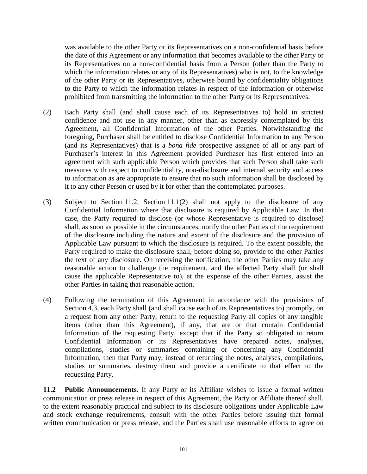was available to the other Party or its Representatives on a non-confidential basis before the date of this Agreement or any information that becomes available to the other Party or its Representatives on a non-confidential basis from a Person (other than the Party to which the information relates or any of its Representatives) who is not, to the knowledge of the other Party or its Representatives, otherwise bound by confidentiality obligations to the Party to which the information relates in respect of the information or otherwise prohibited from transmitting the information to the other Party or its Representatives.

- (2) Each Party shall (and shall cause each of its Representatives to) hold in strictest confidence and not use in any manner, other than as expressly contemplated by this Agreement, all Confidential Information of the other Parties. Notwithstanding the foregoing, Purchaser shall be entitled to disclose Confidential Information to any Person (and its Representatives) that is a *bona fide* prospective assignee of all or any part of Purchaser's interest in this Agreement provided Purchaser has first entered into an agreement with such applicable Person which provides that such Person shall take such measures with respect to confidentiality, non-disclosure and internal security and access to information as are appropriate to ensure that no such information shall be disclosed by it to any other Person or used by it for other than the contemplated purposes.
- (3) Subject to Section 11.2, Section 11.1(2) shall not apply to the disclosure of any Confidential Information where that disclosure is required by Applicable Law. In that case, the Party required to disclose (or whose Representative is required to disclose) shall, as soon as possible in the circumstances, notify the other Parties of the requirement of the disclosure including the nature and extent of the disclosure and the provision of Applicable Law pursuant to which the disclosure is required. To the extent possible, the Party required to make the disclosure shall, before doing so, provide to the other Parties the text of any disclosure. On receiving the notification, the other Parties may take any reasonable action to challenge the requirement, and the affected Party shall (or shall cause the applicable Representative to), at the expense of the other Parties, assist the other Parties in taking that reasonable action.
- (4) Following the termination of this Agreement in accordance with the provisions of Section 4.3, each Party shall (and shall cause each of its Representatives to) promptly, on a request from any other Party, return to the requesting Party all copies of any tangible items (other than this Agreement), if any, that are or that contain Confidential Information of the requesting Party, except that if the Party so obligated to return Confidential Information or its Representatives have prepared notes, analyses, compilations, studies or summaries containing or concerning any Confidential Information, then that Party may, instead of returning the notes, analyses, compilations, studies or summaries, destroy them and provide a certificate to that effect to the requesting Party.

**11.2 Public Announcements.** If any Party or its Affiliate wishes to issue a formal written communication or press release in respect of this Agreement, the Party or Affiliate thereof shall, to the extent reasonably practical and subject to its disclosure obligations under Applicable Law and stock exchange requirements, consult with the other Parties before issuing that formal written communication or press release, and the Parties shall use reasonable efforts to agree on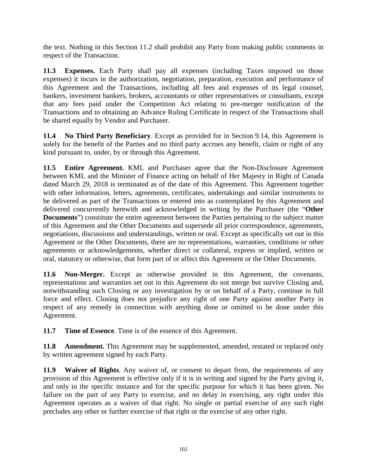the text. Nothing in this Section 11.2 shall prohibit any Party from making public comments in respect of the Transaction.

**11.3 Expenses.** Each Party shall pay all expenses (including Taxes imposed on those expenses) it incurs in the authorization, negotiation, preparation, execution and performance of this Agreement and the Transactions, including all fees and expenses of its legal counsel, bankers, investment bankers, brokers, accountants or other representatives or consultants, except that any fees paid under the Competition Act relating to pre-merger notification of the Transactions and to obtaining an Advance Ruling Certificate in respect of the Transactions shall be shared equally by Vendor and Purchaser.

**11.4 No Third Party Beneficiary**. Except as provided for in Section 9.14, this Agreement is solely for the benefit of the Parties and no third party accrues any benefit, claim or right of any kind pursuant to, under, by or through this Agreement.

**11.5 Entire Agreement.** KML and Purchaser agree that the Non-Disclosure Agreement between KML and the Minister of Finance acting on behalf of Her Majesty in Right of Canada dated March 29, 2018 is terminated as of the date of this Agreement. This Agreement together with other information, letters, agreements, certificates, undertakings and similar instruments to be delivered as part of the Transactions or entered into as contemplated by this Agreement and delivered concurrently herewith and acknowledged in writing by the Purchaser (the "**Other Documents**") constitute the entire agreement between the Parties pertaining to the subject matter of this Agreement and the Other Documents and supersede all prior correspondence, agreements, negotiations, discussions and understandings, written or oral. Except as specifically set out in this Agreement or the Other Documents, there are no representations, warranties, conditions or other agreements or acknowledgements, whether direct or collateral, express or implied, written or oral, statutory or otherwise, that form part of or affect this Agreement or the Other Documents.

**11.6 Non-Merger.** Except as otherwise provided in this Agreement, the covenants, representations and warranties set out in this Agreement do not merge but survive Closing and, notwithstanding such Closing or any investigation by or on behalf of a Party, continue in full force and effect. Closing does not prejudice any right of one Party against another Party in respect of any remedy in connection with anything done or omitted to be done under this Agreement.

**11.7 Time of Essence**. Time is of the essence of this Agreement.

**11.8 Amendment.** This Agreement may be supplemented, amended, restated or replaced only by written agreement signed by each Party.

**11.9 Waiver of Rights**. Any waiver of, or consent to depart from, the requirements of any provision of this Agreement is effective only if it is in writing and signed by the Party giving it, and only in the specific instance and for the specific purpose for which it has been given. No failure on the part of any Party to exercise, and no delay in exercising, any right under this Agreement operates as a waiver of that right. No single or partial exercise of any such right precludes any other or further exercise of that right or the exercise of any other right.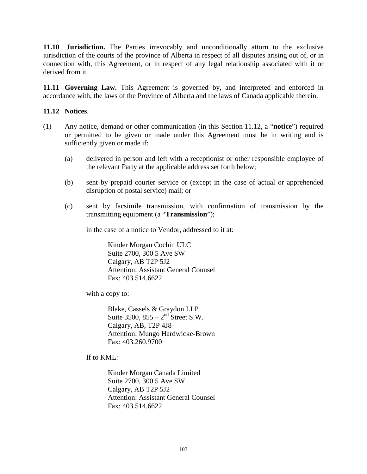**11.10 Jurisdiction.** The Parties irrevocably and unconditionally attorn to the exclusive jurisdiction of the courts of the province of Alberta in respect of all disputes arising out of, or in connection with, this Agreement, or in respect of any legal relationship associated with it or derived from it.

**11.11 Governing Law.** This Agreement is governed by, and interpreted and enforced in accordance with, the laws of the Province of Alberta and the laws of Canada applicable therein.

## **11.12 Notices**.

- (1) Any notice, demand or other communication (in this Section 11.12, a "**notice**") required or permitted to be given or made under this Agreement must be in writing and is sufficiently given or made if:
	- (a) delivered in person and left with a receptionist or other responsible employee of the relevant Party at the applicable address set forth below;
	- (b) sent by prepaid courier service or (except in the case of actual or apprehended disruption of postal service) mail; or
	- (c) sent by facsimile transmission, with confirmation of transmission by the transmitting equipment (a "**Transmission**");

in the case of a notice to Vendor, addressed to it at:

Kinder Morgan Cochin ULC Suite 2700, 300 5 Ave SW Calgary, AB T2P 5J2 Attention: Assistant General Counsel Fax: 403.514.6622

with a copy to:

Blake, Cassels & Graydon LLP Suite 3500,  $855 - 2<sup>nd</sup>$  Street S.W. Calgary, AB, T2P 4J8 Attention: Mungo Hardwicke-Brown Fax: 403.260.9700

If to KML:

Kinder Morgan Canada Limited Suite 2700, 300 5 Ave SW Calgary, AB T2P 5J2 Attention: Assistant General Counsel Fax: 403.514.6622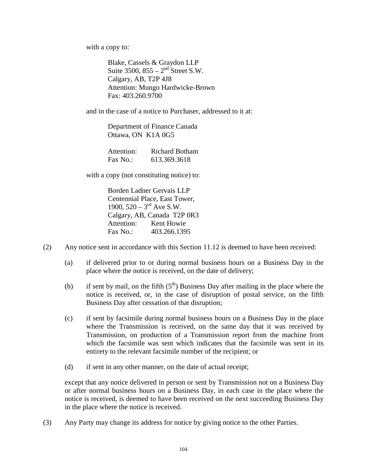with a copy to:

Blake, Cassels & Graydon LLP Suite  $3500$ ,  $855 - 2<sup>nd</sup>$  Street S.W. Calgary, AB, T2P 4J8 Attention: Mungo Hardwicke-Brown Fax: 403.260.9700

and in the case of a notice to Purchaser, addressed to it at:

Department of Finance Canada Ottawa, ON K1A 0G5

| Attention: | <b>Richard Botham</b> |
|------------|-----------------------|
| Fax No.:   | 613.369.3618          |

with a copy (not constituting notice) to:

Borden Ladner Gervais LLP Centennial Place, East Tower, 1900,  $520 - 3^{rd}$  Ave S.W. Calgary, AB, Canada T2P 0R3 Attention: Kent Howie Fax No.: 403.266.1395

- (2) Any notice sent in accordance with this Section 11.12 is deemed to have been received:
	- (a) if delivered prior to or during normal business hours on a Business Day in the place where the notice is received, on the date of delivery;
	- (b) if sent by mail, on the fifth  $(5<sup>th</sup>)$  Business Day after mailing in the place where the notice is received, or, in the case of disruption of postal service, on the fifth Business Day after cessation of that disruption;
	- (c) if sent by facsimile during normal business hours on a Business Day in the place where the Transmission is received, on the same day that it was received by Transmission, on production of a Transmission report from the machine from which the facsimile was sent which indicates that the facsimile was sent in its entirety to the relevant facsimile number of the recipient; or
	- (d) if sent in any other manner, on the date of actual receipt;

except that any notice delivered in person or sent by Transmission not on a Business Day or after normal business hours on a Business Day, in each case in the place where the notice is received, is deemed to have been received on the next succeeding Business Day in the place where the notice is received.

(3) Any Party may change its address for notice by giving notice to the other Parties.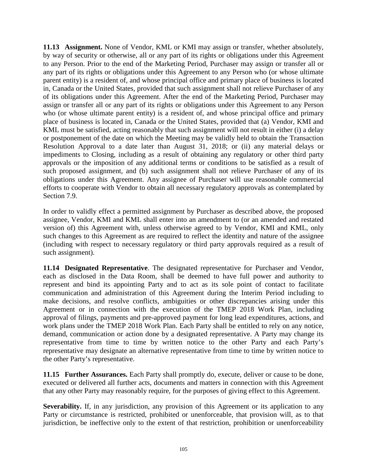**11.13 Assignment.** None of Vendor, KML or KMI may assign or transfer, whether absolutely, by way of security or otherwise, all or any part of its rights or obligations under this Agreement to any Person. Prior to the end of the Marketing Period, Purchaser may assign or transfer all or any part of its rights or obligations under this Agreement to any Person who (or whose ultimate parent entity) is a resident of, and whose principal office and primary place of business is located in, Canada or the United States, provided that such assignment shall not relieve Purchaser of any of its obligations under this Agreement. After the end of the Marketing Period, Purchaser may assign or transfer all or any part of its rights or obligations under this Agreement to any Person who (or whose ultimate parent entity) is a resident of, and whose principal office and primary place of business is located in, Canada or the United States, provided that (a) Vendor, KMI and KML must be satisfied, acting reasonably that such assignment will not result in either (i) a delay or postponement of the date on which the Meeting may be validly held to obtain the Transaction Resolution Approval to a date later than August 31, 2018; or (ii) any material delays or impediments to Closing, including as a result of obtaining any regulatory or other third party approvals or the imposition of any additional terms or conditions to be satisfied as a result of such proposed assignment, and (b) such assignment shall not relieve Purchaser of any of its obligations under this Agreement. Any assignee of Purchaser will use reasonable commercial efforts to cooperate with Vendor to obtain all necessary regulatory approvals as contemplated by Section 7.9.

In order to validly effect a permitted assignment by Purchaser as described above, the proposed assignee, Vendor, KMI and KML shall enter into an amendment to (or an amended and restated version of) this Agreement with, unless otherwise agreed to by Vendor, KMI and KML, only such changes to this Agreement as are required to reflect the identity and nature of the assignee (including with respect to necessary regulatory or third party approvals required as a result of such assignment).

**11.14 Designated Representative**. The designated representative for Purchaser and Vendor, each as disclosed in the Data Room, shall be deemed to have full power and authority to represent and bind its appointing Party and to act as its sole point of contact to facilitate communication and administration of this Agreement during the Interim Period including to make decisions, and resolve conflicts, ambiguities or other discrepancies arising under this Agreement or in connection with the execution of the TMEP 2018 Work Plan, including approval of filings, payments and pre-approved payment for long lead expenditures, actions, and work plans under the TMEP 2018 Work Plan. Each Party shall be entitled to rely on any notice, demand, communication or action done by a designated representative. A Party may change its representative from time to time by written notice to the other Party and each Party's representative may designate an alternative representative from time to time by written notice to the other Party's representative.

**11.15 Further Assurances.** Each Party shall promptly do, execute, deliver or cause to be done, executed or delivered all further acts, documents and matters in connection with this Agreement that any other Party may reasonably require, for the purposes of giving effect to this Agreement.

**Severability.** If, in any jurisdiction, any provision of this Agreement or its application to any Party or circumstance is restricted, prohibited or unenforceable, that provision will, as to that jurisdiction, be ineffective only to the extent of that restriction, prohibition or unenforceability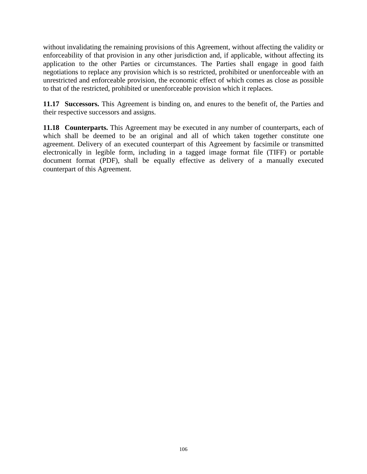without invalidating the remaining provisions of this Agreement, without affecting the validity or enforceability of that provision in any other jurisdiction and, if applicable, without affecting its application to the other Parties or circumstances. The Parties shall engage in good faith negotiations to replace any provision which is so restricted, prohibited or unenforceable with an unrestricted and enforceable provision, the economic effect of which comes as close as possible to that of the restricted, prohibited or unenforceable provision which it replaces.

**11.17 Successors.** This Agreement is binding on, and enures to the benefit of, the Parties and their respective successors and assigns.

**11.18 Counterparts.** This Agreement may be executed in any number of counterparts, each of which shall be deemed to be an original and all of which taken together constitute one agreement. Delivery of an executed counterpart of this Agreement by facsimile or transmitted electronically in legible form, including in a tagged image format file (TIFF) or portable document format (PDF), shall be equally effective as delivery of a manually executed counterpart of this Agreement.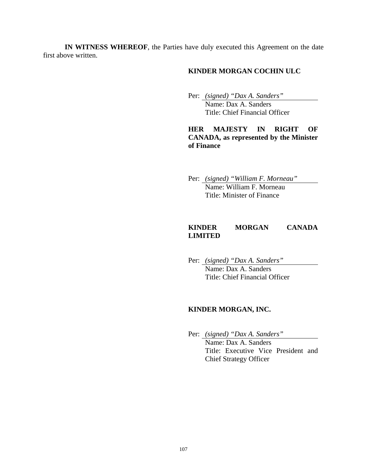**IN WITNESS WHEREOF**, the Parties have duly executed this Agreement on the date first above written.

## **KINDER MORGAN COCHIN ULC**

 Per: *(signed) "Dax A. Sanders"*  Name: Dax A. Sanders

Title: Chief Financial Officer

**HER MAJESTY IN RIGHT OF CANADA, as represented by the Minister of Finance** 

 Per: *(signed) "William F. Morneau"*  Name: William F. Morneau Title: Minister of Finance

## **KINDER MORGAN CANADA LIMITED**

 Per: *(signed) "Dax A. Sanders"* Name: Dax A. Sanders Title: Chief Financial Officer

#### **KINDER MORGAN, INC.**

Per: *(signed) "Dax A. Sanders"*

Name: Dax A. Sanders Title: Executive Vice President and Chief Strategy Officer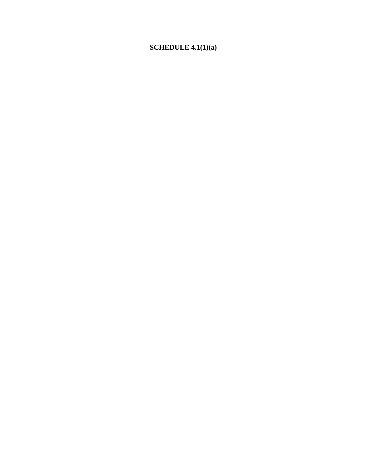# **SCHEDULE 4.1(1)(a)**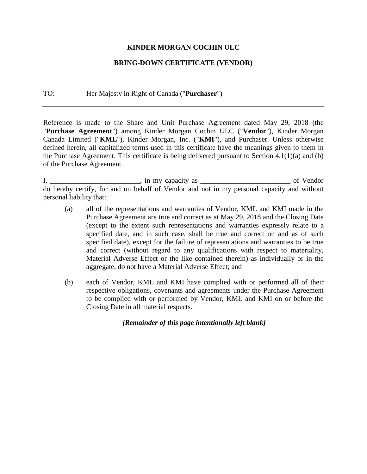## **KINDER MORGAN COCHIN ULC**

## **BRING-DOWN CERTIFICATE (VENDOR)**

#### TO: Her Majesty in Right of Canada ("**Purchaser**")

Reference is made to the Share and Unit Purchase Agreement dated May 29, 2018 (the "**Purchase Agreement**") among Kinder Morgan Cochin ULC ("**Vendor**"), Kinder Morgan Canada Limited ("**KML**"), Kinder Morgan, Inc. ("**KMI**"), and Purchaser. Unless otherwise defined herein, all capitalized terms used in this certificate have the meanings given to them in the Purchase Agreement. This certificate is being delivered pursuant to Section 4.1(1)(a) and (b) of the Purchase Agreement.

I, \_\_\_\_\_\_\_\_\_\_\_\_\_\_\_\_\_\_\_\_\_\_\_, in my capacity as \_\_\_\_\_\_\_\_\_\_\_\_\_\_\_\_\_\_\_\_\_\_\_\_\_\_\_\_\_\_\_\_\_\_ of Vendor do hereby certify, for and on behalf of Vendor and not in my personal capacity and without personal liability that:

- (a) all of the representations and warranties of Vendor, KML and KMI made in the Purchase Agreement are true and correct as at May 29, 2018 and the Closing Date (except to the extent such representations and warranties expressly relate to a specified date, and in such case, shall be true and correct on and as of such specified date), except for the failure of representations and warranties to be true and correct (without regard to any qualifications with respect to materiality, Material Adverse Effect or the like contained therein) as individually or in the aggregate, do not have a Material Adverse Effect; and
- (b) each of Vendor, KML and KMI have complied with or performed all of their respective obligations, covenants and agreements under the Purchase Agreement to be complied with or performed by Vendor, KML and KMI on or before the Closing Date in all material respects.

*[Remainder of this page intentionally left blank]*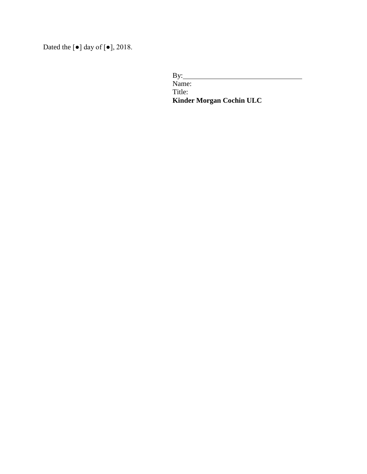Dated the  $\lbrack \bullet \rbrack$  day of  $\lbrack \bullet \rbrack$ , 2018.

By: Name: Title: **Kinder Morgan Cochin ULC**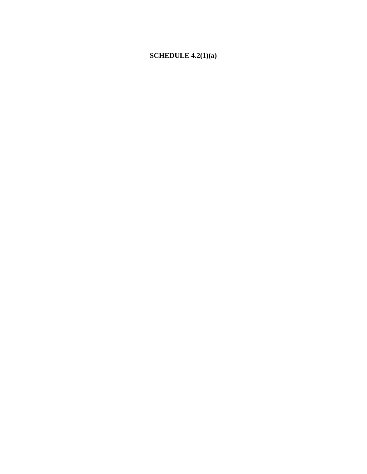## **SCHEDULE 4.2(1)(a)**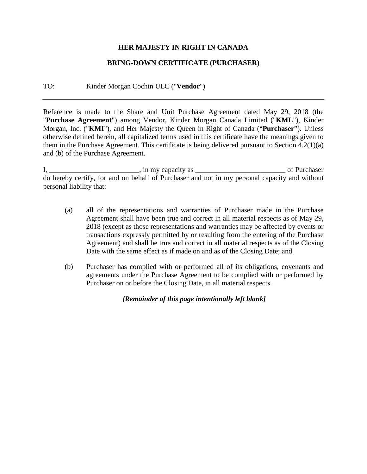## **HER MAJESTY IN RIGHT IN CANADA**

## **BRING-DOWN CERTIFICATE (PURCHASER)**

#### TO: Kinder Morgan Cochin ULC ("**Vendor**")

Reference is made to the Share and Unit Purchase Agreement dated May 29, 2018 (the "**Purchase Agreement**") among Vendor, Kinder Morgan Canada Limited ("**KML**"), Kinder Morgan, Inc. ("**KMI**"), and Her Majesty the Queen in Right of Canada ("**Purchaser**"). Unless otherwise defined herein, all capitalized terms used in this certificate have the meanings given to them in the Purchase Agreement. This certificate is being delivered pursuant to Section 4.2(1)(a) and (b) of the Purchase Agreement.

I, \_\_\_\_\_\_\_\_\_\_\_\_\_\_\_\_\_\_\_\_\_\_\_\_\_, in my capacity as \_\_\_\_\_\_\_\_\_\_\_\_\_\_\_\_\_\_\_\_\_\_\_\_\_ of Purchaser do hereby certify, for and on behalf of Purchaser and not in my personal capacity and without personal liability that:

- (a) all of the representations and warranties of Purchaser made in the Purchase Agreement shall have been true and correct in all material respects as of May 29, 2018 (except as those representations and warranties may be affected by events or transactions expressly permitted by or resulting from the entering of the Purchase Agreement) and shall be true and correct in all material respects as of the Closing Date with the same effect as if made on and as of the Closing Date; and
- (b) Purchaser has complied with or performed all of its obligations, covenants and agreements under the Purchase Agreement to be complied with or performed by Purchaser on or before the Closing Date, in all material respects.

*[Remainder of this page intentionally left blank]*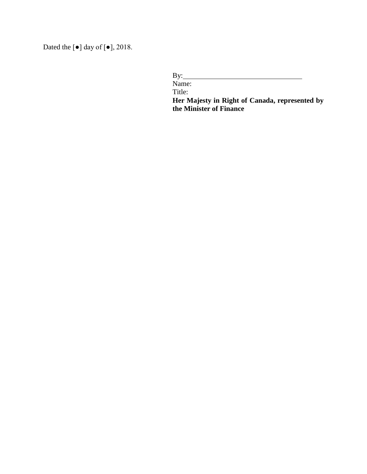Dated the [●] day of [●], 2018.

By: Name: Title: **Her Majesty in Right of Canada, represented by** 

**the Minister of Finance**